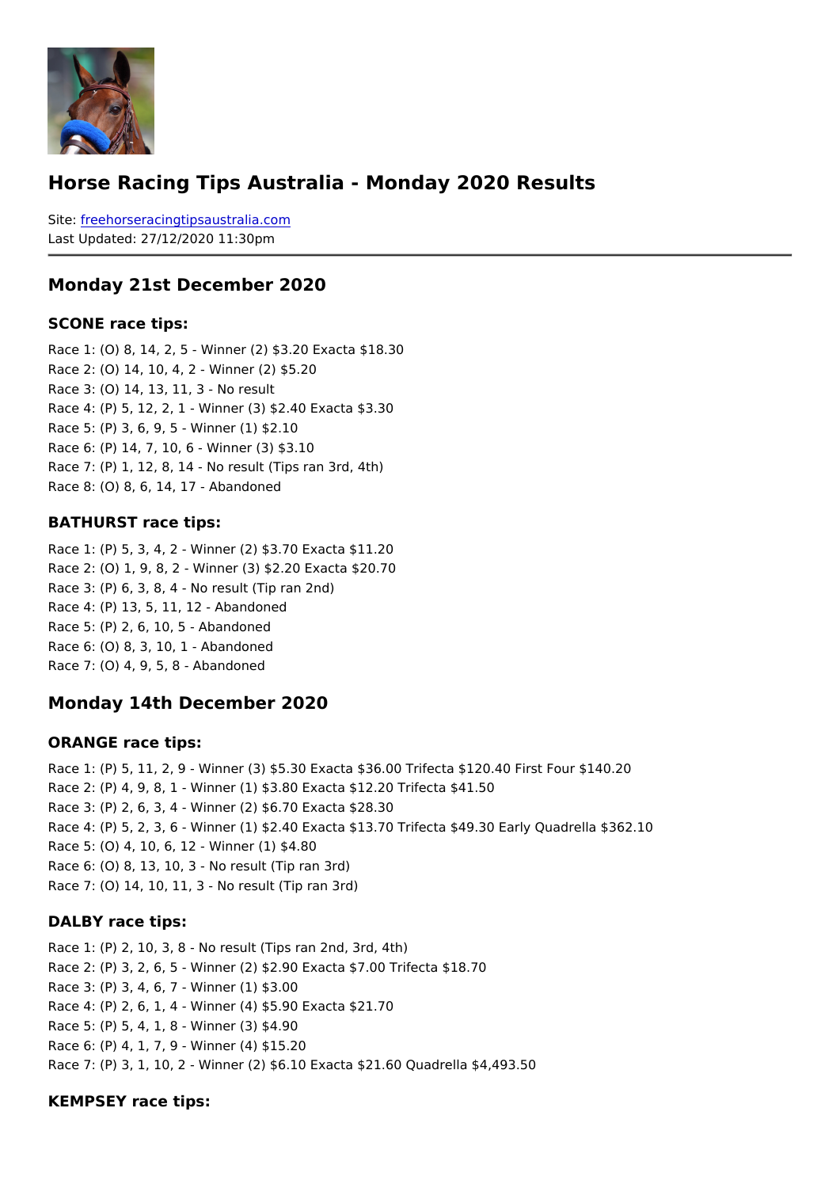#### Horse Racing Tips Australia - Monday 2020 Results

```
Sitefreehorseracingtipsaustralia.com
Last Updated: 27/12/2020 11:30pm
```
#### Monday 21st December 2020

SCONE race tips:

Race 1: (O) 8, 14, 2, 5 - Winner (2) \$3.20 Exacta \$18.30 Race 2: (O) 14, 10, 4, 2 - Winner (2) \$5.20 Race 3: (O) 14, 13, 11, 3 - No result Race 4: (P) 5, 12, 2, 1 - Winner (3) \$2.40 Exacta \$3.30 Race 5: (P) 3, 6, 9, 5 - Winner (1) \$2.10 Race 6: (P) 14, 7, 10, 6 - Winner (3) \$3.10 Race 7: (P) 1, 12, 8, 14 - No result (Tips ran 3rd, 4th) Race 8: (O) 8, 6, 14, 17 - Abandoned

#### BATHURST race tips:

Race 1: (P) 5, 3, 4, 2 - Winner (2) \$3.70 Exacta \$11.20 Race 2: (O) 1, 9, 8, 2 - Winner (3) \$2.20 Exacta \$20.70 Race 3: (P) 6, 3, 8, 4 - No result (Tip ran 2nd) Race 4: (P) 13, 5, 11, 12 - Abandoned Race 5: (P) 2, 6, 10, 5 - Abandoned Race 6: (O) 8, 3, 10, 1 - Abandoned Race 7: (O) 4, 9, 5, 8 - Abandoned

Monday 14th December 2020

#### ORANGE race tips:

```
Race 1: (P) 5, 11, 2, 9 - Winner (3) $5.30 Exacta $36.00 Trifecta $120.40 First Four $1
Race 2: (P) 4, 9, 8, 1 - Winner (1) $3.80 Exacta $12.20 Trifecta $41.50
Race 3: (P) 2, 6, 3, 4 - Winner (2) $6.70 Exacta $28.30
Race 4: (P) 5, 2, 3, 6 - Winner (1) $2.40 Exacta $13.70 Trifecta $49.30 Early Quadrella
Race 5: (O) 4, 10, 6, 12 - Winner (1) $4.80
Race 6: (O) 8, 13, 10, 3 - No result (Tip ran 3rd)
Race 7: (O) 14, 10, 11, 3 - No result (Tip ran 3rd)
```
DALBY race tips:

```
Race 1: (P) 2, 10, 3, 8 - No result (Tips ran 2nd, 3rd, 4th)
Race 2: (P) 3, 2, 6, 5 - Winner (2) $2.90 Exacta $7.00 Trifecta $18.70
Race 3: (P) 3, 4, 6, 7 - Winner (1) $3.00
Race 4: (P) 2, 6, 1, 4 - Winner (4) $5.90 Exacta $21.70
Race 5: (P) 5, 4, 1, 8 - Winner (3) $4.90
Race 6: (P) 4, 1, 7, 9 - Winner (4) $15.20
Race 7: (P) 3, 1, 10, 2 - Winner (2) $6.10 Exacta $21.60 Quadrella $4,493.50
```
KEMPSEY race tips: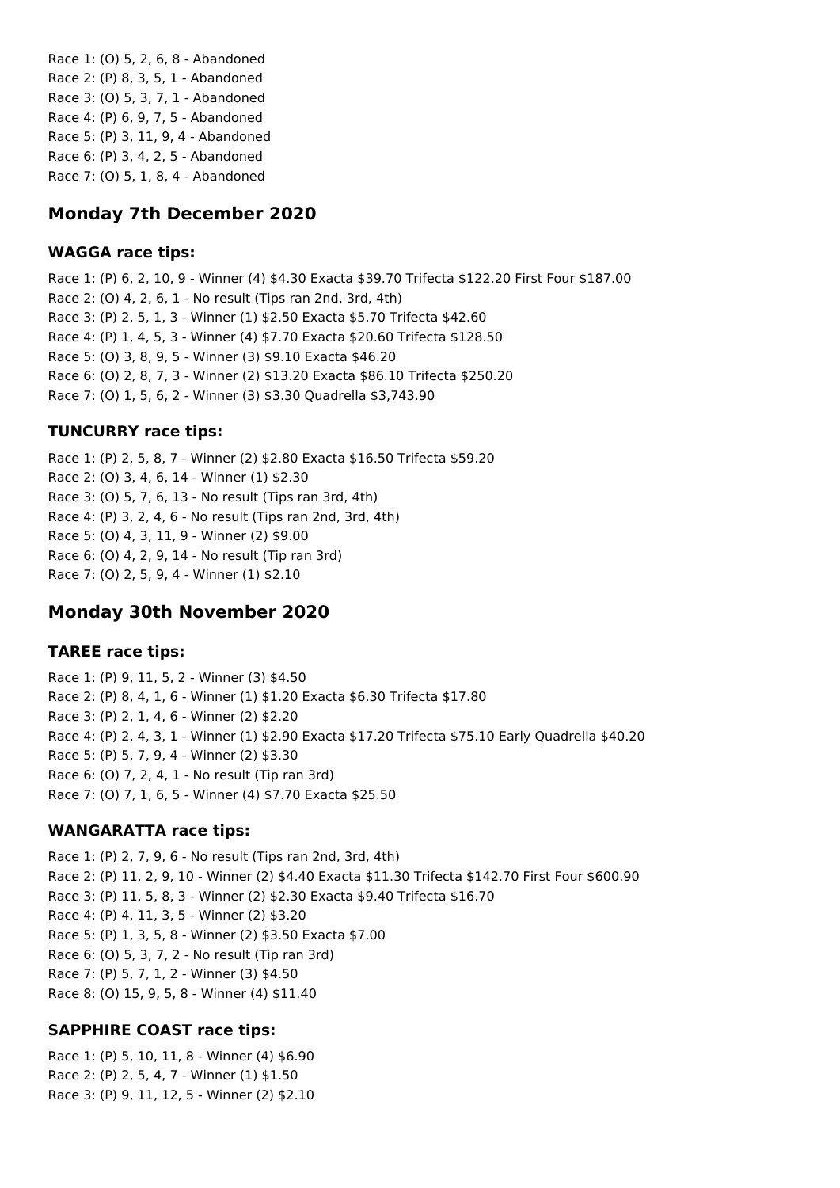Race 1: (O) 5, 2, 6, 8 - Abandoned Race 2: (P) 8, 3, 5, 1 - Abandoned Race 3: (O) 5, 3, 7, 1 - Abandoned Race 4: (P) 6, 9, 7, 5 - Abandoned Race 5: (P) 3, 11, 9, 4 - Abandoned Race 6: (P) 3, 4, 2, 5 - Abandoned Race 7: (O) 5, 1, 8, 4 - Abandoned

# **Monday 7th December 2020**

## **WAGGA race tips:**

Race 1: (P) 6, 2, 10, 9 - Winner (4) \$4.30 Exacta \$39.70 Trifecta \$122.20 First Four \$187.00 Race 2: (O) 4, 2, 6, 1 - No result (Tips ran 2nd, 3rd, 4th) Race 3: (P) 2, 5, 1, 3 - Winner (1) \$2.50 Exacta \$5.70 Trifecta \$42.60 Race 4: (P) 1, 4, 5, 3 - Winner (4) \$7.70 Exacta \$20.60 Trifecta \$128.50 Race 5: (O) 3, 8, 9, 5 - Winner (3) \$9.10 Exacta \$46.20 Race 6: (O) 2, 8, 7, 3 - Winner (2) \$13.20 Exacta \$86.10 Trifecta \$250.20 Race 7: (O) 1, 5, 6, 2 - Winner (3) \$3.30 Quadrella \$3,743.90

## **TUNCURRY race tips:**

Race 1: (P) 2, 5, 8, 7 - Winner (2) \$2.80 Exacta \$16.50 Trifecta \$59.20 Race 2: (O) 3, 4, 6, 14 - Winner (1) \$2.30 Race 3: (O) 5, 7, 6, 13 - No result (Tips ran 3rd, 4th) Race 4: (P) 3, 2, 4, 6 - No result (Tips ran 2nd, 3rd, 4th) Race 5: (O) 4, 3, 11, 9 - Winner (2) \$9.00 Race 6: (O) 4, 2, 9, 14 - No result (Tip ran 3rd) Race 7: (O) 2, 5, 9, 4 - Winner (1) \$2.10

# **Monday 30th November 2020**

#### **TAREE race tips:**

Race 1: (P) 9, 11, 5, 2 - Winner (3) \$4.50 Race 2: (P) 8, 4, 1, 6 - Winner (1) \$1.20 Exacta \$6.30 Trifecta \$17.80 Race 3: (P) 2, 1, 4, 6 - Winner (2) \$2.20 Race 4: (P) 2, 4, 3, 1 - Winner (1) \$2.90 Exacta \$17.20 Trifecta \$75.10 Early Quadrella \$40.20 Race 5: (P) 5, 7, 9, 4 - Winner (2) \$3.30 Race 6: (O) 7, 2, 4, 1 - No result (Tip ran 3rd) Race 7: (O) 7, 1, 6, 5 - Winner (4) \$7.70 Exacta \$25.50

#### **WANGARATTA race tips:**

Race 1: (P) 2, 7, 9, 6 - No result (Tips ran 2nd, 3rd, 4th) Race 2: (P) 11, 2, 9, 10 - Winner (2) \$4.40 Exacta \$11.30 Trifecta \$142.70 First Four \$600.90 Race 3: (P) 11, 5, 8, 3 - Winner (2) \$2.30 Exacta \$9.40 Trifecta \$16.70 Race 4: (P) 4, 11, 3, 5 - Winner (2) \$3.20 Race 5: (P) 1, 3, 5, 8 - Winner (2) \$3.50 Exacta \$7.00 Race 6: (O) 5, 3, 7, 2 - No result (Tip ran 3rd) Race 7: (P) 5, 7, 1, 2 - Winner (3) \$4.50 Race 8: (O) 15, 9, 5, 8 - Winner (4) \$11.40

## **SAPPHIRE COAST race tips:**

Race 1: (P) 5, 10, 11, 8 - Winner (4) \$6.90 Race 2: (P) 2, 5, 4, 7 - Winner (1) \$1.50 Race 3: (P) 9, 11, 12, 5 - Winner (2) \$2.10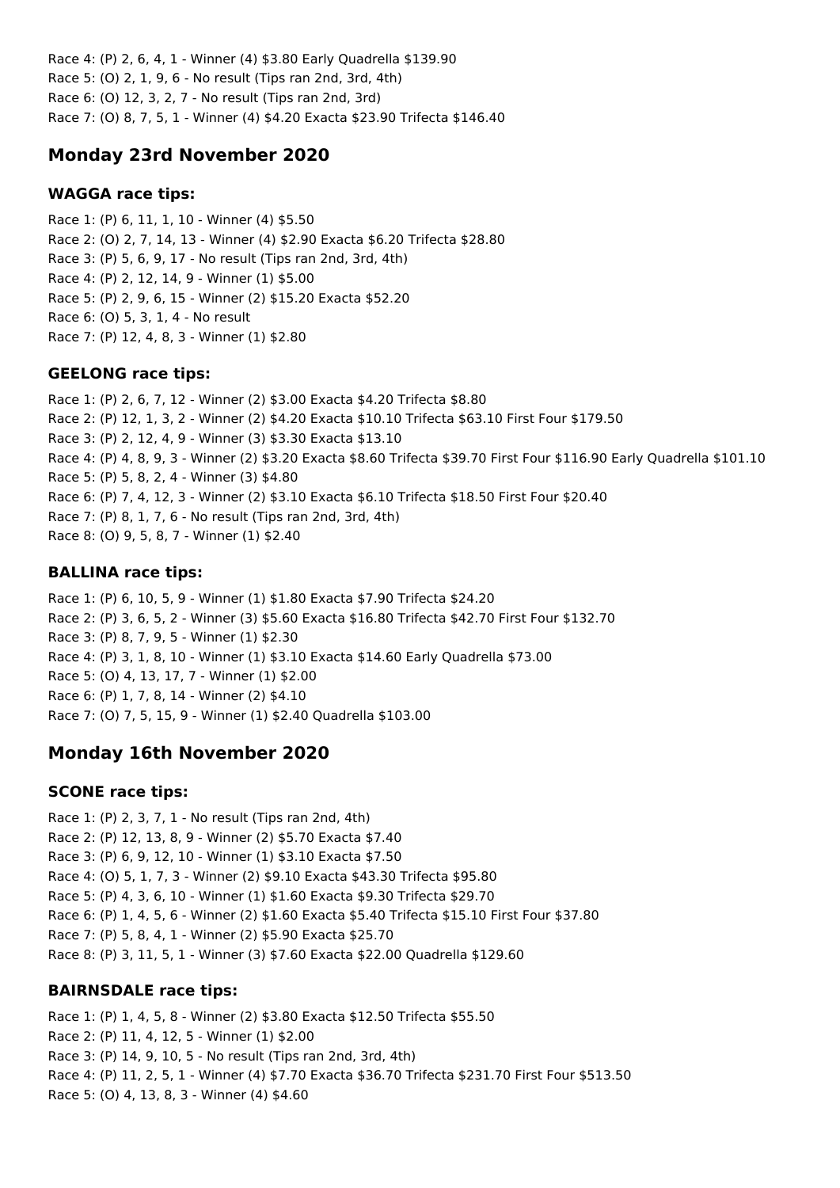Race 4: (P) 2, 6, 4, 1 - Winner (4) \$3.80 Early Quadrella \$139.90 Race 5: (O) 2, 1, 9, 6 - No result (Tips ran 2nd, 3rd, 4th) Race 6: (O) 12, 3, 2, 7 - No result (Tips ran 2nd, 3rd) Race 7: (O) 8, 7, 5, 1 - Winner (4) \$4.20 Exacta \$23.90 Trifecta \$146.40

# **Monday 23rd November 2020**

## **WAGGA race tips:**

Race 1: (P) 6, 11, 1, 10 - Winner (4) \$5.50 Race 2: (O) 2, 7, 14, 13 - Winner (4) \$2.90 Exacta \$6.20 Trifecta \$28.80 Race 3: (P) 5, 6, 9, 17 - No result (Tips ran 2nd, 3rd, 4th) Race 4: (P) 2, 12, 14, 9 - Winner (1) \$5.00 Race 5: (P) 2, 9, 6, 15 - Winner (2) \$15.20 Exacta \$52.20 Race 6: (O) 5, 3, 1, 4 - No result Race 7: (P) 12, 4, 8, 3 - Winner (1) \$2.80

# **GEELONG race tips:**

Race 1: (P) 2, 6, 7, 12 - Winner (2) \$3.00 Exacta \$4.20 Trifecta \$8.80 Race 2: (P) 12, 1, 3, 2 - Winner (2) \$4.20 Exacta \$10.10 Trifecta \$63.10 First Four \$179.50 Race 3: (P) 2, 12, 4, 9 - Winner (3) \$3.30 Exacta \$13.10 Race 4: (P) 4, 8, 9, 3 - Winner (2) \$3.20 Exacta \$8.60 Trifecta \$39.70 First Four \$116.90 Early Quadrella \$101.10 Race 5: (P) 5, 8, 2, 4 - Winner (3) \$4.80 Race 6: (P) 7, 4, 12, 3 - Winner (2) \$3.10 Exacta \$6.10 Trifecta \$18.50 First Four \$20.40 Race 7: (P) 8, 1, 7, 6 - No result (Tips ran 2nd, 3rd, 4th) Race 8: (O) 9, 5, 8, 7 - Winner (1) \$2.40

# **BALLINA race tips:**

Race 1: (P) 6, 10, 5, 9 - Winner (1) \$1.80 Exacta \$7.90 Trifecta \$24.20 Race 2: (P) 3, 6, 5, 2 - Winner (3) \$5.60 Exacta \$16.80 Trifecta \$42.70 First Four \$132.70 Race 3: (P) 8, 7, 9, 5 - Winner (1) \$2.30 Race 4: (P) 3, 1, 8, 10 - Winner (1) \$3.10 Exacta \$14.60 Early Quadrella \$73.00 Race 5: (O) 4, 13, 17, 7 - Winner (1) \$2.00 Race 6: (P) 1, 7, 8, 14 - Winner (2) \$4.10 Race 7: (O) 7, 5, 15, 9 - Winner (1) \$2.40 Quadrella \$103.00

# **Monday 16th November 2020**

# **SCONE race tips:**

Race 1: (P) 2, 3, 7, 1 - No result (Tips ran 2nd, 4th) Race 2: (P) 12, 13, 8, 9 - Winner (2) \$5.70 Exacta \$7.40 Race 3: (P) 6, 9, 12, 10 - Winner (1) \$3.10 Exacta \$7.50 Race 4: (O) 5, 1, 7, 3 - Winner (2) \$9.10 Exacta \$43.30 Trifecta \$95.80 Race 5: (P) 4, 3, 6, 10 - Winner (1) \$1.60 Exacta \$9.30 Trifecta \$29.70 Race 6: (P) 1, 4, 5, 6 - Winner (2) \$1.60 Exacta \$5.40 Trifecta \$15.10 First Four \$37.80 Race 7: (P) 5, 8, 4, 1 - Winner (2) \$5.90 Exacta \$25.70 Race 8: (P) 3, 11, 5, 1 - Winner (3) \$7.60 Exacta \$22.00 Quadrella \$129.60

# **BAIRNSDALE race tips:**

Race 1: (P) 1, 4, 5, 8 - Winner (2) \$3.80 Exacta \$12.50 Trifecta \$55.50 Race 2: (P) 11, 4, 12, 5 - Winner (1) \$2.00 Race 3: (P) 14, 9, 10, 5 - No result (Tips ran 2nd, 3rd, 4th) Race 4: (P) 11, 2, 5, 1 - Winner (4) \$7.70 Exacta \$36.70 Trifecta \$231.70 First Four \$513.50 Race 5: (O) 4, 13, 8, 3 - Winner (4) \$4.60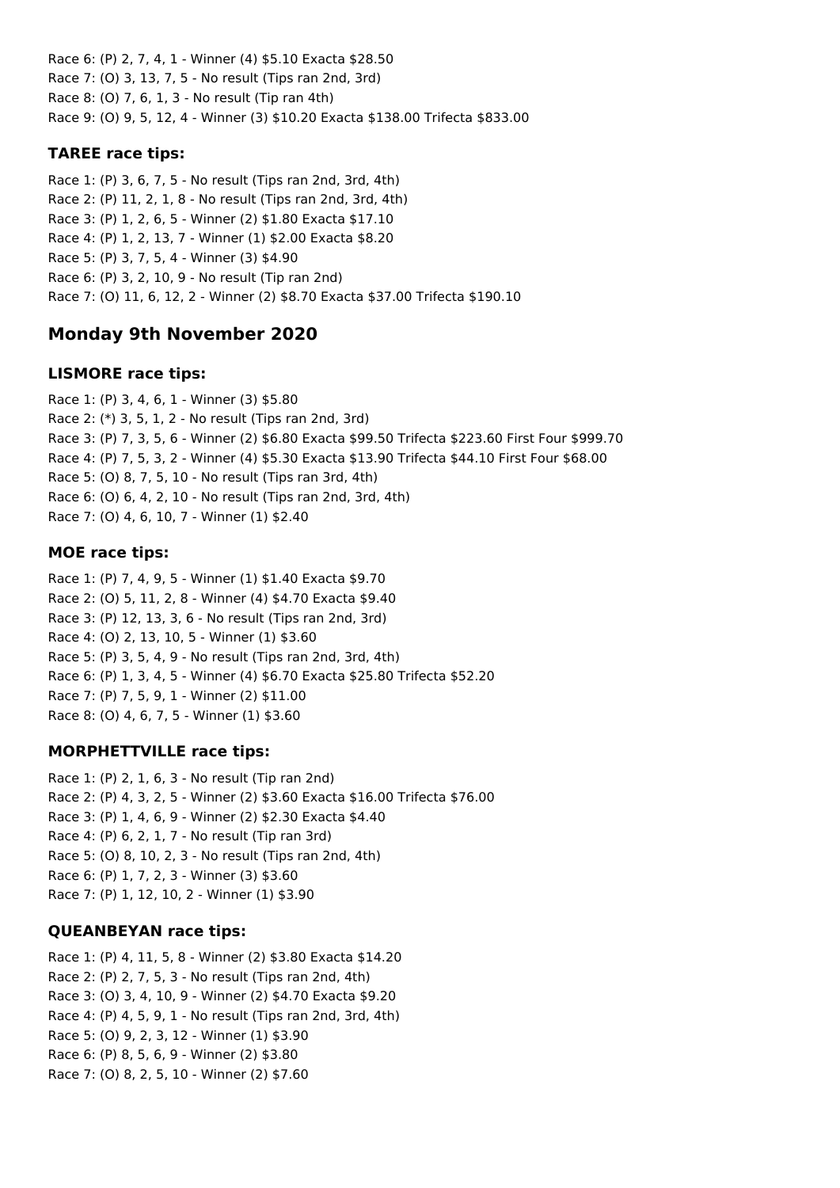Race 6: (P) 2, 7, 4, 1 - Winner (4) \$5.10 Exacta \$28.50 Race 7: (O) 3, 13, 7, 5 - No result (Tips ran 2nd, 3rd) Race 8: (O) 7, 6, 1, 3 - No result (Tip ran 4th) Race 9: (O) 9, 5, 12, 4 - Winner (3) \$10.20 Exacta \$138.00 Trifecta \$833.00

## **TAREE race tips:**

Race 1: (P) 3, 6, 7, 5 - No result (Tips ran 2nd, 3rd, 4th) Race 2: (P) 11, 2, 1, 8 - No result (Tips ran 2nd, 3rd, 4th) Race 3: (P) 1, 2, 6, 5 - Winner (2) \$1.80 Exacta \$17.10 Race 4: (P) 1, 2, 13, 7 - Winner (1) \$2.00 Exacta \$8.20 Race 5: (P) 3, 7, 5, 4 - Winner (3) \$4.90 Race 6: (P) 3, 2, 10, 9 - No result (Tip ran 2nd) Race 7: (O) 11, 6, 12, 2 - Winner (2) \$8.70 Exacta \$37.00 Trifecta \$190.10

# **Monday 9th November 2020**

## **LISMORE race tips:**

Race 1: (P) 3, 4, 6, 1 - Winner (3) \$5.80 Race 2: (\*) 3, 5, 1, 2 - No result (Tips ran 2nd, 3rd) Race 3: (P) 7, 3, 5, 6 - Winner (2) \$6.80 Exacta \$99.50 Trifecta \$223.60 First Four \$999.70 Race 4: (P) 7, 5, 3, 2 - Winner (4) \$5.30 Exacta \$13.90 Trifecta \$44.10 First Four \$68.00 Race 5: (O) 8, 7, 5, 10 - No result (Tips ran 3rd, 4th) Race 6: (O) 6, 4, 2, 10 - No result (Tips ran 2nd, 3rd, 4th) Race 7: (O) 4, 6, 10, 7 - Winner (1) \$2.40

# **MOE race tips:**

Race 1: (P) 7, 4, 9, 5 - Winner (1) \$1.40 Exacta \$9.70 Race 2: (O) 5, 11, 2, 8 - Winner (4) \$4.70 Exacta \$9.40 Race 3: (P) 12, 13, 3, 6 - No result (Tips ran 2nd, 3rd) Race 4: (O) 2, 13, 10, 5 - Winner (1) \$3.60 Race 5: (P) 3, 5, 4, 9 - No result (Tips ran 2nd, 3rd, 4th) Race 6: (P) 1, 3, 4, 5 - Winner (4) \$6.70 Exacta \$25.80 Trifecta \$52.20 Race 7: (P) 7, 5, 9, 1 - Winner (2) \$11.00 Race 8: (O) 4, 6, 7, 5 - Winner (1) \$3.60

# **MORPHETTVILLE race tips:**

Race 1: (P) 2, 1, 6, 3 - No result (Tip ran 2nd) Race 2: (P) 4, 3, 2, 5 - Winner (2) \$3.60 Exacta \$16.00 Trifecta \$76.00 Race 3: (P) 1, 4, 6, 9 - Winner (2) \$2.30 Exacta \$4.40 Race 4: (P) 6, 2, 1, 7 - No result (Tip ran 3rd) Race 5: (O) 8, 10, 2, 3 - No result (Tips ran 2nd, 4th) Race 6: (P) 1, 7, 2, 3 - Winner (3) \$3.60 Race 7: (P) 1, 12, 10, 2 - Winner (1) \$3.90

# **QUEANBEYAN race tips:**

Race 1: (P) 4, 11, 5, 8 - Winner (2) \$3.80 Exacta \$14.20 Race 2: (P) 2, 7, 5, 3 - No result (Tips ran 2nd, 4th) Race 3: (O) 3, 4, 10, 9 - Winner (2) \$4.70 Exacta \$9.20 Race 4: (P) 4, 5, 9, 1 - No result (Tips ran 2nd, 3rd, 4th) Race 5: (O) 9, 2, 3, 12 - Winner (1) \$3.90 Race 6: (P) 8, 5, 6, 9 - Winner (2) \$3.80 Race 7: (O) 8, 2, 5, 10 - Winner (2) \$7.60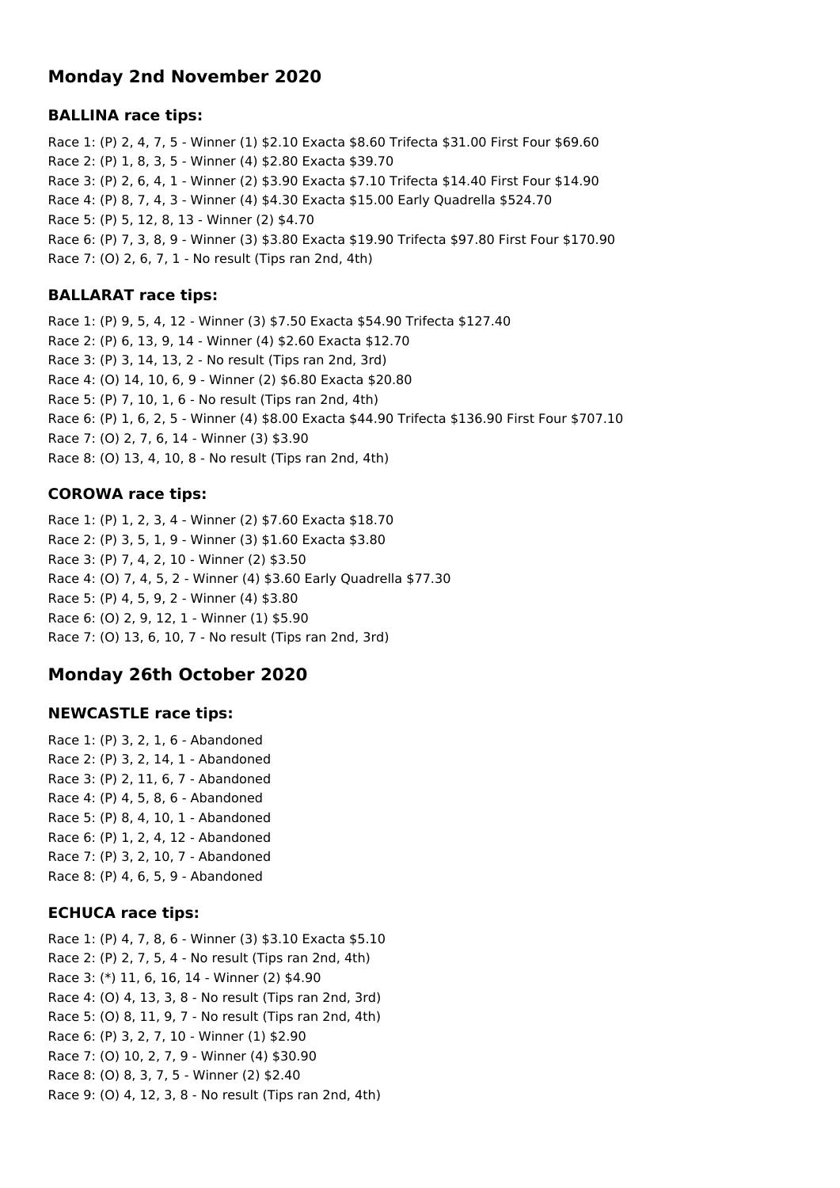# **Monday 2nd November 2020**

#### **BALLINA race tips:**

Race 1: (P) 2, 4, 7, 5 - Winner (1) \$2.10 Exacta \$8.60 Trifecta \$31.00 First Four \$69.60 Race 2: (P) 1, 8, 3, 5 - Winner (4) \$2.80 Exacta \$39.70 Race 3: (P) 2, 6, 4, 1 - Winner (2) \$3.90 Exacta \$7.10 Trifecta \$14.40 First Four \$14.90 Race 4: (P) 8, 7, 4, 3 - Winner (4) \$4.30 Exacta \$15.00 Early Quadrella \$524.70 Race 5: (P) 5, 12, 8, 13 - Winner (2) \$4.70 Race 6: (P) 7, 3, 8, 9 - Winner (3) \$3.80 Exacta \$19.90 Trifecta \$97.80 First Four \$170.90 Race 7: (O) 2, 6, 7, 1 - No result (Tips ran 2nd, 4th)

#### **BALLARAT race tips:**

Race 1: (P) 9, 5, 4, 12 - Winner (3) \$7.50 Exacta \$54.90 Trifecta \$127.40 Race 2: (P) 6, 13, 9, 14 - Winner (4) \$2.60 Exacta \$12.70 Race 3: (P) 3, 14, 13, 2 - No result (Tips ran 2nd, 3rd) Race 4: (O) 14, 10, 6, 9 - Winner (2) \$6.80 Exacta \$20.80 Race 5: (P) 7, 10, 1, 6 - No result (Tips ran 2nd, 4th) Race 6: (P) 1, 6, 2, 5 - Winner (4) \$8.00 Exacta \$44.90 Trifecta \$136.90 First Four \$707.10 Race 7: (O) 2, 7, 6, 14 - Winner (3) \$3.90 Race 8: (O) 13, 4, 10, 8 - No result (Tips ran 2nd, 4th)

## **COROWA race tips:**

Race 1: (P) 1, 2, 3, 4 - Winner (2) \$7.60 Exacta \$18.70 Race 2: (P) 3, 5, 1, 9 - Winner (3) \$1.60 Exacta \$3.80 Race 3: (P) 7, 4, 2, 10 - Winner (2) \$3.50 Race 4: (O) 7, 4, 5, 2 - Winner (4) \$3.60 Early Quadrella \$77.30 Race 5: (P) 4, 5, 9, 2 - Winner (4) \$3.80 Race 6: (O) 2, 9, 12, 1 - Winner (1) \$5.90 Race 7: (O) 13, 6, 10, 7 - No result (Tips ran 2nd, 3rd)

# **Monday 26th October 2020**

## **NEWCASTLE race tips:**

Race 1: (P) 3, 2, 1, 6 - Abandoned Race 2: (P) 3, 2, 14, 1 - Abandoned Race 3: (P) 2, 11, 6, 7 - Abandoned Race 4: (P) 4, 5, 8, 6 - Abandoned Race 5: (P) 8, 4, 10, 1 - Abandoned Race 6: (P) 1, 2, 4, 12 - Abandoned Race 7: (P) 3, 2, 10, 7 - Abandoned Race 8: (P) 4, 6, 5, 9 - Abandoned

## **ECHUCA race tips:**

Race 1: (P) 4, 7, 8, 6 - Winner (3) \$3.10 Exacta \$5.10 Race 2: (P) 2, 7, 5, 4 - No result (Tips ran 2nd, 4th) Race 3: (\*) 11, 6, 16, 14 - Winner (2) \$4.90 Race 4: (O) 4, 13, 3, 8 - No result (Tips ran 2nd, 3rd) Race 5: (O) 8, 11, 9, 7 - No result (Tips ran 2nd, 4th) Race 6: (P) 3, 2, 7, 10 - Winner (1) \$2.90 Race 7: (O) 10, 2, 7, 9 - Winner (4) \$30.90 Race 8: (O) 8, 3, 7, 5 - Winner (2) \$2.40 Race 9: (O) 4, 12, 3, 8 - No result (Tips ran 2nd, 4th)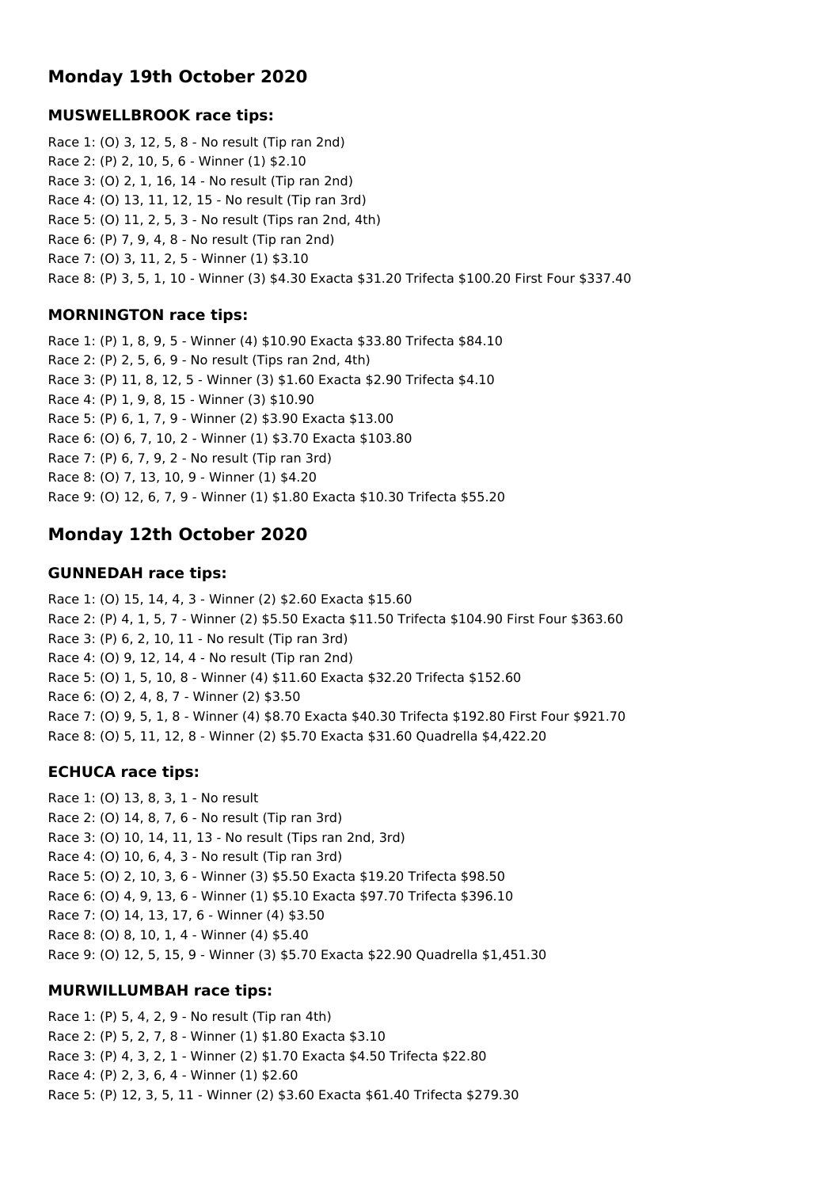# **Monday 19th October 2020**

## **MUSWELLBROOK race tips:**

Race 1: (O) 3, 12, 5, 8 - No result (Tip ran 2nd) Race 2: (P) 2, 10, 5, 6 - Winner (1) \$2.10 Race 3: (O) 2, 1, 16, 14 - No result (Tip ran 2nd) Race 4: (O) 13, 11, 12, 15 - No result (Tip ran 3rd) Race 5: (O) 11, 2, 5, 3 - No result (Tips ran 2nd, 4th) Race 6: (P) 7, 9, 4, 8 - No result (Tip ran 2nd) Race 7: (O) 3, 11, 2, 5 - Winner (1) \$3.10 Race 8: (P) 3, 5, 1, 10 - Winner (3) \$4.30 Exacta \$31.20 Trifecta \$100.20 First Four \$337.40

## **MORNINGTON race tips:**

Race 1: (P) 1, 8, 9, 5 - Winner (4) \$10.90 Exacta \$33.80 Trifecta \$84.10 Race 2: (P) 2, 5, 6, 9 - No result (Tips ran 2nd, 4th) Race 3: (P) 11, 8, 12, 5 - Winner (3) \$1.60 Exacta \$2.90 Trifecta \$4.10 Race 4: (P) 1, 9, 8, 15 - Winner (3) \$10.90 Race 5: (P) 6, 1, 7, 9 - Winner (2) \$3.90 Exacta \$13.00 Race 6: (O) 6, 7, 10, 2 - Winner (1) \$3.70 Exacta \$103.80 Race 7: (P) 6, 7, 9, 2 - No result (Tip ran 3rd) Race 8: (O) 7, 13, 10, 9 - Winner (1) \$4.20 Race 9: (O) 12, 6, 7, 9 - Winner (1) \$1.80 Exacta \$10.30 Trifecta \$55.20

# **Monday 12th October 2020**

## **GUNNEDAH race tips:**

Race 1: (O) 15, 14, 4, 3 - Winner (2) \$2.60 Exacta \$15.60 Race 2: (P) 4, 1, 5, 7 - Winner (2) \$5.50 Exacta \$11.50 Trifecta \$104.90 First Four \$363.60 Race 3: (P) 6, 2, 10, 11 - No result (Tip ran 3rd) Race 4: (O) 9, 12, 14, 4 - No result (Tip ran 2nd) Race 5: (O) 1, 5, 10, 8 - Winner (4) \$11.60 Exacta \$32.20 Trifecta \$152.60 Race 6: (O) 2, 4, 8, 7 - Winner (2) \$3.50 Race 7: (O) 9, 5, 1, 8 - Winner (4) \$8.70 Exacta \$40.30 Trifecta \$192.80 First Four \$921.70 Race 8: (O) 5, 11, 12, 8 - Winner (2) \$5.70 Exacta \$31.60 Quadrella \$4,422.20

## **ECHUCA race tips:**

Race 1: (O) 13, 8, 3, 1 - No result Race 2: (O) 14, 8, 7, 6 - No result (Tip ran 3rd) Race 3: (O) 10, 14, 11, 13 - No result (Tips ran 2nd, 3rd) Race 4: (O) 10, 6, 4, 3 - No result (Tip ran 3rd) Race 5: (O) 2, 10, 3, 6 - Winner (3) \$5.50 Exacta \$19.20 Trifecta \$98.50 Race 6: (O) 4, 9, 13, 6 - Winner (1) \$5.10 Exacta \$97.70 Trifecta \$396.10 Race 7: (O) 14, 13, 17, 6 - Winner (4) \$3.50 Race 8: (O) 8, 10, 1, 4 - Winner (4) \$5.40 Race 9: (O) 12, 5, 15, 9 - Winner (3) \$5.70 Exacta \$22.90 Quadrella \$1,451.30

## **MURWILLUMBAH race tips:**

Race 1: (P) 5, 4, 2, 9 - No result (Tip ran 4th) Race 2: (P) 5, 2, 7, 8 - Winner (1) \$1.80 Exacta \$3.10 Race 3: (P) 4, 3, 2, 1 - Winner (2) \$1.70 Exacta \$4.50 Trifecta \$22.80 Race 4: (P) 2, 3, 6, 4 - Winner (1) \$2.60 Race 5: (P) 12, 3, 5, 11 - Winner (2) \$3.60 Exacta \$61.40 Trifecta \$279.30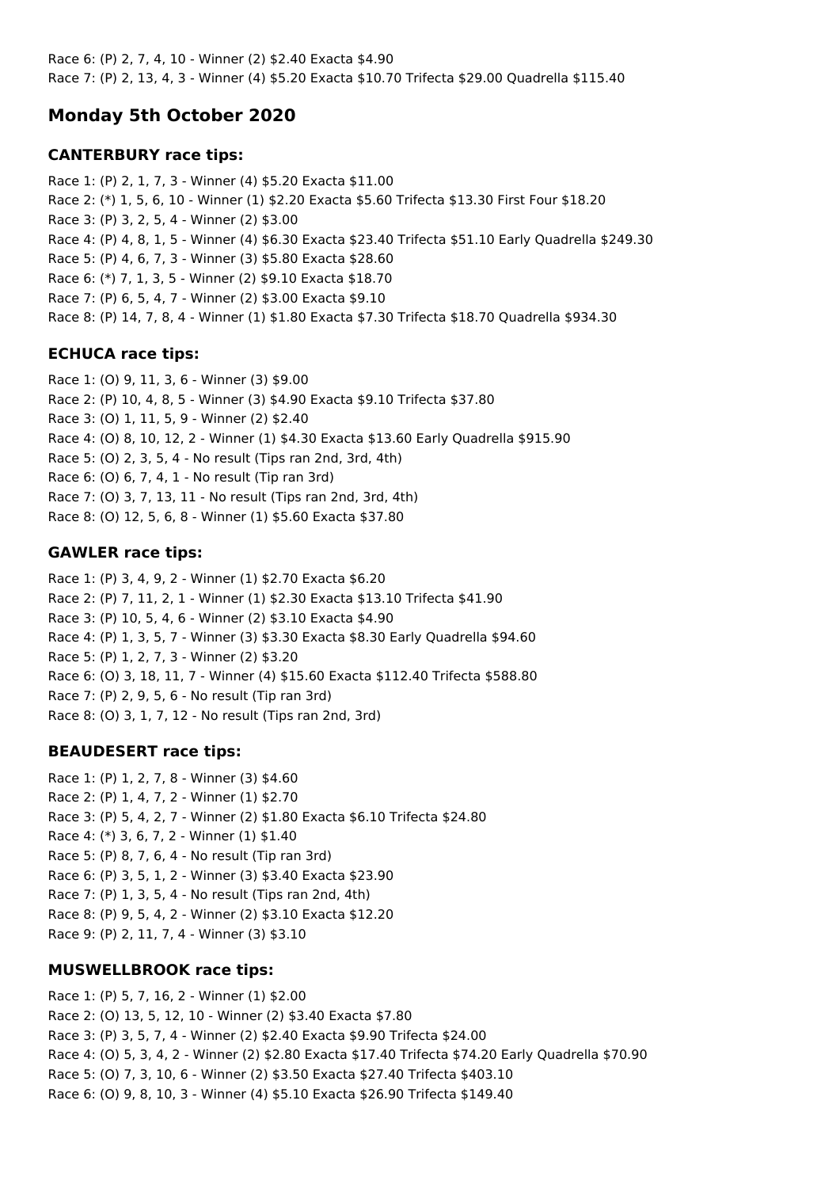Race 6: (P) 2, 7, 4, 10 - Winner (2) \$2.40 Exacta \$4.90 Race 7: (P) 2, 13, 4, 3 - Winner (4) \$5.20 Exacta \$10.70 Trifecta \$29.00 Quadrella \$115.40

# **Monday 5th October 2020**

## **CANTERBURY race tips:**

Race 1: (P) 2, 1, 7, 3 - Winner (4) \$5.20 Exacta \$11.00 Race 2: (\*) 1, 5, 6, 10 - Winner (1) \$2.20 Exacta \$5.60 Trifecta \$13.30 First Four \$18.20 Race 3: (P) 3, 2, 5, 4 - Winner (2) \$3.00 Race 4: (P) 4, 8, 1, 5 - Winner (4) \$6.30 Exacta \$23.40 Trifecta \$51.10 Early Quadrella \$249.30 Race 5: (P) 4, 6, 7, 3 - Winner (3) \$5.80 Exacta \$28.60 Race 6: (\*) 7, 1, 3, 5 - Winner (2) \$9.10 Exacta \$18.70 Race 7: (P) 6, 5, 4, 7 - Winner (2) \$3.00 Exacta \$9.10 Race 8: (P) 14, 7, 8, 4 - Winner (1) \$1.80 Exacta \$7.30 Trifecta \$18.70 Quadrella \$934.30

## **ECHUCA race tips:**

Race 1: (O) 9, 11, 3, 6 - Winner (3) \$9.00 Race 2: (P) 10, 4, 8, 5 - Winner (3) \$4.90 Exacta \$9.10 Trifecta \$37.80 Race 3: (O) 1, 11, 5, 9 - Winner (2) \$2.40 Race 4: (O) 8, 10, 12, 2 - Winner (1) \$4.30 Exacta \$13.60 Early Quadrella \$915.90 Race 5: (O) 2, 3, 5, 4 - No result (Tips ran 2nd, 3rd, 4th) Race 6: (O) 6, 7, 4, 1 - No result (Tip ran 3rd) Race 7: (O) 3, 7, 13, 11 - No result (Tips ran 2nd, 3rd, 4th) Race 8: (O) 12, 5, 6, 8 - Winner (1) \$5.60 Exacta \$37.80

## **GAWLER race tips:**

Race 1: (P) 3, 4, 9, 2 - Winner (1) \$2.70 Exacta \$6.20 Race 2: (P) 7, 11, 2, 1 - Winner (1) \$2.30 Exacta \$13.10 Trifecta \$41.90 Race 3: (P) 10, 5, 4, 6 - Winner (2) \$3.10 Exacta \$4.90 Race 4: (P) 1, 3, 5, 7 - Winner (3) \$3.30 Exacta \$8.30 Early Quadrella \$94.60 Race 5: (P) 1, 2, 7, 3 - Winner (2) \$3.20 Race 6: (O) 3, 18, 11, 7 - Winner (4) \$15.60 Exacta \$112.40 Trifecta \$588.80 Race 7: (P) 2, 9, 5, 6 - No result (Tip ran 3rd) Race 8: (O) 3, 1, 7, 12 - No result (Tips ran 2nd, 3rd)

# **BEAUDESERT race tips:**

Race 1: (P) 1, 2, 7, 8 - Winner (3) \$4.60 Race 2: (P) 1, 4, 7, 2 - Winner (1) \$2.70 Race 3: (P) 5, 4, 2, 7 - Winner (2) \$1.80 Exacta \$6.10 Trifecta \$24.80 Race 4: (\*) 3, 6, 7, 2 - Winner (1) \$1.40 Race 5: (P) 8, 7, 6, 4 - No result (Tip ran 3rd) Race 6: (P) 3, 5, 1, 2 - Winner (3) \$3.40 Exacta \$23.90 Race 7: (P) 1, 3, 5, 4 - No result (Tips ran 2nd, 4th) Race 8: (P) 9, 5, 4, 2 - Winner (2) \$3.10 Exacta \$12.20 Race 9: (P) 2, 11, 7, 4 - Winner (3) \$3.10

## **MUSWELLBROOK race tips:**

Race 1: (P) 5, 7, 16, 2 - Winner (1) \$2.00 Race 2: (O) 13, 5, 12, 10 - Winner (2) \$3.40 Exacta \$7.80 Race 3: (P) 3, 5, 7, 4 - Winner (2) \$2.40 Exacta \$9.90 Trifecta \$24.00 Race 4: (O) 5, 3, 4, 2 - Winner (2) \$2.80 Exacta \$17.40 Trifecta \$74.20 Early Quadrella \$70.90 Race 5: (O) 7, 3, 10, 6 - Winner (2) \$3.50 Exacta \$27.40 Trifecta \$403.10 Race 6: (O) 9, 8, 10, 3 - Winner (4) \$5.10 Exacta \$26.90 Trifecta \$149.40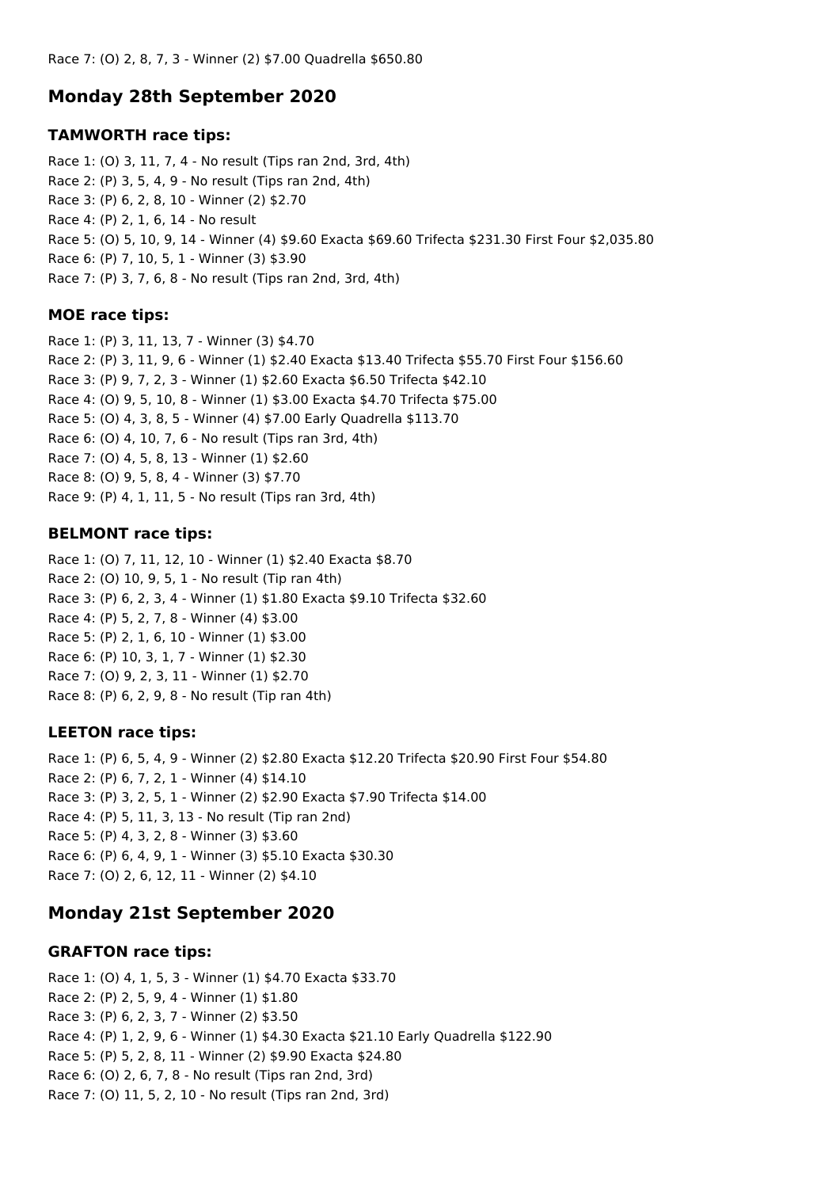# **Monday 28th September 2020**

## **TAMWORTH race tips:**

Race 1: (O) 3, 11, 7, 4 - No result (Tips ran 2nd, 3rd, 4th) Race 2: (P) 3, 5, 4, 9 - No result (Tips ran 2nd, 4th) Race 3: (P) 6, 2, 8, 10 - Winner (2) \$2.70 Race 4: (P) 2, 1, 6, 14 - No result Race 5: (O) 5, 10, 9, 14 - Winner (4) \$9.60 Exacta \$69.60 Trifecta \$231.30 First Four \$2,035.80 Race 6: (P) 7, 10, 5, 1 - Winner (3) \$3.90 Race 7: (P) 3, 7, 6, 8 - No result (Tips ran 2nd, 3rd, 4th)

## **MOE race tips:**

Race 1: (P) 3, 11, 13, 7 - Winner (3) \$4.70 Race 2: (P) 3, 11, 9, 6 - Winner (1) \$2.40 Exacta \$13.40 Trifecta \$55.70 First Four \$156.60 Race 3: (P) 9, 7, 2, 3 - Winner (1) \$2.60 Exacta \$6.50 Trifecta \$42.10 Race 4: (O) 9, 5, 10, 8 - Winner (1) \$3.00 Exacta \$4.70 Trifecta \$75.00 Race 5: (O) 4, 3, 8, 5 - Winner (4) \$7.00 Early Quadrella \$113.70 Race 6: (O) 4, 10, 7, 6 - No result (Tips ran 3rd, 4th) Race 7: (O) 4, 5, 8, 13 - Winner (1) \$2.60 Race 8: (O) 9, 5, 8, 4 - Winner (3) \$7.70 Race 9: (P) 4, 1, 11, 5 - No result (Tips ran 3rd, 4th)

# **BELMONT race tips:**

Race 1: (O) 7, 11, 12, 10 - Winner (1) \$2.40 Exacta \$8.70 Race 2: (O) 10, 9, 5, 1 - No result (Tip ran 4th) Race 3: (P) 6, 2, 3, 4 - Winner (1) \$1.80 Exacta \$9.10 Trifecta \$32.60 Race 4: (P) 5, 2, 7, 8 - Winner (4) \$3.00 Race 5: (P) 2, 1, 6, 10 - Winner (1) \$3.00 Race 6: (P) 10, 3, 1, 7 - Winner (1) \$2.30 Race 7: (O) 9, 2, 3, 11 - Winner (1) \$2.70 Race 8: (P) 6, 2, 9, 8 - No result (Tip ran 4th)

# **LEETON race tips:**

Race 1: (P) 6, 5, 4, 9 - Winner (2) \$2.80 Exacta \$12.20 Trifecta \$20.90 First Four \$54.80 Race 2: (P) 6, 7, 2, 1 - Winner (4) \$14.10 Race 3: (P) 3, 2, 5, 1 - Winner (2) \$2.90 Exacta \$7.90 Trifecta \$14.00 Race 4: (P) 5, 11, 3, 13 - No result (Tip ran 2nd) Race 5: (P) 4, 3, 2, 8 - Winner (3) \$3.60 Race 6: (P) 6, 4, 9, 1 - Winner (3) \$5.10 Exacta \$30.30 Race 7: (O) 2, 6, 12, 11 - Winner (2) \$4.10

# **Monday 21st September 2020**

# **GRAFTON race tips:**

Race 1: (O) 4, 1, 5, 3 - Winner (1) \$4.70 Exacta \$33.70 Race 2: (P) 2, 5, 9, 4 - Winner (1) \$1.80 Race 3: (P) 6, 2, 3, 7 - Winner (2) \$3.50 Race 4: (P) 1, 2, 9, 6 - Winner (1) \$4.30 Exacta \$21.10 Early Quadrella \$122.90 Race 5: (P) 5, 2, 8, 11 - Winner (2) \$9.90 Exacta \$24.80 Race 6: (O) 2, 6, 7, 8 - No result (Tips ran 2nd, 3rd) Race 7: (O) 11, 5, 2, 10 - No result (Tips ran 2nd, 3rd)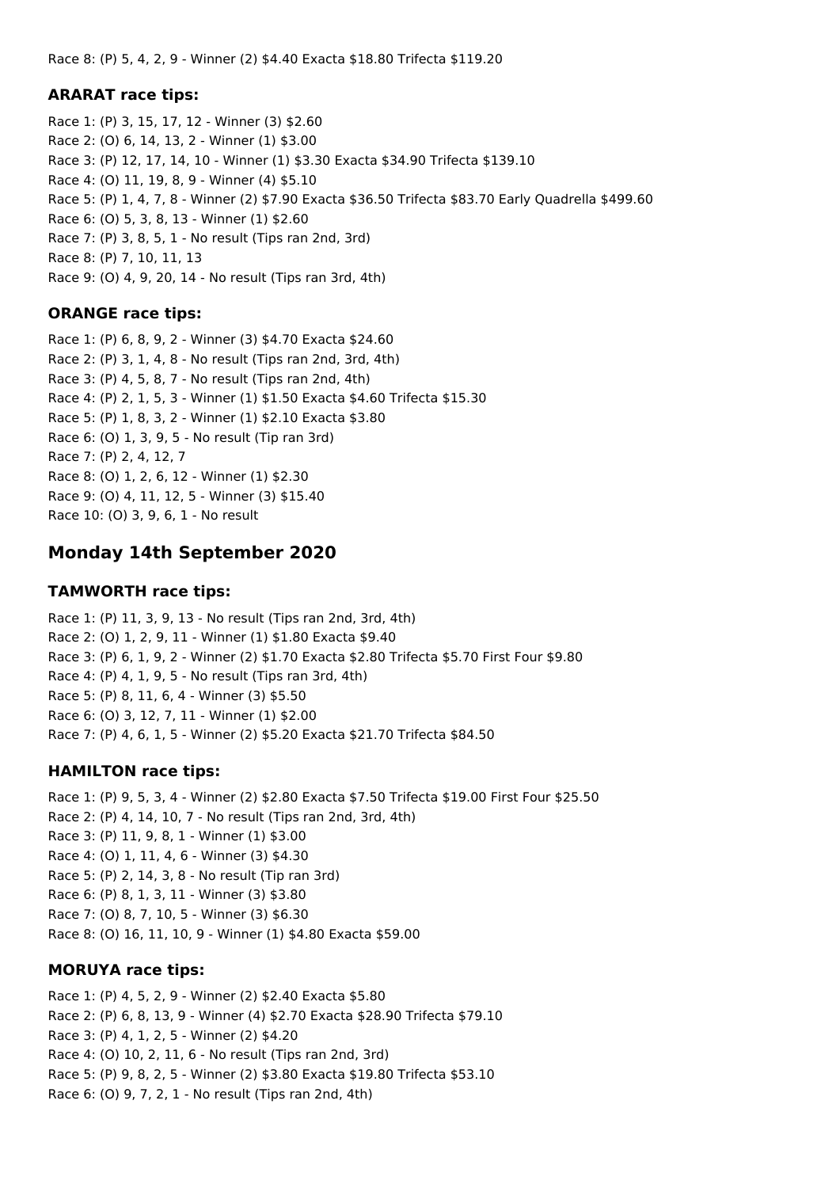Race 8: (P) 5, 4, 2, 9 - Winner (2) \$4.40 Exacta \$18.80 Trifecta \$119.20

#### **ARARAT race tips:**

Race 1: (P) 3, 15, 17, 12 - Winner (3) \$2.60 Race 2: (O) 6, 14, 13, 2 - Winner (1) \$3.00 Race 3: (P) 12, 17, 14, 10 - Winner (1) \$3.30 Exacta \$34.90 Trifecta \$139.10 Race 4: (O) 11, 19, 8, 9 - Winner (4) \$5.10 Race 5: (P) 1, 4, 7, 8 - Winner (2) \$7.90 Exacta \$36.50 Trifecta \$83.70 Early Quadrella \$499.60 Race 6: (O) 5, 3, 8, 13 - Winner (1) \$2.60 Race 7: (P) 3, 8, 5, 1 - No result (Tips ran 2nd, 3rd) Race 8: (P) 7, 10, 11, 13 Race 9: (O) 4, 9, 20, 14 - No result (Tips ran 3rd, 4th)

## **ORANGE race tips:**

Race 1: (P) 6, 8, 9, 2 - Winner (3) \$4.70 Exacta \$24.60 Race 2: (P) 3, 1, 4, 8 - No result (Tips ran 2nd, 3rd, 4th) Race 3: (P) 4, 5, 8, 7 - No result (Tips ran 2nd, 4th) Race 4: (P) 2, 1, 5, 3 - Winner (1) \$1.50 Exacta \$4.60 Trifecta \$15.30 Race 5: (P) 1, 8, 3, 2 - Winner (1) \$2.10 Exacta \$3.80 Race 6: (O) 1, 3, 9, 5 - No result (Tip ran 3rd) Race 7: (P) 2, 4, 12, 7 Race 8: (O) 1, 2, 6, 12 - Winner (1) \$2.30 Race 9: (O) 4, 11, 12, 5 - Winner (3) \$15.40 Race 10: (O) 3, 9, 6, 1 - No result

# **Monday 14th September 2020**

#### **TAMWORTH race tips:**

Race 1: (P) 11, 3, 9, 13 - No result (Tips ran 2nd, 3rd, 4th) Race 2: (O) 1, 2, 9, 11 - Winner (1) \$1.80 Exacta \$9.40 Race 3: (P) 6, 1, 9, 2 - Winner (2) \$1.70 Exacta \$2.80 Trifecta \$5.70 First Four \$9.80 Race 4: (P) 4, 1, 9, 5 - No result (Tips ran 3rd, 4th) Race 5: (P) 8, 11, 6, 4 - Winner (3) \$5.50 Race 6: (O) 3, 12, 7, 11 - Winner (1) \$2.00 Race 7: (P) 4, 6, 1, 5 - Winner (2) \$5.20 Exacta \$21.70 Trifecta \$84.50

## **HAMILTON race tips:**

Race 1: (P) 9, 5, 3, 4 - Winner (2) \$2.80 Exacta \$7.50 Trifecta \$19.00 First Four \$25.50 Race 2: (P) 4, 14, 10, 7 - No result (Tips ran 2nd, 3rd, 4th) Race 3: (P) 11, 9, 8, 1 - Winner (1) \$3.00 Race 4: (O) 1, 11, 4, 6 - Winner (3) \$4.30 Race 5: (P) 2, 14, 3, 8 - No result (Tip ran 3rd) Race 6: (P) 8, 1, 3, 11 - Winner (3) \$3.80 Race 7: (O) 8, 7, 10, 5 - Winner (3) \$6.30 Race 8: (O) 16, 11, 10, 9 - Winner (1) \$4.80 Exacta \$59.00

#### **MORUYA race tips:**

Race 1: (P) 4, 5, 2, 9 - Winner (2) \$2.40 Exacta \$5.80 Race 2: (P) 6, 8, 13, 9 - Winner (4) \$2.70 Exacta \$28.90 Trifecta \$79.10 Race 3: (P) 4, 1, 2, 5 - Winner (2) \$4.20 Race 4: (O) 10, 2, 11, 6 - No result (Tips ran 2nd, 3rd) Race 5: (P) 9, 8, 2, 5 - Winner (2) \$3.80 Exacta \$19.80 Trifecta \$53.10 Race 6: (O) 9, 7, 2, 1 - No result (Tips ran 2nd, 4th)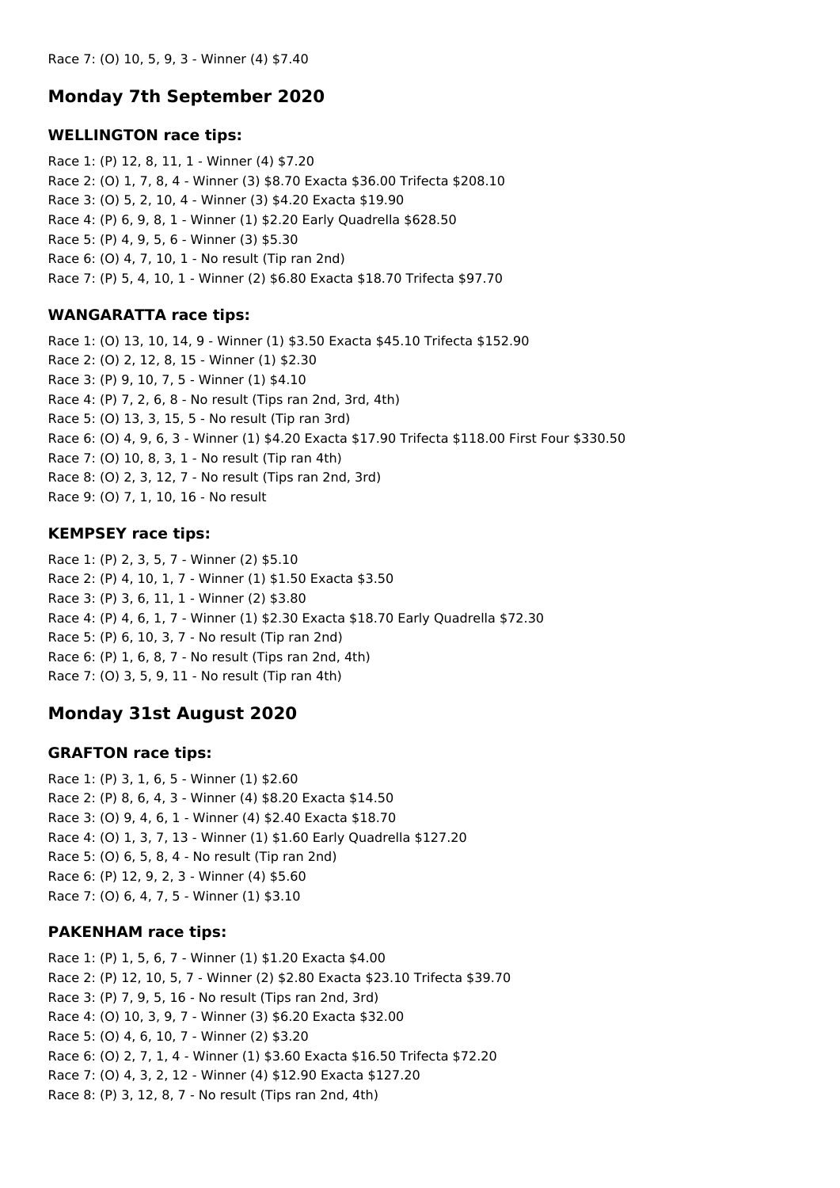# **Monday 7th September 2020**

# **WELLINGTON race tips:**

Race 1: (P) 12, 8, 11, 1 - Winner (4) \$7.20 Race 2: (O) 1, 7, 8, 4 - Winner (3) \$8.70 Exacta \$36.00 Trifecta \$208.10 Race 3: (O) 5, 2, 10, 4 - Winner (3) \$4.20 Exacta \$19.90 Race 4: (P) 6, 9, 8, 1 - Winner (1) \$2.20 Early Quadrella \$628.50 Race 5: (P) 4, 9, 5, 6 - Winner (3) \$5.30 Race 6: (O) 4, 7, 10, 1 - No result (Tip ran 2nd) Race 7: (P) 5, 4, 10, 1 - Winner (2) \$6.80 Exacta \$18.70 Trifecta \$97.70

# **WANGARATTA race tips:**

Race 1: (O) 13, 10, 14, 9 - Winner (1) \$3.50 Exacta \$45.10 Trifecta \$152.90 Race 2: (O) 2, 12, 8, 15 - Winner (1) \$2.30 Race 3: (P) 9, 10, 7, 5 - Winner (1) \$4.10 Race 4: (P) 7, 2, 6, 8 - No result (Tips ran 2nd, 3rd, 4th) Race 5: (O) 13, 3, 15, 5 - No result (Tip ran 3rd) Race 6: (O) 4, 9, 6, 3 - Winner (1) \$4.20 Exacta \$17.90 Trifecta \$118.00 First Four \$330.50 Race 7: (O) 10, 8, 3, 1 - No result (Tip ran 4th) Race 8: (O) 2, 3, 12, 7 - No result (Tips ran 2nd, 3rd) Race 9: (O) 7, 1, 10, 16 - No result

# **KEMPSEY race tips:**

Race 1: (P) 2, 3, 5, 7 - Winner (2) \$5.10 Race 2: (P) 4, 10, 1, 7 - Winner (1) \$1.50 Exacta \$3.50 Race 3: (P) 3, 6, 11, 1 - Winner (2) \$3.80 Race 4: (P) 4, 6, 1, 7 - Winner (1) \$2.30 Exacta \$18.70 Early Quadrella \$72.30 Race 5: (P) 6, 10, 3, 7 - No result (Tip ran 2nd) Race 6: (P) 1, 6, 8, 7 - No result (Tips ran 2nd, 4th) Race 7: (O) 3, 5, 9, 11 - No result (Tip ran 4th)

# **Monday 31st August 2020**

# **GRAFTON race tips:**

Race 1: (P) 3, 1, 6, 5 - Winner (1) \$2.60 Race 2: (P) 8, 6, 4, 3 - Winner (4) \$8.20 Exacta \$14.50 Race 3: (O) 9, 4, 6, 1 - Winner (4) \$2.40 Exacta \$18.70 Race 4: (O) 1, 3, 7, 13 - Winner (1) \$1.60 Early Quadrella \$127.20 Race 5: (O) 6, 5, 8, 4 - No result (Tip ran 2nd) Race 6: (P) 12, 9, 2, 3 - Winner (4) \$5.60 Race 7: (O) 6, 4, 7, 5 - Winner (1) \$3.10

# **PAKENHAM race tips:**

Race 1: (P) 1, 5, 6, 7 - Winner (1) \$1.20 Exacta \$4.00 Race 2: (P) 12, 10, 5, 7 - Winner (2) \$2.80 Exacta \$23.10 Trifecta \$39.70 Race 3: (P) 7, 9, 5, 16 - No result (Tips ran 2nd, 3rd) Race 4: (O) 10, 3, 9, 7 - Winner (3) \$6.20 Exacta \$32.00 Race 5: (O) 4, 6, 10, 7 - Winner (2) \$3.20 Race 6: (O) 2, 7, 1, 4 - Winner (1) \$3.60 Exacta \$16.50 Trifecta \$72.20 Race 7: (O) 4, 3, 2, 12 - Winner (4) \$12.90 Exacta \$127.20 Race 8: (P) 3, 12, 8, 7 - No result (Tips ran 2nd, 4th)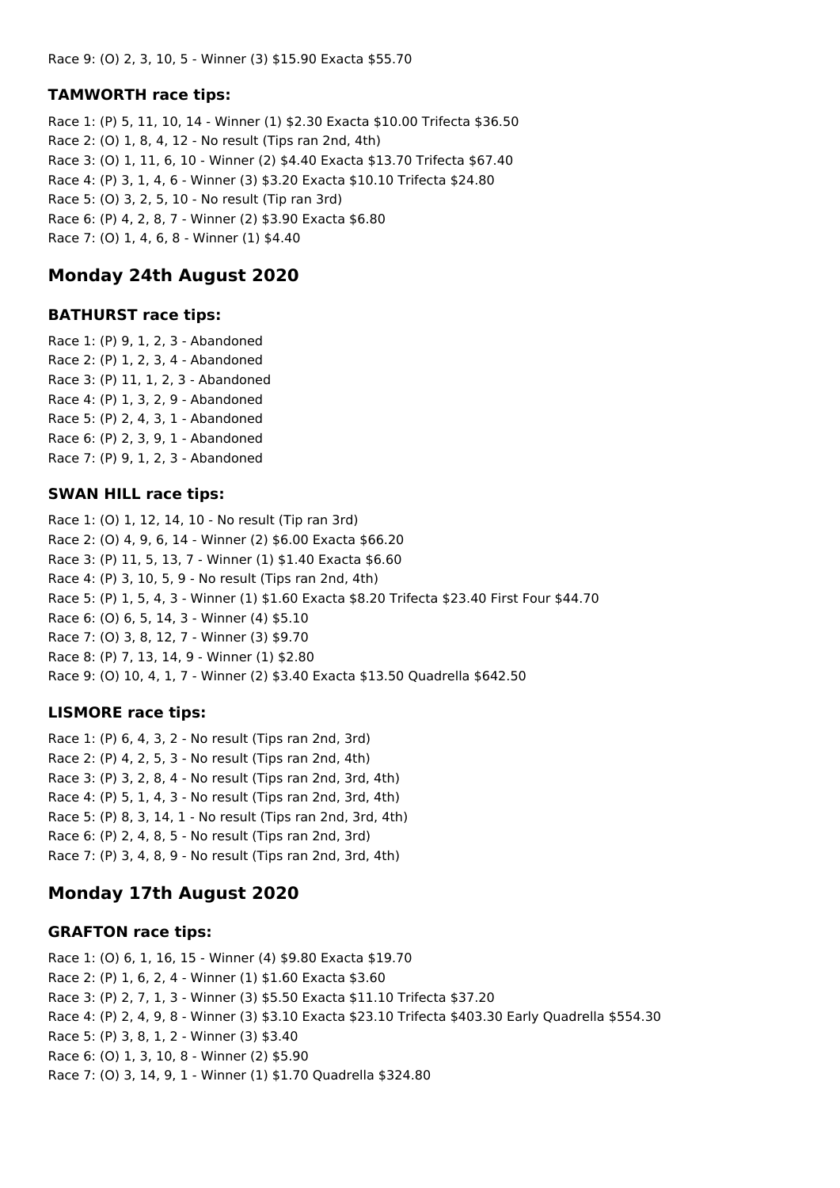Race 9: (O) 2, 3, 10, 5 - Winner (3) \$15.90 Exacta \$55.70

## **TAMWORTH race tips:**

Race 1: (P) 5, 11, 10, 14 - Winner (1) \$2.30 Exacta \$10.00 Trifecta \$36.50 Race 2: (O) 1, 8, 4, 12 - No result (Tips ran 2nd, 4th) Race 3: (O) 1, 11, 6, 10 - Winner (2) \$4.40 Exacta \$13.70 Trifecta \$67.40 Race 4: (P) 3, 1, 4, 6 - Winner (3) \$3.20 Exacta \$10.10 Trifecta \$24.80 Race 5: (O) 3, 2, 5, 10 - No result (Tip ran 3rd) Race 6: (P) 4, 2, 8, 7 - Winner (2) \$3.90 Exacta \$6.80 Race 7: (O) 1, 4, 6, 8 - Winner (1) \$4.40

# **Monday 24th August 2020**

#### **BATHURST race tips:**

Race 1: (P) 9, 1, 2, 3 - Abandoned Race 2: (P) 1, 2, 3, 4 - Abandoned Race 3: (P) 11, 1, 2, 3 - Abandoned Race 4: (P) 1, 3, 2, 9 - Abandoned Race 5: (P) 2, 4, 3, 1 - Abandoned Race 6: (P) 2, 3, 9, 1 - Abandoned Race 7: (P) 9, 1, 2, 3 - Abandoned

## **SWAN HILL race tips:**

Race 1: (O) 1, 12, 14, 10 - No result (Tip ran 3rd) Race 2: (O) 4, 9, 6, 14 - Winner (2) \$6.00 Exacta \$66.20 Race 3: (P) 11, 5, 13, 7 - Winner (1) \$1.40 Exacta \$6.60 Race 4: (P) 3, 10, 5, 9 - No result (Tips ran 2nd, 4th) Race 5: (P) 1, 5, 4, 3 - Winner (1) \$1.60 Exacta \$8.20 Trifecta \$23.40 First Four \$44.70 Race 6: (O) 6, 5, 14, 3 - Winner (4) \$5.10 Race 7: (O) 3, 8, 12, 7 - Winner (3) \$9.70 Race 8: (P) 7, 13, 14, 9 - Winner (1) \$2.80 Race 9: (O) 10, 4, 1, 7 - Winner (2) \$3.40 Exacta \$13.50 Quadrella \$642.50

## **LISMORE race tips:**

Race 1: (P) 6, 4, 3, 2 - No result (Tips ran 2nd, 3rd) Race 2: (P) 4, 2, 5, 3 - No result (Tips ran 2nd, 4th) Race 3: (P) 3, 2, 8, 4 - No result (Tips ran 2nd, 3rd, 4th) Race 4: (P) 5, 1, 4, 3 - No result (Tips ran 2nd, 3rd, 4th) Race 5: (P) 8, 3, 14, 1 - No result (Tips ran 2nd, 3rd, 4th) Race 6: (P) 2, 4, 8, 5 - No result (Tips ran 2nd, 3rd) Race 7: (P) 3, 4, 8, 9 - No result (Tips ran 2nd, 3rd, 4th)

# **Monday 17th August 2020**

#### **GRAFTON race tips:**

Race 1: (O) 6, 1, 16, 15 - Winner (4) \$9.80 Exacta \$19.70 Race 2: (P) 1, 6, 2, 4 - Winner (1) \$1.60 Exacta \$3.60 Race 3: (P) 2, 7, 1, 3 - Winner (3) \$5.50 Exacta \$11.10 Trifecta \$37.20 Race 4: (P) 2, 4, 9, 8 - Winner (3) \$3.10 Exacta \$23.10 Trifecta \$403.30 Early Quadrella \$554.30 Race 5: (P) 3, 8, 1, 2 - Winner (3) \$3.40 Race 6: (O) 1, 3, 10, 8 - Winner (2) \$5.90 Race 7: (O) 3, 14, 9, 1 - Winner (1) \$1.70 Quadrella \$324.80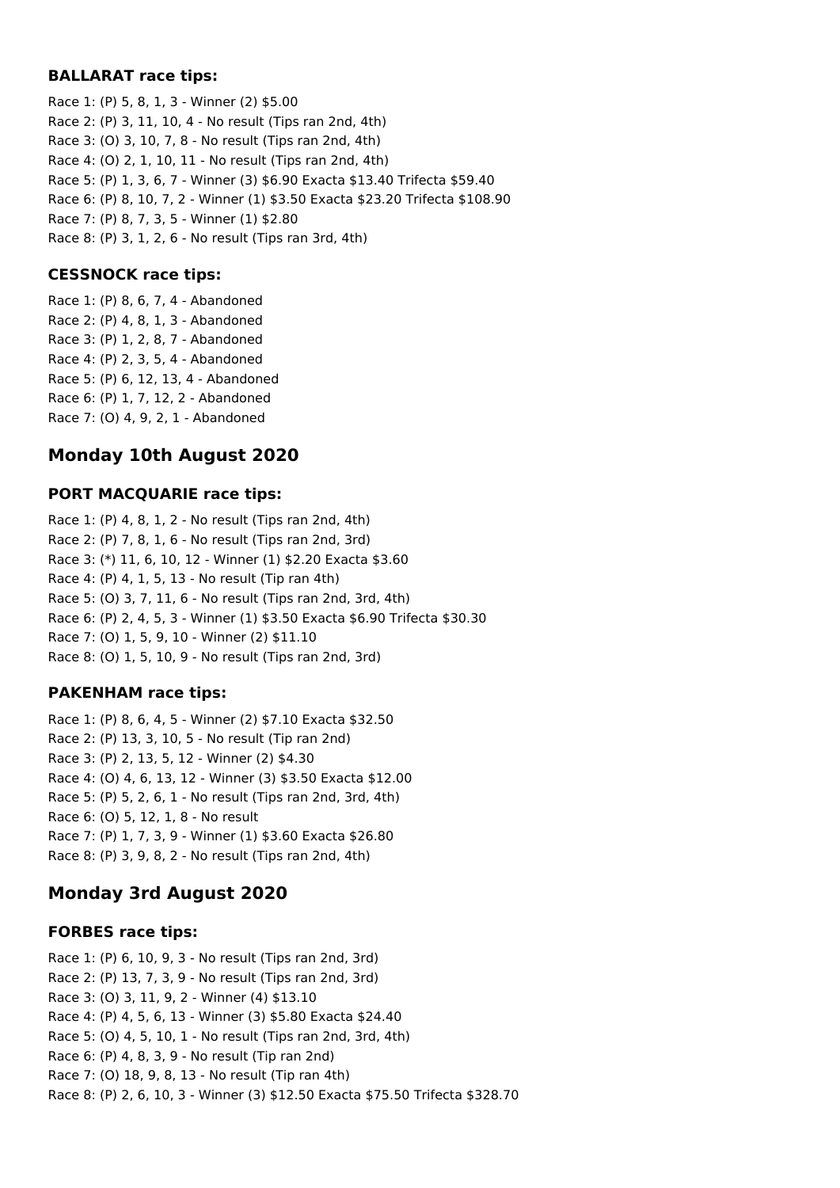## **BALLARAT race tips:**

Race 1: (P) 5, 8, 1, 3 - Winner (2) \$5.00 Race 2: (P) 3, 11, 10, 4 - No result (Tips ran 2nd, 4th) Race 3: (O) 3, 10, 7, 8 - No result (Tips ran 2nd, 4th) Race 4: (O) 2, 1, 10, 11 - No result (Tips ran 2nd, 4th) Race 5: (P) 1, 3, 6, 7 - Winner (3) \$6.90 Exacta \$13.40 Trifecta \$59.40 Race 6: (P) 8, 10, 7, 2 - Winner (1) \$3.50 Exacta \$23.20 Trifecta \$108.90 Race 7: (P) 8, 7, 3, 5 - Winner (1) \$2.80 Race 8: (P) 3, 1, 2, 6 - No result (Tips ran 3rd, 4th)

## **CESSNOCK race tips:**

Race 1: (P) 8, 6, 7, 4 - Abandoned Race 2: (P) 4, 8, 1, 3 - Abandoned Race 3: (P) 1, 2, 8, 7 - Abandoned Race 4: (P) 2, 3, 5, 4 - Abandoned Race 5: (P) 6, 12, 13, 4 - Abandoned Race 6: (P) 1, 7, 12, 2 - Abandoned Race 7: (O) 4, 9, 2, 1 - Abandoned

# **Monday 10th August 2020**

## **PORT MACQUARIE race tips:**

Race 1: (P) 4, 8, 1, 2 - No result (Tips ran 2nd, 4th) Race 2: (P) 7, 8, 1, 6 - No result (Tips ran 2nd, 3rd) Race 3: (\*) 11, 6, 10, 12 - Winner (1) \$2.20 Exacta \$3.60 Race 4: (P) 4, 1, 5, 13 - No result (Tip ran 4th) Race 5: (O) 3, 7, 11, 6 - No result (Tips ran 2nd, 3rd, 4th) Race 6: (P) 2, 4, 5, 3 - Winner (1) \$3.50 Exacta \$6.90 Trifecta \$30.30 Race 7: (O) 1, 5, 9, 10 - Winner (2) \$11.10 Race 8: (O) 1, 5, 10, 9 - No result (Tips ran 2nd, 3rd)

## **PAKENHAM race tips:**

Race 1: (P) 8, 6, 4, 5 - Winner (2) \$7.10 Exacta \$32.50 Race 2: (P) 13, 3, 10, 5 - No result (Tip ran 2nd) Race 3: (P) 2, 13, 5, 12 - Winner (2) \$4.30 Race 4: (O) 4, 6, 13, 12 - Winner (3) \$3.50 Exacta \$12.00 Race 5: (P) 5, 2, 6, 1 - No result (Tips ran 2nd, 3rd, 4th) Race 6: (O) 5, 12, 1, 8 - No result Race 7: (P) 1, 7, 3, 9 - Winner (1) \$3.60 Exacta \$26.80 Race 8: (P) 3, 9, 8, 2 - No result (Tips ran 2nd, 4th)

# **Monday 3rd August 2020**

## **FORBES race tips:**

Race 1: (P) 6, 10, 9, 3 - No result (Tips ran 2nd, 3rd) Race 2: (P) 13, 7, 3, 9 - No result (Tips ran 2nd, 3rd) Race 3: (O) 3, 11, 9, 2 - Winner (4) \$13.10 Race 4: (P) 4, 5, 6, 13 - Winner (3) \$5.80 Exacta \$24.40 Race 5: (O) 4, 5, 10, 1 - No result (Tips ran 2nd, 3rd, 4th) Race 6: (P) 4, 8, 3, 9 - No result (Tip ran 2nd) Race 7: (O) 18, 9, 8, 13 - No result (Tip ran 4th) Race 8: (P) 2, 6, 10, 3 - Winner (3) \$12.50 Exacta \$75.50 Trifecta \$328.70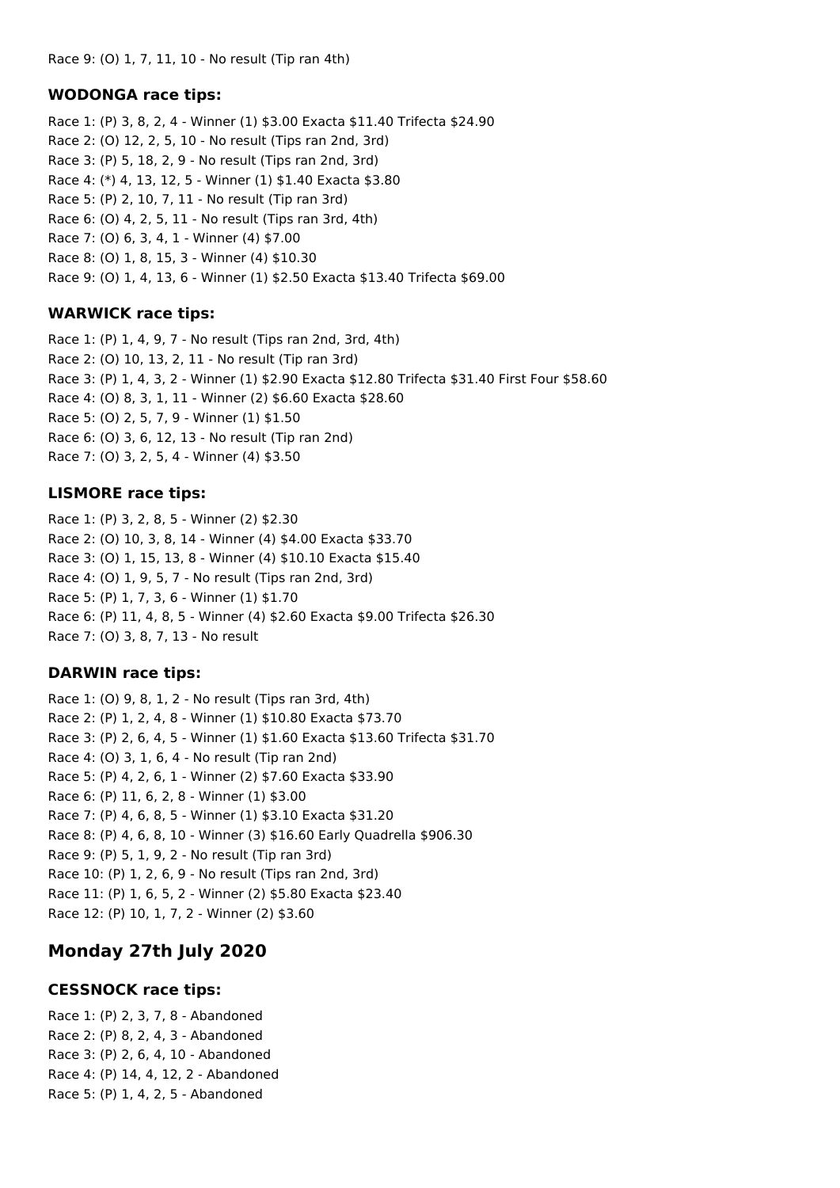#### **WODONGA race tips:**

Race 1: (P) 3, 8, 2, 4 - Winner (1) \$3.00 Exacta \$11.40 Trifecta \$24.90 Race 2: (O) 12, 2, 5, 10 - No result (Tips ran 2nd, 3rd) Race 3: (P) 5, 18, 2, 9 - No result (Tips ran 2nd, 3rd) Race 4: (\*) 4, 13, 12, 5 - Winner (1) \$1.40 Exacta \$3.80 Race 5: (P) 2, 10, 7, 11 - No result (Tip ran 3rd) Race 6: (O) 4, 2, 5, 11 - No result (Tips ran 3rd, 4th) Race 7: (O) 6, 3, 4, 1 - Winner (4) \$7.00 Race 8: (O) 1, 8, 15, 3 - Winner (4) \$10.30 Race 9: (O) 1, 4, 13, 6 - Winner (1) \$2.50 Exacta \$13.40 Trifecta \$69.00

## **WARWICK race tips:**

Race 1: (P) 1, 4, 9, 7 - No result (Tips ran 2nd, 3rd, 4th) Race 2: (O) 10, 13, 2, 11 - No result (Tip ran 3rd) Race 3: (P) 1, 4, 3, 2 - Winner (1) \$2.90 Exacta \$12.80 Trifecta \$31.40 First Four \$58.60 Race 4: (O) 8, 3, 1, 11 - Winner (2) \$6.60 Exacta \$28.60 Race 5: (O) 2, 5, 7, 9 - Winner (1) \$1.50 Race 6: (O) 3, 6, 12, 13 - No result (Tip ran 2nd) Race 7: (O) 3, 2, 5, 4 - Winner (4) \$3.50

#### **LISMORE race tips:**

Race 1: (P) 3, 2, 8, 5 - Winner (2) \$2.30 Race 2: (O) 10, 3, 8, 14 - Winner (4) \$4.00 Exacta \$33.70 Race 3: (O) 1, 15, 13, 8 - Winner (4) \$10.10 Exacta \$15.40 Race 4: (O) 1, 9, 5, 7 - No result (Tips ran 2nd, 3rd) Race 5: (P) 1, 7, 3, 6 - Winner (1) \$1.70 Race 6: (P) 11, 4, 8, 5 - Winner (4) \$2.60 Exacta \$9.00 Trifecta \$26.30 Race 7: (O) 3, 8, 7, 13 - No result

#### **DARWIN race tips:**

Race 1: (O) 9, 8, 1, 2 - No result (Tips ran 3rd, 4th) Race 2: (P) 1, 2, 4, 8 - Winner (1) \$10.80 Exacta \$73.70 Race 3: (P) 2, 6, 4, 5 - Winner (1) \$1.60 Exacta \$13.60 Trifecta \$31.70 Race 4: (O) 3, 1, 6, 4 - No result (Tip ran 2nd) Race 5: (P) 4, 2, 6, 1 - Winner (2) \$7.60 Exacta \$33.90 Race 6: (P) 11, 6, 2, 8 - Winner (1) \$3.00 Race 7: (P) 4, 6, 8, 5 - Winner (1) \$3.10 Exacta \$31.20 Race 8: (P) 4, 6, 8, 10 - Winner (3) \$16.60 Early Quadrella \$906.30 Race 9: (P) 5, 1, 9, 2 - No result (Tip ran 3rd) Race 10: (P) 1, 2, 6, 9 - No result (Tips ran 2nd, 3rd) Race 11: (P) 1, 6, 5, 2 - Winner (2) \$5.80 Exacta \$23.40 Race 12: (P) 10, 1, 7, 2 - Winner (2) \$3.60

# **Monday 27th July 2020**

## **CESSNOCK race tips:**

Race 1: (P) 2, 3, 7, 8 - Abandoned Race 2: (P) 8, 2, 4, 3 - Abandoned Race 3: (P) 2, 6, 4, 10 - Abandoned Race 4: (P) 14, 4, 12, 2 - Abandoned Race 5: (P) 1, 4, 2, 5 - Abandoned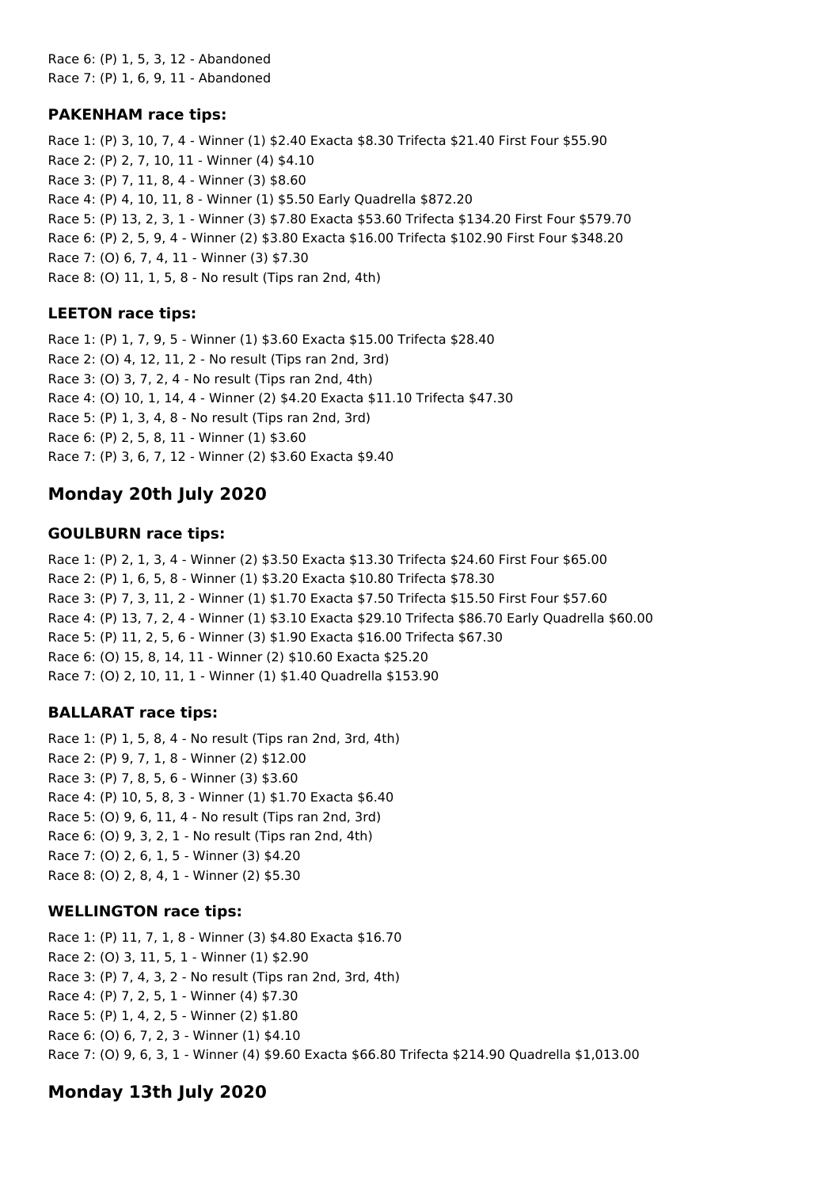Race 6: (P) 1, 5, 3, 12 - Abandoned Race 7: (P) 1, 6, 9, 11 - Abandoned

## **PAKENHAM race tips:**

Race 1: (P) 3, 10, 7, 4 - Winner (1) \$2.40 Exacta \$8.30 Trifecta \$21.40 First Four \$55.90 Race 2: (P) 2, 7, 10, 11 - Winner (4) \$4.10 Race 3: (P) 7, 11, 8, 4 - Winner (3) \$8.60 Race 4: (P) 4, 10, 11, 8 - Winner (1) \$5.50 Early Quadrella \$872.20 Race 5: (P) 13, 2, 3, 1 - Winner (3) \$7.80 Exacta \$53.60 Trifecta \$134.20 First Four \$579.70 Race 6: (P) 2, 5, 9, 4 - Winner (2) \$3.80 Exacta \$16.00 Trifecta \$102.90 First Four \$348.20 Race 7: (O) 6, 7, 4, 11 - Winner (3) \$7.30 Race 8: (O) 11, 1, 5, 8 - No result (Tips ran 2nd, 4th)

## **LEETON race tips:**

Race 1: (P) 1, 7, 9, 5 - Winner (1) \$3.60 Exacta \$15.00 Trifecta \$28.40 Race 2: (O) 4, 12, 11, 2 - No result (Tips ran 2nd, 3rd) Race 3: (O) 3, 7, 2, 4 - No result (Tips ran 2nd, 4th) Race 4: (O) 10, 1, 14, 4 - Winner (2) \$4.20 Exacta \$11.10 Trifecta \$47.30 Race 5: (P) 1, 3, 4, 8 - No result (Tips ran 2nd, 3rd) Race 6: (P) 2, 5, 8, 11 - Winner (1) \$3.60 Race 7: (P) 3, 6, 7, 12 - Winner (2) \$3.60 Exacta \$9.40

# **Monday 20th July 2020**

#### **GOULBURN race tips:**

Race 1: (P) 2, 1, 3, 4 - Winner (2) \$3.50 Exacta \$13.30 Trifecta \$24.60 First Four \$65.00 Race 2: (P) 1, 6, 5, 8 - Winner (1) \$3.20 Exacta \$10.80 Trifecta \$78.30 Race 3: (P) 7, 3, 11, 2 - Winner (1) \$1.70 Exacta \$7.50 Trifecta \$15.50 First Four \$57.60 Race 4: (P) 13, 7, 2, 4 - Winner (1) \$3.10 Exacta \$29.10 Trifecta \$86.70 Early Quadrella \$60.00 Race 5: (P) 11, 2, 5, 6 - Winner (3) \$1.90 Exacta \$16.00 Trifecta \$67.30 Race 6: (O) 15, 8, 14, 11 - Winner (2) \$10.60 Exacta \$25.20 Race 7: (O) 2, 10, 11, 1 - Winner (1) \$1.40 Quadrella \$153.90

## **BALLARAT race tips:**

Race 1: (P) 1, 5, 8, 4 - No result (Tips ran 2nd, 3rd, 4th) Race 2: (P) 9, 7, 1, 8 - Winner (2) \$12.00 Race 3: (P) 7, 8, 5, 6 - Winner (3) \$3.60 Race 4: (P) 10, 5, 8, 3 - Winner (1) \$1.70 Exacta \$6.40 Race 5: (O) 9, 6, 11, 4 - No result (Tips ran 2nd, 3rd) Race 6: (O) 9, 3, 2, 1 - No result (Tips ran 2nd, 4th) Race 7: (O) 2, 6, 1, 5 - Winner (3) \$4.20 Race 8: (O) 2, 8, 4, 1 - Winner (2) \$5.30

## **WELLINGTON race tips:**

Race 1: (P) 11, 7, 1, 8 - Winner (3) \$4.80 Exacta \$16.70 Race 2: (O) 3, 11, 5, 1 - Winner (1) \$2.90 Race 3: (P) 7, 4, 3, 2 - No result (Tips ran 2nd, 3rd, 4th) Race 4: (P) 7, 2, 5, 1 - Winner (4) \$7.30 Race 5: (P) 1, 4, 2, 5 - Winner (2) \$1.80 Race 6: (O) 6, 7, 2, 3 - Winner (1) \$4.10 Race 7: (O) 9, 6, 3, 1 - Winner (4) \$9.60 Exacta \$66.80 Trifecta \$214.90 Quadrella \$1,013.00

# **Monday 13th July 2020**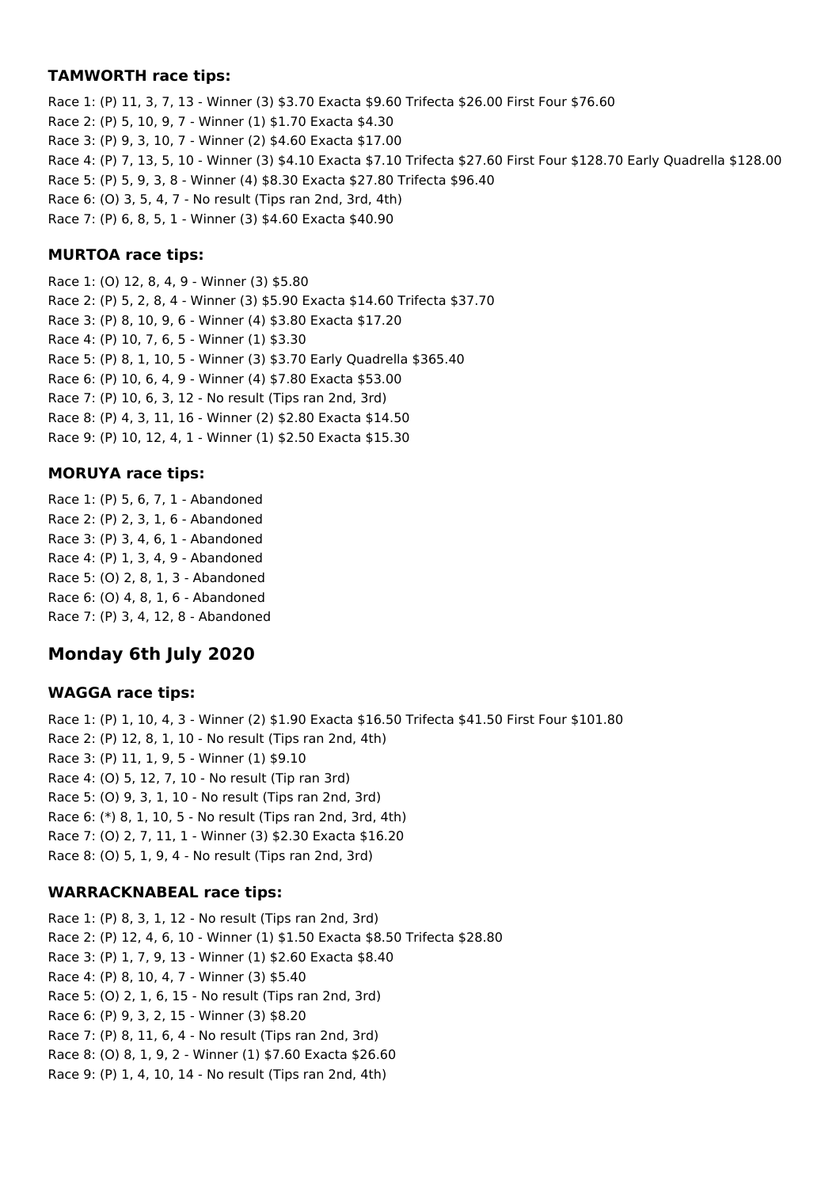## **TAMWORTH race tips:**

Race 1: (P) 11, 3, 7, 13 - Winner (3) \$3.70 Exacta \$9.60 Trifecta \$26.00 First Four \$76.60 Race 2: (P) 5, 10, 9, 7 - Winner (1) \$1.70 Exacta \$4.30 Race 3: (P) 9, 3, 10, 7 - Winner (2) \$4.60 Exacta \$17.00 Race 4: (P) 7, 13, 5, 10 - Winner (3) \$4.10 Exacta \$7.10 Trifecta \$27.60 First Four \$128.70 Early Quadrella \$128.00 Race 5: (P) 5, 9, 3, 8 - Winner (4) \$8.30 Exacta \$27.80 Trifecta \$96.40 Race 6: (O) 3, 5, 4, 7 - No result (Tips ran 2nd, 3rd, 4th) Race 7: (P) 6, 8, 5, 1 - Winner (3) \$4.60 Exacta \$40.90

## **MURTOA race tips:**

Race 1: (O) 12, 8, 4, 9 - Winner (3) \$5.80 Race 2: (P) 5, 2, 8, 4 - Winner (3) \$5.90 Exacta \$14.60 Trifecta \$37.70 Race 3: (P) 8, 10, 9, 6 - Winner (4) \$3.80 Exacta \$17.20 Race 4: (P) 10, 7, 6, 5 - Winner (1) \$3.30 Race 5: (P) 8, 1, 10, 5 - Winner (3) \$3.70 Early Quadrella \$365.40 Race 6: (P) 10, 6, 4, 9 - Winner (4) \$7.80 Exacta \$53.00 Race 7: (P) 10, 6, 3, 12 - No result (Tips ran 2nd, 3rd) Race 8: (P) 4, 3, 11, 16 - Winner (2) \$2.80 Exacta \$14.50 Race 9: (P) 10, 12, 4, 1 - Winner (1) \$2.50 Exacta \$15.30

## **MORUYA race tips:**

Race 1: (P) 5, 6, 7, 1 - Abandoned Race 2: (P) 2, 3, 1, 6 - Abandoned Race 3: (P) 3, 4, 6, 1 - Abandoned Race 4: (P) 1, 3, 4, 9 - Abandoned Race 5: (O) 2, 8, 1, 3 - Abandoned Race 6: (O) 4, 8, 1, 6 - Abandoned Race 7: (P) 3, 4, 12, 8 - Abandoned

# **Monday 6th July 2020**

## **WAGGA race tips:**

Race 1: (P) 1, 10, 4, 3 - Winner (2) \$1.90 Exacta \$16.50 Trifecta \$41.50 First Four \$101.80 Race 2: (P) 12, 8, 1, 10 - No result (Tips ran 2nd, 4th) Race 3: (P) 11, 1, 9, 5 - Winner (1) \$9.10 Race 4: (O) 5, 12, 7, 10 - No result (Tip ran 3rd) Race 5: (O) 9, 3, 1, 10 - No result (Tips ran 2nd, 3rd) Race 6: (\*) 8, 1, 10, 5 - No result (Tips ran 2nd, 3rd, 4th) Race 7: (O) 2, 7, 11, 1 - Winner (3) \$2.30 Exacta \$16.20 Race 8: (O) 5, 1, 9, 4 - No result (Tips ran 2nd, 3rd)

# **WARRACKNABEAL race tips:**

Race 1: (P) 8, 3, 1, 12 - No result (Tips ran 2nd, 3rd) Race 2: (P) 12, 4, 6, 10 - Winner (1) \$1.50 Exacta \$8.50 Trifecta \$28.80 Race 3: (P) 1, 7, 9, 13 - Winner (1) \$2.60 Exacta \$8.40 Race 4: (P) 8, 10, 4, 7 - Winner (3) \$5.40 Race 5: (O) 2, 1, 6, 15 - No result (Tips ran 2nd, 3rd) Race 6: (P) 9, 3, 2, 15 - Winner (3) \$8.20 Race 7: (P) 8, 11, 6, 4 - No result (Tips ran 2nd, 3rd) Race 8: (O) 8, 1, 9, 2 - Winner (1) \$7.60 Exacta \$26.60 Race 9: (P) 1, 4, 10, 14 - No result (Tips ran 2nd, 4th)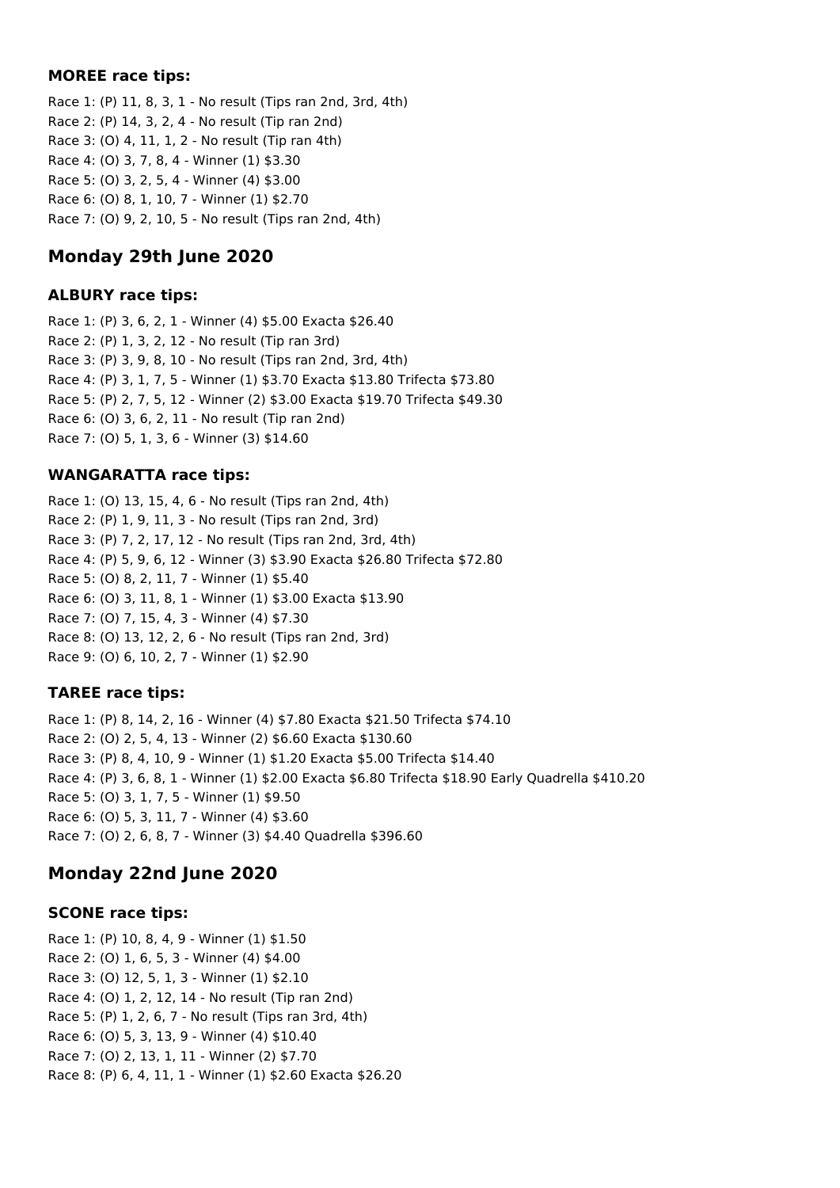#### **MOREE race tips:**

Race 1: (P) 11, 8, 3, 1 - No result (Tips ran 2nd, 3rd, 4th) Race 2: (P) 14, 3, 2, 4 - No result (Tip ran 2nd) Race 3: (O) 4, 11, 1, 2 - No result (Tip ran 4th) Race 4: (O) 3, 7, 8, 4 - Winner (1) \$3.30 Race 5: (O) 3, 2, 5, 4 - Winner (4) \$3.00 Race 6: (O) 8, 1, 10, 7 - Winner (1) \$2.70 Race 7: (O) 9, 2, 10, 5 - No result (Tips ran 2nd, 4th)

# **Monday 29th June 2020**

## **ALBURY race tips:**

Race 1: (P) 3, 6, 2, 1 - Winner (4) \$5.00 Exacta \$26.40 Race 2: (P) 1, 3, 2, 12 - No result (Tip ran 3rd) Race 3: (P) 3, 9, 8, 10 - No result (Tips ran 2nd, 3rd, 4th) Race 4: (P) 3, 1, 7, 5 - Winner (1) \$3.70 Exacta \$13.80 Trifecta \$73.80 Race 5: (P) 2, 7, 5, 12 - Winner (2) \$3.00 Exacta \$19.70 Trifecta \$49.30 Race 6: (O) 3, 6, 2, 11 - No result (Tip ran 2nd) Race 7: (O) 5, 1, 3, 6 - Winner (3) \$14.60

## **WANGARATTA race tips:**

Race 1: (O) 13, 15, 4, 6 - No result (Tips ran 2nd, 4th) Race 2: (P) 1, 9, 11, 3 - No result (Tips ran 2nd, 3rd) Race 3: (P) 7, 2, 17, 12 - No result (Tips ran 2nd, 3rd, 4th) Race 4: (P) 5, 9, 6, 12 - Winner (3) \$3.90 Exacta \$26.80 Trifecta \$72.80 Race 5: (O) 8, 2, 11, 7 - Winner (1) \$5.40 Race 6: (O) 3, 11, 8, 1 - Winner (1) \$3.00 Exacta \$13.90 Race 7: (O) 7, 15, 4, 3 - Winner (4) \$7.30 Race 8: (O) 13, 12, 2, 6 - No result (Tips ran 2nd, 3rd) Race 9: (O) 6, 10, 2, 7 - Winner (1) \$2.90

## **TAREE race tips:**

Race 1: (P) 8, 14, 2, 16 - Winner (4) \$7.80 Exacta \$21.50 Trifecta \$74.10 Race 2: (O) 2, 5, 4, 13 - Winner (2) \$6.60 Exacta \$130.60 Race 3: (P) 8, 4, 10, 9 - Winner (1) \$1.20 Exacta \$5.00 Trifecta \$14.40 Race 4: (P) 3, 6, 8, 1 - Winner (1) \$2.00 Exacta \$6.80 Trifecta \$18.90 Early Quadrella \$410.20 Race 5: (O) 3, 1, 7, 5 - Winner (1) \$9.50 Race 6: (O) 5, 3, 11, 7 - Winner (4) \$3.60 Race 7: (O) 2, 6, 8, 7 - Winner (3) \$4.40 Quadrella \$396.60

# **Monday 22nd June 2020**

## **SCONE race tips:**

Race 1: (P) 10, 8, 4, 9 - Winner (1) \$1.50 Race 2: (O) 1, 6, 5, 3 - Winner (4) \$4.00 Race 3: (O) 12, 5, 1, 3 - Winner (1) \$2.10 Race 4: (O) 1, 2, 12, 14 - No result (Tip ran 2nd) Race 5: (P) 1, 2, 6, 7 - No result (Tips ran 3rd, 4th) Race 6: (O) 5, 3, 13, 9 - Winner (4) \$10.40 Race 7: (O) 2, 13, 1, 11 - Winner (2) \$7.70 Race 8: (P) 6, 4, 11, 1 - Winner (1) \$2.60 Exacta \$26.20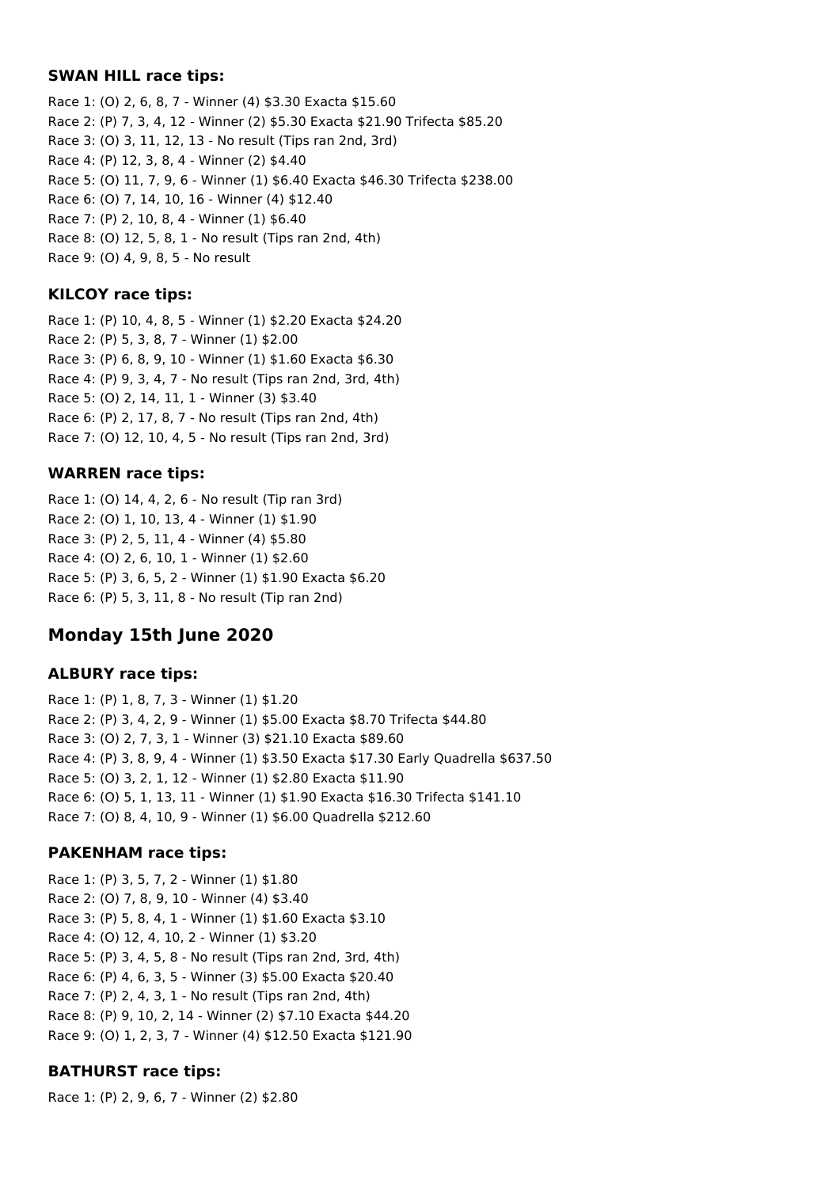#### **SWAN HILL race tips:**

Race 1: (O) 2, 6, 8, 7 - Winner (4) \$3.30 Exacta \$15.60 Race 2: (P) 7, 3, 4, 12 - Winner (2) \$5.30 Exacta \$21.90 Trifecta \$85.20 Race 3: (O) 3, 11, 12, 13 - No result (Tips ran 2nd, 3rd) Race 4: (P) 12, 3, 8, 4 - Winner (2) \$4.40 Race 5: (O) 11, 7, 9, 6 - Winner (1) \$6.40 Exacta \$46.30 Trifecta \$238.00 Race 6: (O) 7, 14, 10, 16 - Winner (4) \$12.40 Race 7: (P) 2, 10, 8, 4 - Winner (1) \$6.40 Race 8: (O) 12, 5, 8, 1 - No result (Tips ran 2nd, 4th) Race 9: (O) 4, 9, 8, 5 - No result

## **KILCOY race tips:**

Race 1: (P) 10, 4, 8, 5 - Winner (1) \$2.20 Exacta \$24.20 Race 2: (P) 5, 3, 8, 7 - Winner (1) \$2.00 Race 3: (P) 6, 8, 9, 10 - Winner (1) \$1.60 Exacta \$6.30 Race 4: (P) 9, 3, 4, 7 - No result (Tips ran 2nd, 3rd, 4th) Race 5: (O) 2, 14, 11, 1 - Winner (3) \$3.40 Race 6: (P) 2, 17, 8, 7 - No result (Tips ran 2nd, 4th) Race 7: (O) 12, 10, 4, 5 - No result (Tips ran 2nd, 3rd)

#### **WARREN race tips:**

Race 1: (O) 14, 4, 2, 6 - No result (Tip ran 3rd) Race 2: (O) 1, 10, 13, 4 - Winner (1) \$1.90 Race 3: (P) 2, 5, 11, 4 - Winner (4) \$5.80 Race 4: (O) 2, 6, 10, 1 - Winner (1) \$2.60 Race 5: (P) 3, 6, 5, 2 - Winner (1) \$1.90 Exacta \$6.20 Race 6: (P) 5, 3, 11, 8 - No result (Tip ran 2nd)

# **Monday 15th June 2020**

## **ALBURY race tips:**

Race 1: (P) 1, 8, 7, 3 - Winner (1) \$1.20 Race 2: (P) 3, 4, 2, 9 - Winner (1) \$5.00 Exacta \$8.70 Trifecta \$44.80 Race 3: (O) 2, 7, 3, 1 - Winner (3) \$21.10 Exacta \$89.60 Race 4: (P) 3, 8, 9, 4 - Winner (1) \$3.50 Exacta \$17.30 Early Quadrella \$637.50 Race 5: (O) 3, 2, 1, 12 - Winner (1) \$2.80 Exacta \$11.90 Race 6: (O) 5, 1, 13, 11 - Winner (1) \$1.90 Exacta \$16.30 Trifecta \$141.10 Race 7: (O) 8, 4, 10, 9 - Winner (1) \$6.00 Quadrella \$212.60

#### **PAKENHAM race tips:**

Race 1: (P) 3, 5, 7, 2 - Winner (1) \$1.80 Race 2: (O) 7, 8, 9, 10 - Winner (4) \$3.40 Race 3: (P) 5, 8, 4, 1 - Winner (1) \$1.60 Exacta \$3.10 Race 4: (O) 12, 4, 10, 2 - Winner (1) \$3.20 Race 5: (P) 3, 4, 5, 8 - No result (Tips ran 2nd, 3rd, 4th) Race 6: (P) 4, 6, 3, 5 - Winner (3) \$5.00 Exacta \$20.40 Race 7: (P) 2, 4, 3, 1 - No result (Tips ran 2nd, 4th) Race 8: (P) 9, 10, 2, 14 - Winner (2) \$7.10 Exacta \$44.20 Race 9: (O) 1, 2, 3, 7 - Winner (4) \$12.50 Exacta \$121.90

## **BATHURST race tips:**

Race 1: (P) 2, 9, 6, 7 - Winner (2) \$2.80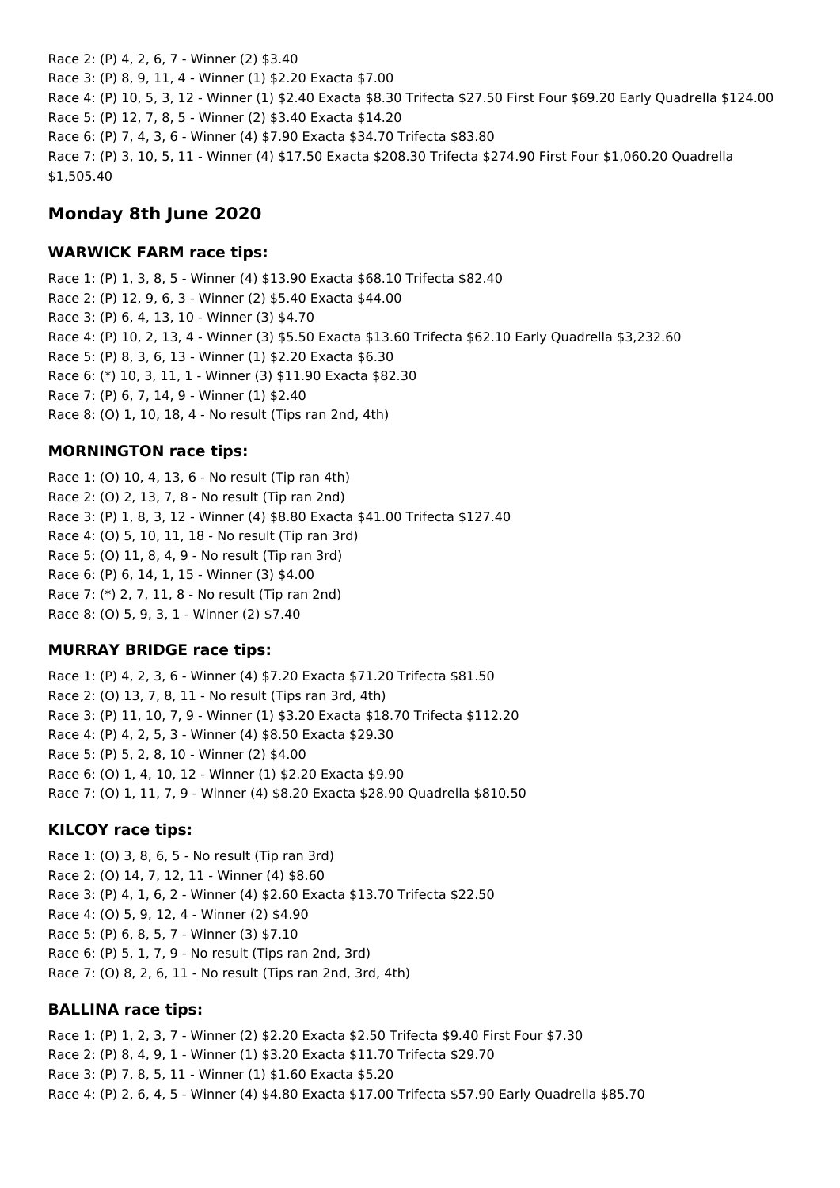Race 2: (P) 4, 2, 6, 7 - Winner (2) \$3.40 Race 3: (P) 8, 9, 11, 4 - Winner (1) \$2.20 Exacta \$7.00 Race 4: (P) 10, 5, 3, 12 - Winner (1) \$2.40 Exacta \$8.30 Trifecta \$27.50 First Four \$69.20 Early Quadrella \$124.00 Race 5: (P) 12, 7, 8, 5 - Winner (2) \$3.40 Exacta \$14.20 Race 6: (P) 7, 4, 3, 6 - Winner (4) \$7.90 Exacta \$34.70 Trifecta \$83.80 Race 7: (P) 3, 10, 5, 11 - Winner (4) \$17.50 Exacta \$208.30 Trifecta \$274.90 First Four \$1,060.20 Quadrella \$1,505.40

# **Monday 8th June 2020**

# **WARWICK FARM race tips:**

Race 1: (P) 1, 3, 8, 5 - Winner (4) \$13.90 Exacta \$68.10 Trifecta \$82.40 Race 2: (P) 12, 9, 6, 3 - Winner (2) \$5.40 Exacta \$44.00 Race 3: (P) 6, 4, 13, 10 - Winner (3) \$4.70 Race 4: (P) 10, 2, 13, 4 - Winner (3) \$5.50 Exacta \$13.60 Trifecta \$62.10 Early Quadrella \$3,232.60 Race 5: (P) 8, 3, 6, 13 - Winner (1) \$2.20 Exacta \$6.30 Race 6: (\*) 10, 3, 11, 1 - Winner (3) \$11.90 Exacta \$82.30 Race 7: (P) 6, 7, 14, 9 - Winner (1) \$2.40 Race 8: (O) 1, 10, 18, 4 - No result (Tips ran 2nd, 4th)

# **MORNINGTON race tips:**

Race 1: (O) 10, 4, 13, 6 - No result (Tip ran 4th) Race 2: (O) 2, 13, 7, 8 - No result (Tip ran 2nd) Race 3: (P) 1, 8, 3, 12 - Winner (4) \$8.80 Exacta \$41.00 Trifecta \$127.40 Race 4: (O) 5, 10, 11, 18 - No result (Tip ran 3rd) Race 5: (O) 11, 8, 4, 9 - No result (Tip ran 3rd) Race 6: (P) 6, 14, 1, 15 - Winner (3) \$4.00 Race 7: (\*) 2, 7, 11, 8 - No result (Tip ran 2nd) Race 8: (O) 5, 9, 3, 1 - Winner (2) \$7.40

# **MURRAY BRIDGE race tips:**

Race 1: (P) 4, 2, 3, 6 - Winner (4) \$7.20 Exacta \$71.20 Trifecta \$81.50 Race 2: (O) 13, 7, 8, 11 - No result (Tips ran 3rd, 4th) Race 3: (P) 11, 10, 7, 9 - Winner (1) \$3.20 Exacta \$18.70 Trifecta \$112.20 Race 4: (P) 4, 2, 5, 3 - Winner (4) \$8.50 Exacta \$29.30 Race 5: (P) 5, 2, 8, 10 - Winner (2) \$4.00 Race 6: (O) 1, 4, 10, 12 - Winner (1) \$2.20 Exacta \$9.90 Race 7: (O) 1, 11, 7, 9 - Winner (4) \$8.20 Exacta \$28.90 Quadrella \$810.50

# **KILCOY race tips:**

Race 1: (O) 3, 8, 6, 5 - No result (Tip ran 3rd) Race 2: (O) 14, 7, 12, 11 - Winner (4) \$8.60 Race 3: (P) 4, 1, 6, 2 - Winner (4) \$2.60 Exacta \$13.70 Trifecta \$22.50 Race 4: (O) 5, 9, 12, 4 - Winner (2) \$4.90 Race 5: (P) 6, 8, 5, 7 - Winner (3) \$7.10 Race 6: (P) 5, 1, 7, 9 - No result (Tips ran 2nd, 3rd) Race 7: (O) 8, 2, 6, 11 - No result (Tips ran 2nd, 3rd, 4th)

# **BALLINA race tips:**

Race 1: (P) 1, 2, 3, 7 - Winner (2) \$2.20 Exacta \$2.50 Trifecta \$9.40 First Four \$7.30 Race 2: (P) 8, 4, 9, 1 - Winner (1) \$3.20 Exacta \$11.70 Trifecta \$29.70 Race 3: (P) 7, 8, 5, 11 - Winner (1) \$1.60 Exacta \$5.20 Race 4: (P) 2, 6, 4, 5 - Winner (4) \$4.80 Exacta \$17.00 Trifecta \$57.90 Early Quadrella \$85.70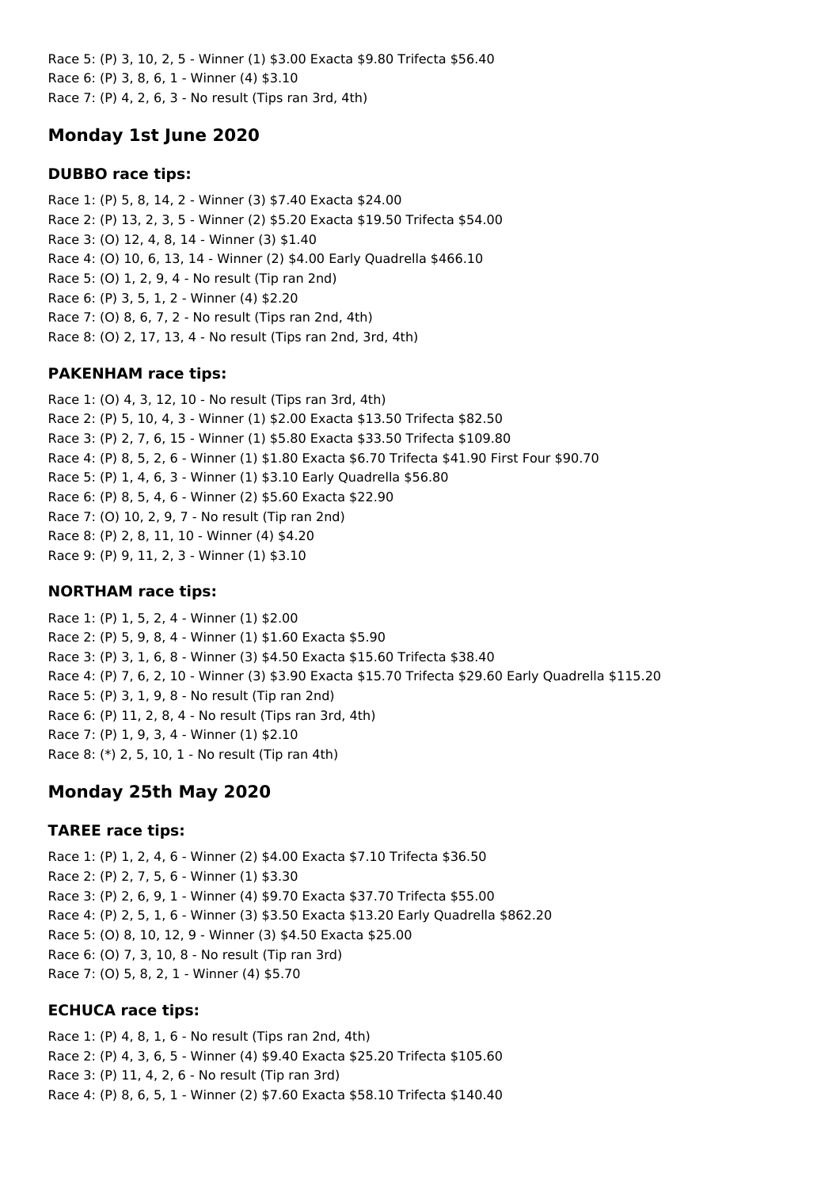Race 5: (P) 3, 10, 2, 5 - Winner (1) \$3.00 Exacta \$9.80 Trifecta \$56.40 Race 6: (P) 3, 8, 6, 1 - Winner (4) \$3.10 Race 7: (P) 4, 2, 6, 3 - No result (Tips ran 3rd, 4th)

# **Monday 1st June 2020**

## **DUBBO race tips:**

Race 1: (P) 5, 8, 14, 2 - Winner (3) \$7.40 Exacta \$24.00 Race 2: (P) 13, 2, 3, 5 - Winner (2) \$5.20 Exacta \$19.50 Trifecta \$54.00 Race 3: (O) 12, 4, 8, 14 - Winner (3) \$1.40 Race 4: (O) 10, 6, 13, 14 - Winner (2) \$4.00 Early Quadrella \$466.10 Race 5: (O) 1, 2, 9, 4 - No result (Tip ran 2nd) Race 6: (P) 3, 5, 1, 2 - Winner (4) \$2.20 Race 7: (O) 8, 6, 7, 2 - No result (Tips ran 2nd, 4th) Race 8: (O) 2, 17, 13, 4 - No result (Tips ran 2nd, 3rd, 4th)

## **PAKENHAM race tips:**

Race 1: (O) 4, 3, 12, 10 - No result (Tips ran 3rd, 4th) Race 2: (P) 5, 10, 4, 3 - Winner (1) \$2.00 Exacta \$13.50 Trifecta \$82.50 Race 3: (P) 2, 7, 6, 15 - Winner (1) \$5.80 Exacta \$33.50 Trifecta \$109.80 Race 4: (P) 8, 5, 2, 6 - Winner (1) \$1.80 Exacta \$6.70 Trifecta \$41.90 First Four \$90.70 Race 5: (P) 1, 4, 6, 3 - Winner (1) \$3.10 Early Quadrella \$56.80 Race 6: (P) 8, 5, 4, 6 - Winner (2) \$5.60 Exacta \$22.90 Race 7: (O) 10, 2, 9, 7 - No result (Tip ran 2nd) Race 8: (P) 2, 8, 11, 10 - Winner (4) \$4.20 Race 9: (P) 9, 11, 2, 3 - Winner (1) \$3.10

## **NORTHAM race tips:**

Race 1: (P) 1, 5, 2, 4 - Winner (1) \$2.00 Race 2: (P) 5, 9, 8, 4 - Winner (1) \$1.60 Exacta \$5.90 Race 3: (P) 3, 1, 6, 8 - Winner (3) \$4.50 Exacta \$15.60 Trifecta \$38.40 Race 4: (P) 7, 6, 2, 10 - Winner (3) \$3.90 Exacta \$15.70 Trifecta \$29.60 Early Quadrella \$115.20 Race 5: (P) 3, 1, 9, 8 - No result (Tip ran 2nd) Race 6: (P) 11, 2, 8, 4 - No result (Tips ran 3rd, 4th) Race 7: (P) 1, 9, 3, 4 - Winner (1) \$2.10 Race 8: (\*) 2, 5, 10, 1 - No result (Tip ran 4th)

# **Monday 25th May 2020**

# **TAREE race tips:**

Race 1: (P) 1, 2, 4, 6 - Winner (2) \$4.00 Exacta \$7.10 Trifecta \$36.50 Race 2: (P) 2, 7, 5, 6 - Winner (1) \$3.30 Race 3: (P) 2, 6, 9, 1 - Winner (4) \$9.70 Exacta \$37.70 Trifecta \$55.00 Race 4: (P) 2, 5, 1, 6 - Winner (3) \$3.50 Exacta \$13.20 Early Quadrella \$862.20 Race 5: (O) 8, 10, 12, 9 - Winner (3) \$4.50 Exacta \$25.00 Race 6: (O) 7, 3, 10, 8 - No result (Tip ran 3rd) Race 7: (O) 5, 8, 2, 1 - Winner (4) \$5.70

## **ECHUCA race tips:**

Race 1: (P) 4, 8, 1, 6 - No result (Tips ran 2nd, 4th) Race 2: (P) 4, 3, 6, 5 - Winner (4) \$9.40 Exacta \$25.20 Trifecta \$105.60 Race 3: (P) 11, 4, 2, 6 - No result (Tip ran 3rd) Race 4: (P) 8, 6, 5, 1 - Winner (2) \$7.60 Exacta \$58.10 Trifecta \$140.40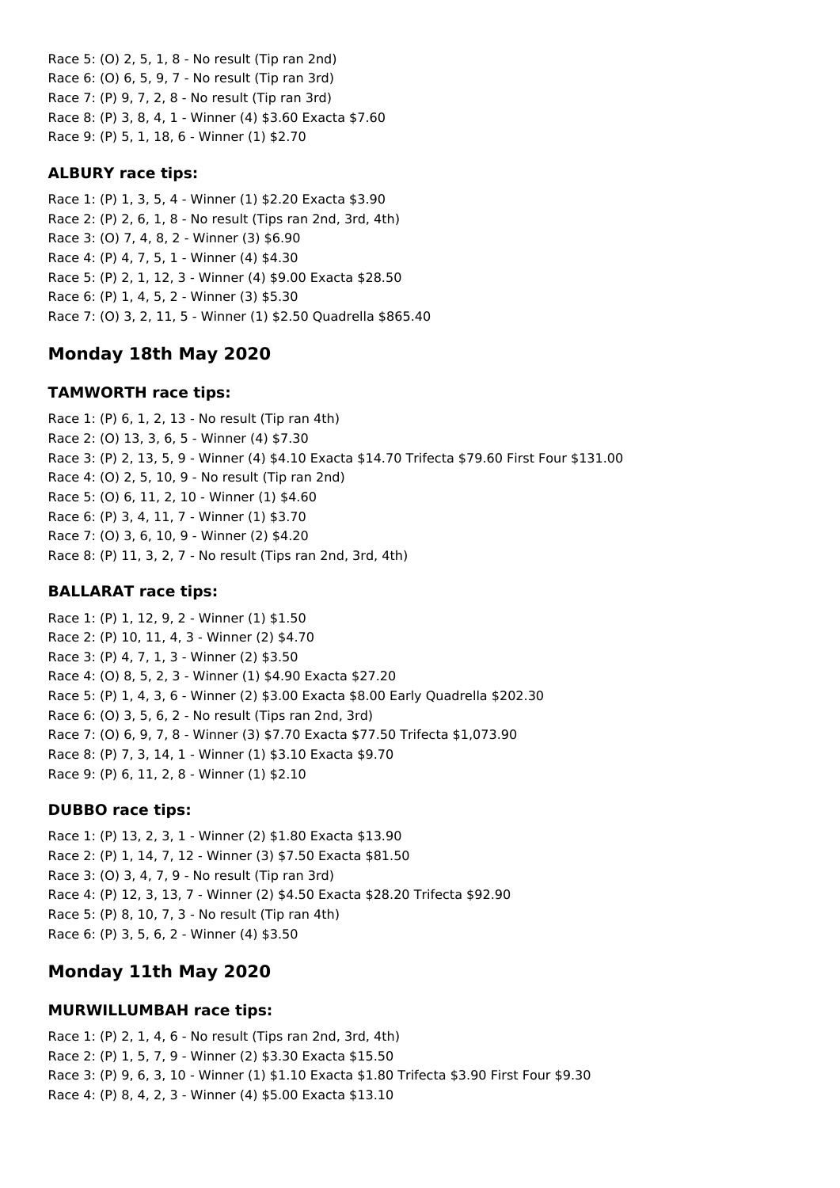Race 5: (O) 2, 5, 1, 8 - No result (Tip ran 2nd) Race 6: (O) 6, 5, 9, 7 - No result (Tip ran 3rd) Race 7: (P) 9, 7, 2, 8 - No result (Tip ran 3rd) Race 8: (P) 3, 8, 4, 1 - Winner (4) \$3.60 Exacta \$7.60 Race 9: (P) 5, 1, 18, 6 - Winner (1) \$2.70

#### **ALBURY race tips:**

Race 1: (P) 1, 3, 5, 4 - Winner (1) \$2.20 Exacta \$3.90 Race 2: (P) 2, 6, 1, 8 - No result (Tips ran 2nd, 3rd, 4th) Race 3: (O) 7, 4, 8, 2 - Winner (3) \$6.90 Race 4: (P) 4, 7, 5, 1 - Winner (4) \$4.30 Race 5: (P) 2, 1, 12, 3 - Winner (4) \$9.00 Exacta \$28.50 Race 6: (P) 1, 4, 5, 2 - Winner (3) \$5.30 Race 7: (O) 3, 2, 11, 5 - Winner (1) \$2.50 Quadrella \$865.40

# **Monday 18th May 2020**

#### **TAMWORTH race tips:**

Race 1: (P) 6, 1, 2, 13 - No result (Tip ran 4th) Race 2: (O) 13, 3, 6, 5 - Winner (4) \$7.30 Race 3: (P) 2, 13, 5, 9 - Winner (4) \$4.10 Exacta \$14.70 Trifecta \$79.60 First Four \$131.00 Race 4: (O) 2, 5, 10, 9 - No result (Tip ran 2nd) Race 5: (O) 6, 11, 2, 10 - Winner (1) \$4.60 Race 6: (P) 3, 4, 11, 7 - Winner (1) \$3.70 Race 7: (O) 3, 6, 10, 9 - Winner (2) \$4.20 Race 8: (P) 11, 3, 2, 7 - No result (Tips ran 2nd, 3rd, 4th)

#### **BALLARAT race tips:**

Race 1: (P) 1, 12, 9, 2 - Winner (1) \$1.50 Race 2: (P) 10, 11, 4, 3 - Winner (2) \$4.70 Race 3: (P) 4, 7, 1, 3 - Winner (2) \$3.50 Race 4: (O) 8, 5, 2, 3 - Winner (1) \$4.90 Exacta \$27.20 Race 5: (P) 1, 4, 3, 6 - Winner (2) \$3.00 Exacta \$8.00 Early Quadrella \$202.30 Race 6: (O) 3, 5, 6, 2 - No result (Tips ran 2nd, 3rd) Race 7: (O) 6, 9, 7, 8 - Winner (3) \$7.70 Exacta \$77.50 Trifecta \$1,073.90 Race 8: (P) 7, 3, 14, 1 - Winner (1) \$3.10 Exacta \$9.70 Race 9: (P) 6, 11, 2, 8 - Winner (1) \$2.10

#### **DUBBO race tips:**

Race 1: (P) 13, 2, 3, 1 - Winner (2) \$1.80 Exacta \$13.90 Race 2: (P) 1, 14, 7, 12 - Winner (3) \$7.50 Exacta \$81.50 Race 3: (O) 3, 4, 7, 9 - No result (Tip ran 3rd) Race 4: (P) 12, 3, 13, 7 - Winner (2) \$4.50 Exacta \$28.20 Trifecta \$92.90 Race 5: (P) 8, 10, 7, 3 - No result (Tip ran 4th) Race 6: (P) 3, 5, 6, 2 - Winner (4) \$3.50

# **Monday 11th May 2020**

## **MURWILLUMBAH race tips:**

Race 1: (P) 2, 1, 4, 6 - No result (Tips ran 2nd, 3rd, 4th) Race 2: (P) 1, 5, 7, 9 - Winner (2) \$3.30 Exacta \$15.50 Race 3: (P) 9, 6, 3, 10 - Winner (1) \$1.10 Exacta \$1.80 Trifecta \$3.90 First Four \$9.30 Race 4: (P) 8, 4, 2, 3 - Winner (4) \$5.00 Exacta \$13.10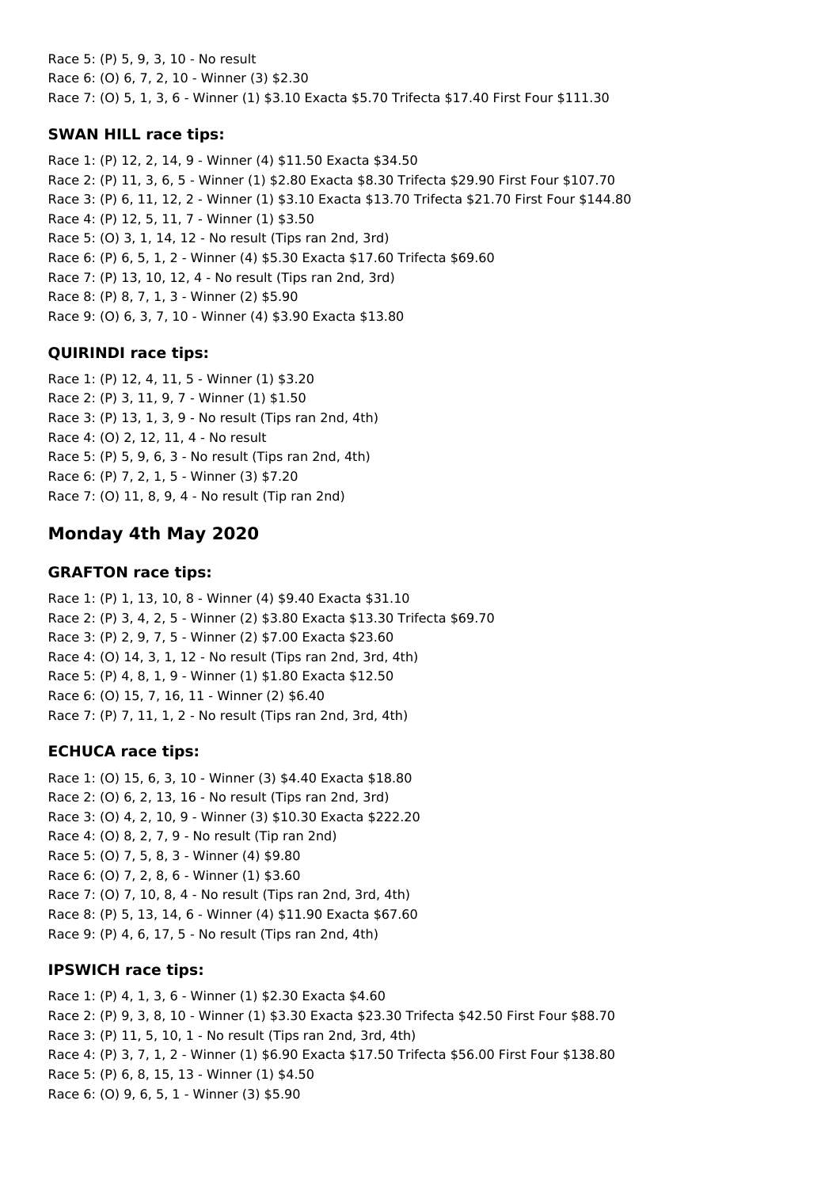Race 5: (P) 5, 9, 3, 10 - No result Race 6: (O) 6, 7, 2, 10 - Winner (3) \$2.30 Race 7: (O) 5, 1, 3, 6 - Winner (1) \$3.10 Exacta \$5.70 Trifecta \$17.40 First Four \$111.30

## **SWAN HILL race tips:**

Race 1: (P) 12, 2, 14, 9 - Winner (4) \$11.50 Exacta \$34.50 Race 2: (P) 11, 3, 6, 5 - Winner (1) \$2.80 Exacta \$8.30 Trifecta \$29.90 First Four \$107.70 Race 3: (P) 6, 11, 12, 2 - Winner (1) \$3.10 Exacta \$13.70 Trifecta \$21.70 First Four \$144.80 Race 4: (P) 12, 5, 11, 7 - Winner (1) \$3.50 Race 5: (O) 3, 1, 14, 12 - No result (Tips ran 2nd, 3rd) Race 6: (P) 6, 5, 1, 2 - Winner (4) \$5.30 Exacta \$17.60 Trifecta \$69.60 Race 7: (P) 13, 10, 12, 4 - No result (Tips ran 2nd, 3rd) Race 8: (P) 8, 7, 1, 3 - Winner (2) \$5.90 Race 9: (O) 6, 3, 7, 10 - Winner (4) \$3.90 Exacta \$13.80

# **QUIRINDI race tips:**

Race 1: (P) 12, 4, 11, 5 - Winner (1) \$3.20 Race 2: (P) 3, 11, 9, 7 - Winner (1) \$1.50 Race 3: (P) 13, 1, 3, 9 - No result (Tips ran 2nd, 4th) Race 4: (O) 2, 12, 11, 4 - No result Race 5: (P) 5, 9, 6, 3 - No result (Tips ran 2nd, 4th) Race 6: (P) 7, 2, 1, 5 - Winner (3) \$7.20 Race 7: (O) 11, 8, 9, 4 - No result (Tip ran 2nd)

# **Monday 4th May 2020**

## **GRAFTON race tips:**

Race 1: (P) 1, 13, 10, 8 - Winner (4) \$9.40 Exacta \$31.10 Race 2: (P) 3, 4, 2, 5 - Winner (2) \$3.80 Exacta \$13.30 Trifecta \$69.70 Race 3: (P) 2, 9, 7, 5 - Winner (2) \$7.00 Exacta \$23.60 Race 4: (O) 14, 3, 1, 12 - No result (Tips ran 2nd, 3rd, 4th) Race 5: (P) 4, 8, 1, 9 - Winner (1) \$1.80 Exacta \$12.50 Race 6: (O) 15, 7, 16, 11 - Winner (2) \$6.40 Race 7: (P) 7, 11, 1, 2 - No result (Tips ran 2nd, 3rd, 4th)

# **ECHUCA race tips:**

Race 1: (O) 15, 6, 3, 10 - Winner (3) \$4.40 Exacta \$18.80 Race 2: (O) 6, 2, 13, 16 - No result (Tips ran 2nd, 3rd) Race 3: (O) 4, 2, 10, 9 - Winner (3) \$10.30 Exacta \$222.20 Race 4: (O) 8, 2, 7, 9 - No result (Tip ran 2nd) Race 5: (O) 7, 5, 8, 3 - Winner (4) \$9.80 Race 6: (O) 7, 2, 8, 6 - Winner (1) \$3.60 Race 7: (O) 7, 10, 8, 4 - No result (Tips ran 2nd, 3rd, 4th) Race 8: (P) 5, 13, 14, 6 - Winner (4) \$11.90 Exacta \$67.60 Race 9: (P) 4, 6, 17, 5 - No result (Tips ran 2nd, 4th)

## **IPSWICH race tips:**

Race 1: (P) 4, 1, 3, 6 - Winner (1) \$2.30 Exacta \$4.60 Race 2: (P) 9, 3, 8, 10 - Winner (1) \$3.30 Exacta \$23.30 Trifecta \$42.50 First Four \$88.70 Race 3: (P) 11, 5, 10, 1 - No result (Tips ran 2nd, 3rd, 4th) Race 4: (P) 3, 7, 1, 2 - Winner (1) \$6.90 Exacta \$17.50 Trifecta \$56.00 First Four \$138.80 Race 5: (P) 6, 8, 15, 13 - Winner (1) \$4.50 Race 6: (O) 9, 6, 5, 1 - Winner (3) \$5.90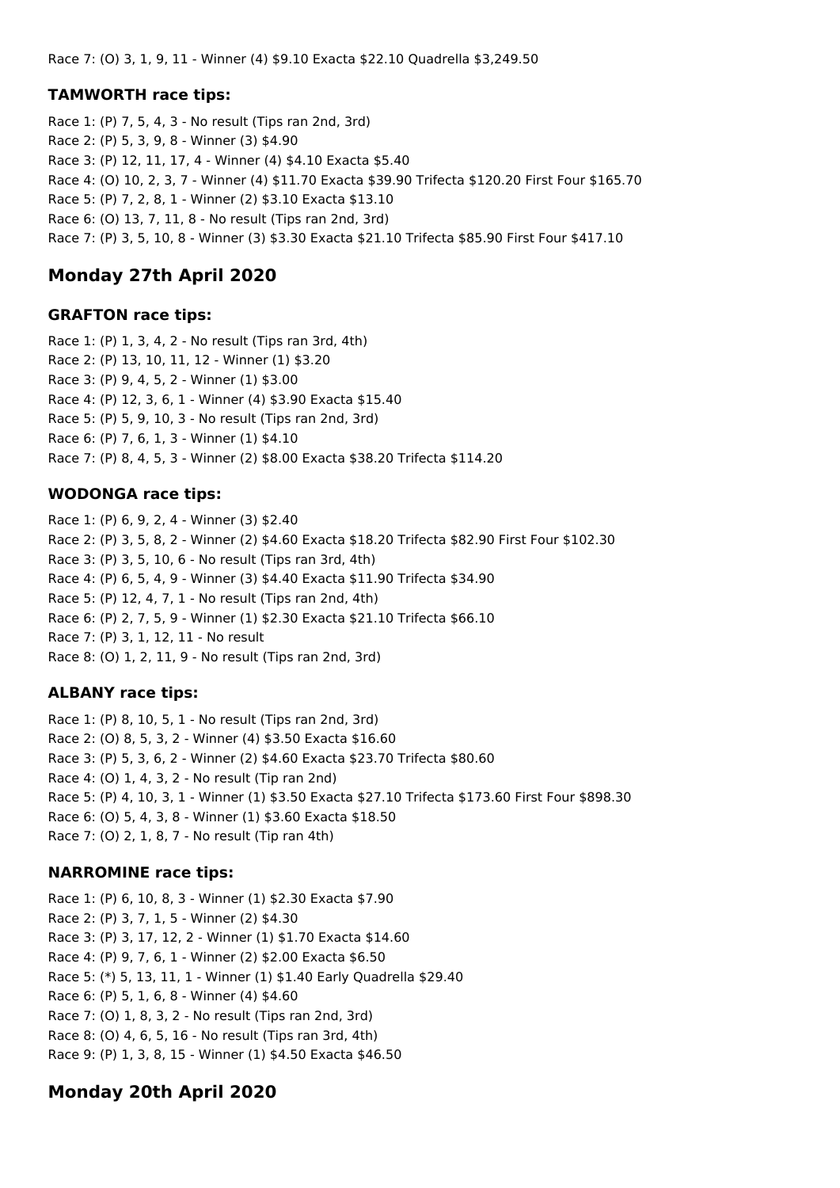#### **TAMWORTH race tips:**

Race 1: (P) 7, 5, 4, 3 - No result (Tips ran 2nd, 3rd) Race 2: (P) 5, 3, 9, 8 - Winner (3) \$4.90 Race 3: (P) 12, 11, 17, 4 - Winner (4) \$4.10 Exacta \$5.40 Race 4: (O) 10, 2, 3, 7 - Winner (4) \$11.70 Exacta \$39.90 Trifecta \$120.20 First Four \$165.70 Race 5: (P) 7, 2, 8, 1 - Winner (2) \$3.10 Exacta \$13.10 Race 6: (O) 13, 7, 11, 8 - No result (Tips ran 2nd, 3rd) Race 7: (P) 3, 5, 10, 8 - Winner (3) \$3.30 Exacta \$21.10 Trifecta \$85.90 First Four \$417.10

## **Monday 27th April 2020**

#### **GRAFTON race tips:**

Race 1: (P) 1, 3, 4, 2 - No result (Tips ran 3rd, 4th) Race 2: (P) 13, 10, 11, 12 - Winner (1) \$3.20 Race 3: (P) 9, 4, 5, 2 - Winner (1) \$3.00 Race 4: (P) 12, 3, 6, 1 - Winner (4) \$3.90 Exacta \$15.40 Race 5: (P) 5, 9, 10, 3 - No result (Tips ran 2nd, 3rd) Race 6: (P) 7, 6, 1, 3 - Winner (1) \$4.10 Race 7: (P) 8, 4, 5, 3 - Winner (2) \$8.00 Exacta \$38.20 Trifecta \$114.20

#### **WODONGA race tips:**

Race 1: (P) 6, 9, 2, 4 - Winner (3) \$2.40 Race 2: (P) 3, 5, 8, 2 - Winner (2) \$4.60 Exacta \$18.20 Trifecta \$82.90 First Four \$102.30 Race 3: (P) 3, 5, 10, 6 - No result (Tips ran 3rd, 4th) Race 4: (P) 6, 5, 4, 9 - Winner (3) \$4.40 Exacta \$11.90 Trifecta \$34.90 Race 5: (P) 12, 4, 7, 1 - No result (Tips ran 2nd, 4th) Race 6: (P) 2, 7, 5, 9 - Winner (1) \$2.30 Exacta \$21.10 Trifecta \$66.10 Race 7: (P) 3, 1, 12, 11 - No result Race 8: (O) 1, 2, 11, 9 - No result (Tips ran 2nd, 3rd)

#### **ALBANY race tips:**

Race 1: (P) 8, 10, 5, 1 - No result (Tips ran 2nd, 3rd) Race 2: (O) 8, 5, 3, 2 - Winner (4) \$3.50 Exacta \$16.60 Race 3: (P) 5, 3, 6, 2 - Winner (2) \$4.60 Exacta \$23.70 Trifecta \$80.60 Race 4: (O) 1, 4, 3, 2 - No result (Tip ran 2nd) Race 5: (P) 4, 10, 3, 1 - Winner (1) \$3.50 Exacta \$27.10 Trifecta \$173.60 First Four \$898.30 Race 6: (O) 5, 4, 3, 8 - Winner (1) \$3.60 Exacta \$18.50 Race 7: (O) 2, 1, 8, 7 - No result (Tip ran 4th)

#### **NARROMINE race tips:**

Race 1: (P) 6, 10, 8, 3 - Winner (1) \$2.30 Exacta \$7.90 Race 2: (P) 3, 7, 1, 5 - Winner (2) \$4.30 Race 3: (P) 3, 17, 12, 2 - Winner (1) \$1.70 Exacta \$14.60 Race 4: (P) 9, 7, 6, 1 - Winner (2) \$2.00 Exacta \$6.50 Race 5: (\*) 5, 13, 11, 1 - Winner (1) \$1.40 Early Quadrella \$29.40 Race 6: (P) 5, 1, 6, 8 - Winner (4) \$4.60 Race 7: (O) 1, 8, 3, 2 - No result (Tips ran 2nd, 3rd) Race 8: (O) 4, 6, 5, 16 - No result (Tips ran 3rd, 4th) Race 9: (P) 1, 3, 8, 15 - Winner (1) \$4.50 Exacta \$46.50

## **Monday 20th April 2020**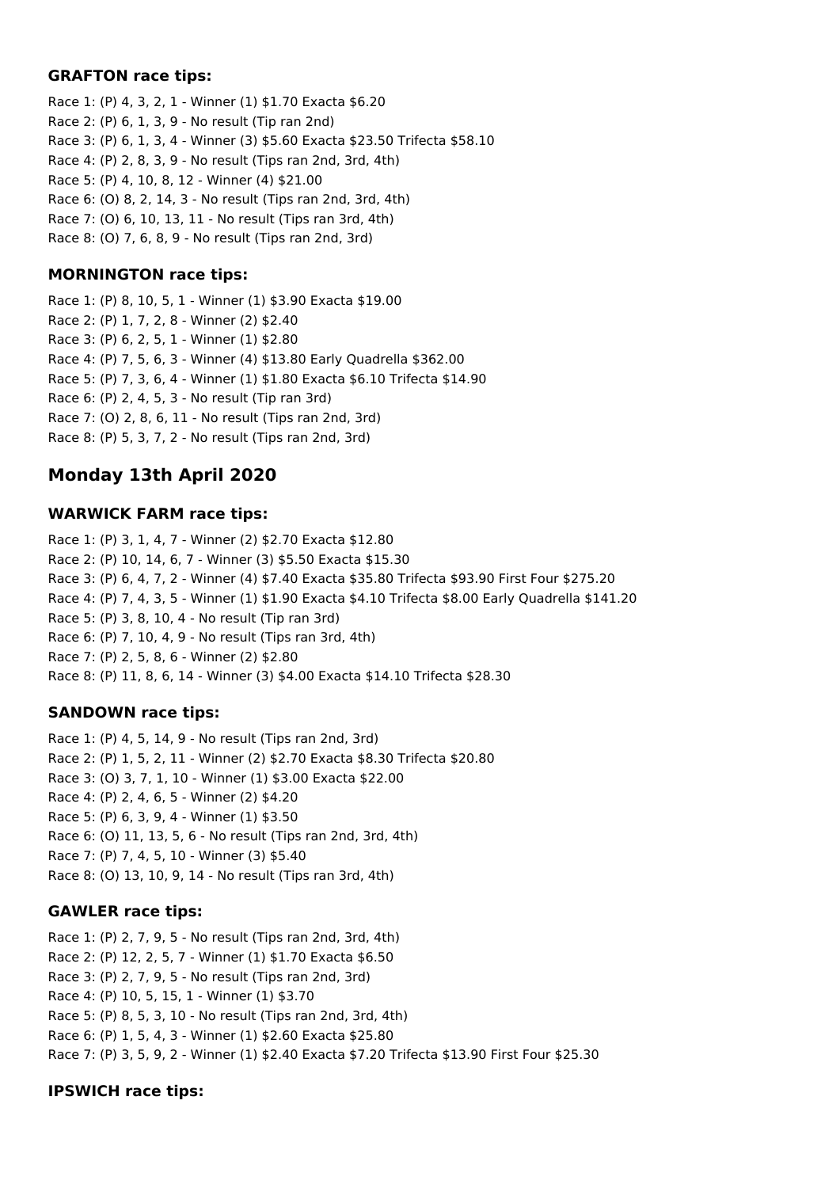#### **GRAFTON race tips:**

Race 1: (P) 4, 3, 2, 1 - Winner (1) \$1.70 Exacta \$6.20 Race 2: (P) 6, 1, 3, 9 - No result (Tip ran 2nd) Race 3: (P) 6, 1, 3, 4 - Winner (3) \$5.60 Exacta \$23.50 Trifecta \$58.10 Race 4: (P) 2, 8, 3, 9 - No result (Tips ran 2nd, 3rd, 4th) Race 5: (P) 4, 10, 8, 12 - Winner (4) \$21.00 Race 6: (O) 8, 2, 14, 3 - No result (Tips ran 2nd, 3rd, 4th) Race 7: (O) 6, 10, 13, 11 - No result (Tips ran 3rd, 4th) Race 8: (O) 7, 6, 8, 9 - No result (Tips ran 2nd, 3rd)

#### **MORNINGTON race tips:**

Race 1: (P) 8, 10, 5, 1 - Winner (1) \$3.90 Exacta \$19.00 Race 2: (P) 1, 7, 2, 8 - Winner (2) \$2.40 Race 3: (P) 6, 2, 5, 1 - Winner (1) \$2.80 Race 4: (P) 7, 5, 6, 3 - Winner (4) \$13.80 Early Quadrella \$362.00 Race 5: (P) 7, 3, 6, 4 - Winner (1) \$1.80 Exacta \$6.10 Trifecta \$14.90 Race 6: (P) 2, 4, 5, 3 - No result (Tip ran 3rd) Race 7: (O) 2, 8, 6, 11 - No result (Tips ran 2nd, 3rd) Race 8: (P) 5, 3, 7, 2 - No result (Tips ran 2nd, 3rd)

# **Monday 13th April 2020**

## **WARWICK FARM race tips:**

Race 1: (P) 3, 1, 4, 7 - Winner (2) \$2.70 Exacta \$12.80 Race 2: (P) 10, 14, 6, 7 - Winner (3) \$5.50 Exacta \$15.30 Race 3: (P) 6, 4, 7, 2 - Winner (4) \$7.40 Exacta \$35.80 Trifecta \$93.90 First Four \$275.20 Race 4: (P) 7, 4, 3, 5 - Winner (1) \$1.90 Exacta \$4.10 Trifecta \$8.00 Early Quadrella \$141.20 Race 5: (P) 3, 8, 10, 4 - No result (Tip ran 3rd) Race 6: (P) 7, 10, 4, 9 - No result (Tips ran 3rd, 4th) Race 7: (P) 2, 5, 8, 6 - Winner (2) \$2.80 Race 8: (P) 11, 8, 6, 14 - Winner (3) \$4.00 Exacta \$14.10 Trifecta \$28.30

## **SANDOWN race tips:**

Race 1: (P) 4, 5, 14, 9 - No result (Tips ran 2nd, 3rd) Race 2: (P) 1, 5, 2, 11 - Winner (2) \$2.70 Exacta \$8.30 Trifecta \$20.80 Race 3: (O) 3, 7, 1, 10 - Winner (1) \$3.00 Exacta \$22.00 Race 4: (P) 2, 4, 6, 5 - Winner (2) \$4.20 Race 5: (P) 6, 3, 9, 4 - Winner (1) \$3.50 Race 6: (O) 11, 13, 5, 6 - No result (Tips ran 2nd, 3rd, 4th) Race 7: (P) 7, 4, 5, 10 - Winner (3) \$5.40 Race 8: (O) 13, 10, 9, 14 - No result (Tips ran 3rd, 4th)

## **GAWLER race tips:**

Race 1: (P) 2, 7, 9, 5 - No result (Tips ran 2nd, 3rd, 4th) Race 2: (P) 12, 2, 5, 7 - Winner (1) \$1.70 Exacta \$6.50 Race 3: (P) 2, 7, 9, 5 - No result (Tips ran 2nd, 3rd) Race 4: (P) 10, 5, 15, 1 - Winner (1) \$3.70 Race 5: (P) 8, 5, 3, 10 - No result (Tips ran 2nd, 3rd, 4th) Race 6: (P) 1, 5, 4, 3 - Winner (1) \$2.60 Exacta \$25.80 Race 7: (P) 3, 5, 9, 2 - Winner (1) \$2.40 Exacta \$7.20 Trifecta \$13.90 First Four \$25.30

## **IPSWICH race tips:**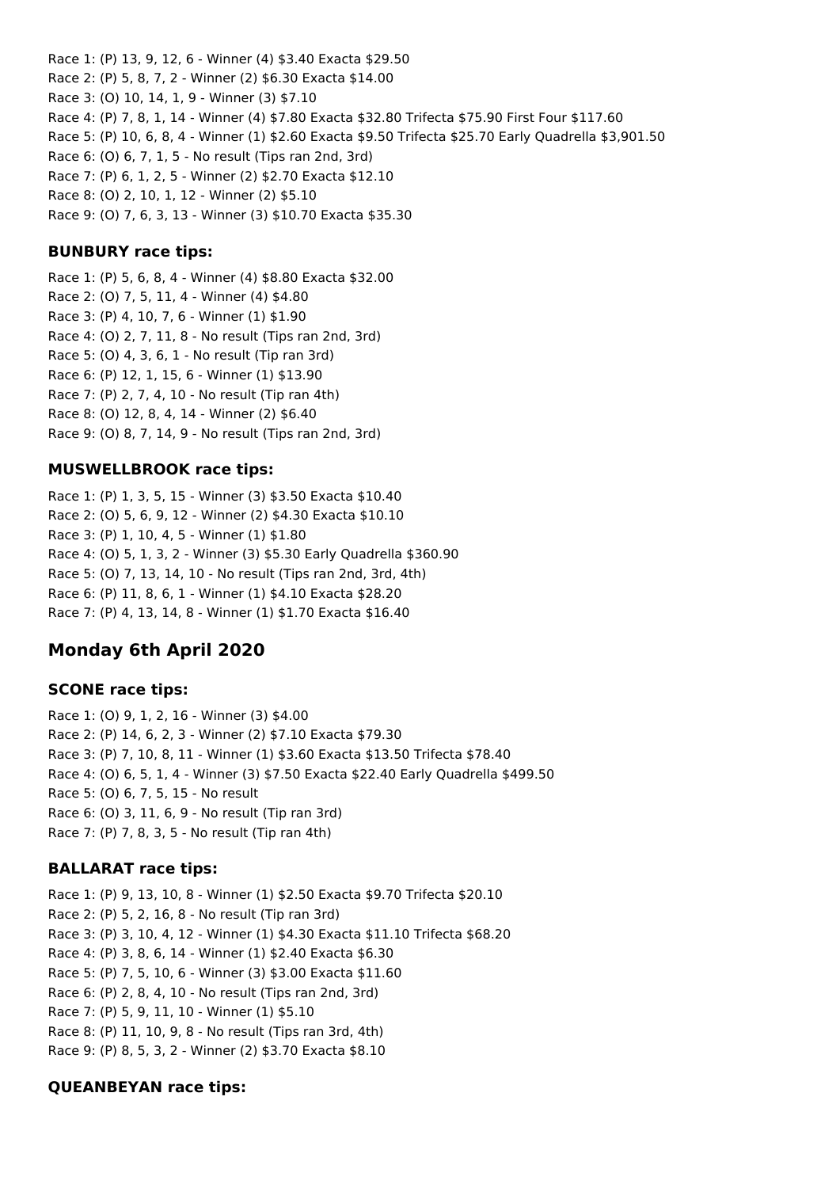Race 1: (P) 13, 9, 12, 6 - Winner (4) \$3.40 Exacta \$29.50 Race 2: (P) 5, 8, 7, 2 - Winner (2) \$6.30 Exacta \$14.00 Race 3: (O) 10, 14, 1, 9 - Winner (3) \$7.10 Race 4: (P) 7, 8, 1, 14 - Winner (4) \$7.80 Exacta \$32.80 Trifecta \$75.90 First Four \$117.60 Race 5: (P) 10, 6, 8, 4 - Winner (1) \$2.60 Exacta \$9.50 Trifecta \$25.70 Early Quadrella \$3,901.50 Race 6: (O) 6, 7, 1, 5 - No result (Tips ran 2nd, 3rd) Race 7: (P) 6, 1, 2, 5 - Winner (2) \$2.70 Exacta \$12.10 Race 8: (O) 2, 10, 1, 12 - Winner (2) \$5.10 Race 9: (O) 7, 6, 3, 13 - Winner (3) \$10.70 Exacta \$35.30

#### **BUNBURY race tips:**

Race 1: (P) 5, 6, 8, 4 - Winner (4) \$8.80 Exacta \$32.00 Race 2: (O) 7, 5, 11, 4 - Winner (4) \$4.80 Race 3: (P) 4, 10, 7, 6 - Winner (1) \$1.90 Race 4: (O) 2, 7, 11, 8 - No result (Tips ran 2nd, 3rd) Race 5: (O) 4, 3, 6, 1 - No result (Tip ran 3rd) Race 6: (P) 12, 1, 15, 6 - Winner (1) \$13.90 Race 7: (P) 2, 7, 4, 10 - No result (Tip ran 4th) Race 8: (O) 12, 8, 4, 14 - Winner (2) \$6.40 Race 9: (O) 8, 7, 14, 9 - No result (Tips ran 2nd, 3rd)

#### **MUSWELLBROOK race tips:**

Race 1: (P) 1, 3, 5, 15 - Winner (3) \$3.50 Exacta \$10.40 Race 2: (O) 5, 6, 9, 12 - Winner (2) \$4.30 Exacta \$10.10 Race 3: (P) 1, 10, 4, 5 - Winner (1) \$1.80 Race 4: (O) 5, 1, 3, 2 - Winner (3) \$5.30 Early Quadrella \$360.90 Race 5: (O) 7, 13, 14, 10 - No result (Tips ran 2nd, 3rd, 4th) Race 6: (P) 11, 8, 6, 1 - Winner (1) \$4.10 Exacta \$28.20 Race 7: (P) 4, 13, 14, 8 - Winner (1) \$1.70 Exacta \$16.40

# **Monday 6th April 2020**

## **SCONE race tips:**

Race 1: (O) 9, 1, 2, 16 - Winner (3) \$4.00 Race 2: (P) 14, 6, 2, 3 - Winner (2) \$7.10 Exacta \$79.30 Race 3: (P) 7, 10, 8, 11 - Winner (1) \$3.60 Exacta \$13.50 Trifecta \$78.40 Race 4: (O) 6, 5, 1, 4 - Winner (3) \$7.50 Exacta \$22.40 Early Quadrella \$499.50 Race 5: (O) 6, 7, 5, 15 - No result Race 6: (O) 3, 11, 6, 9 - No result (Tip ran 3rd) Race 7: (P) 7, 8, 3, 5 - No result (Tip ran 4th)

## **BALLARAT race tips:**

Race 1: (P) 9, 13, 10, 8 - Winner (1) \$2.50 Exacta \$9.70 Trifecta \$20.10 Race 2: (P) 5, 2, 16, 8 - No result (Tip ran 3rd) Race 3: (P) 3, 10, 4, 12 - Winner (1) \$4.30 Exacta \$11.10 Trifecta \$68.20 Race 4: (P) 3, 8, 6, 14 - Winner (1) \$2.40 Exacta \$6.30 Race 5: (P) 7, 5, 10, 6 - Winner (3) \$3.00 Exacta \$11.60 Race 6: (P) 2, 8, 4, 10 - No result (Tips ran 2nd, 3rd) Race 7: (P) 5, 9, 11, 10 - Winner (1) \$5.10 Race 8: (P) 11, 10, 9, 8 - No result (Tips ran 3rd, 4th) Race 9: (P) 8, 5, 3, 2 - Winner (2) \$3.70 Exacta \$8.10

#### **QUEANBEYAN race tips:**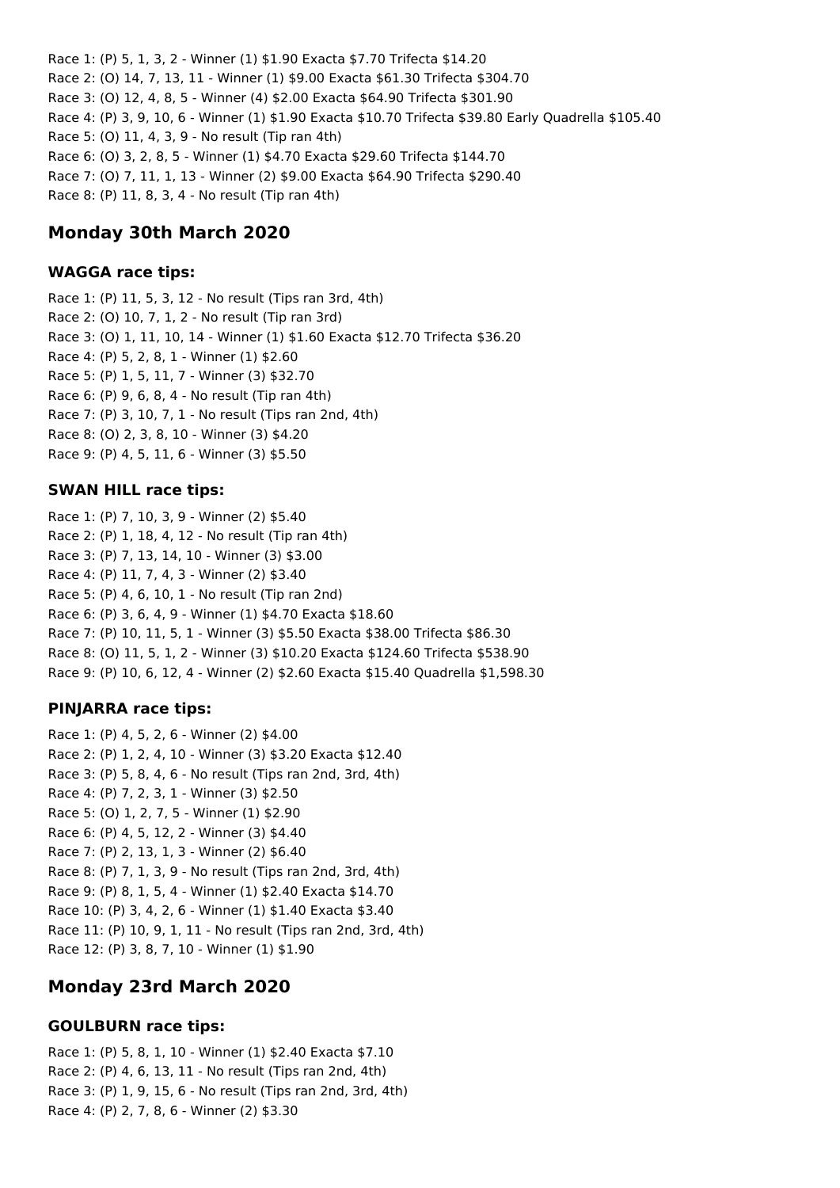Race 1: (P) 5, 1, 3, 2 - Winner (1) \$1.90 Exacta \$7.70 Trifecta \$14.20 Race 2: (O) 14, 7, 13, 11 - Winner (1) \$9.00 Exacta \$61.30 Trifecta \$304.70 Race 3: (O) 12, 4, 8, 5 - Winner (4) \$2.00 Exacta \$64.90 Trifecta \$301.90 Race 4: (P) 3, 9, 10, 6 - Winner (1) \$1.90 Exacta \$10.70 Trifecta \$39.80 Early Quadrella \$105.40 Race 5: (O) 11, 4, 3, 9 - No result (Tip ran 4th) Race 6: (O) 3, 2, 8, 5 - Winner (1) \$4.70 Exacta \$29.60 Trifecta \$144.70 Race 7: (O) 7, 11, 1, 13 - Winner (2) \$9.00 Exacta \$64.90 Trifecta \$290.40 Race 8: (P) 11, 8, 3, 4 - No result (Tip ran 4th)

# **Monday 30th March 2020**

## **WAGGA race tips:**

Race 1: (P) 11, 5, 3, 12 - No result (Tips ran 3rd, 4th) Race 2: (O) 10, 7, 1, 2 - No result (Tip ran 3rd) Race 3: (O) 1, 11, 10, 14 - Winner (1) \$1.60 Exacta \$12.70 Trifecta \$36.20 Race 4: (P) 5, 2, 8, 1 - Winner (1) \$2.60 Race 5: (P) 1, 5, 11, 7 - Winner (3) \$32.70 Race 6: (P) 9, 6, 8, 4 - No result (Tip ran 4th) Race 7: (P) 3, 10, 7, 1 - No result (Tips ran 2nd, 4th) Race 8: (O) 2, 3, 8, 10 - Winner (3) \$4.20 Race 9: (P) 4, 5, 11, 6 - Winner (3) \$5.50

## **SWAN HILL race tips:**

Race 1: (P) 7, 10, 3, 9 - Winner (2) \$5.40 Race 2: (P) 1, 18, 4, 12 - No result (Tip ran 4th) Race 3: (P) 7, 13, 14, 10 - Winner (3) \$3.00 Race 4: (P) 11, 7, 4, 3 - Winner (2) \$3.40 Race 5: (P) 4, 6, 10, 1 - No result (Tip ran 2nd) Race 6: (P) 3, 6, 4, 9 - Winner (1) \$4.70 Exacta \$18.60 Race 7: (P) 10, 11, 5, 1 - Winner (3) \$5.50 Exacta \$38.00 Trifecta \$86.30 Race 8: (O) 11, 5, 1, 2 - Winner (3) \$10.20 Exacta \$124.60 Trifecta \$538.90 Race 9: (P) 10, 6, 12, 4 - Winner (2) \$2.60 Exacta \$15.40 Quadrella \$1,598.30

# **PINJARRA race tips:**

Race 1: (P) 4, 5, 2, 6 - Winner (2) \$4.00 Race 2: (P) 1, 2, 4, 10 - Winner (3) \$3.20 Exacta \$12.40 Race 3: (P) 5, 8, 4, 6 - No result (Tips ran 2nd, 3rd, 4th) Race 4: (P) 7, 2, 3, 1 - Winner (3) \$2.50 Race 5: (O) 1, 2, 7, 5 - Winner (1) \$2.90 Race 6: (P) 4, 5, 12, 2 - Winner (3) \$4.40 Race 7: (P) 2, 13, 1, 3 - Winner (2) \$6.40 Race 8: (P) 7, 1, 3, 9 - No result (Tips ran 2nd, 3rd, 4th) Race 9: (P) 8, 1, 5, 4 - Winner (1) \$2.40 Exacta \$14.70 Race 10: (P) 3, 4, 2, 6 - Winner (1) \$1.40 Exacta \$3.40 Race 11: (P) 10, 9, 1, 11 - No result (Tips ran 2nd, 3rd, 4th) Race 12: (P) 3, 8, 7, 10 - Winner (1) \$1.90

# **Monday 23rd March 2020**

# **GOULBURN race tips:**

Race 1: (P) 5, 8, 1, 10 - Winner (1) \$2.40 Exacta \$7.10 Race 2: (P) 4, 6, 13, 11 - No result (Tips ran 2nd, 4th) Race 3: (P) 1, 9, 15, 6 - No result (Tips ran 2nd, 3rd, 4th) Race 4: (P) 2, 7, 8, 6 - Winner (2) \$3.30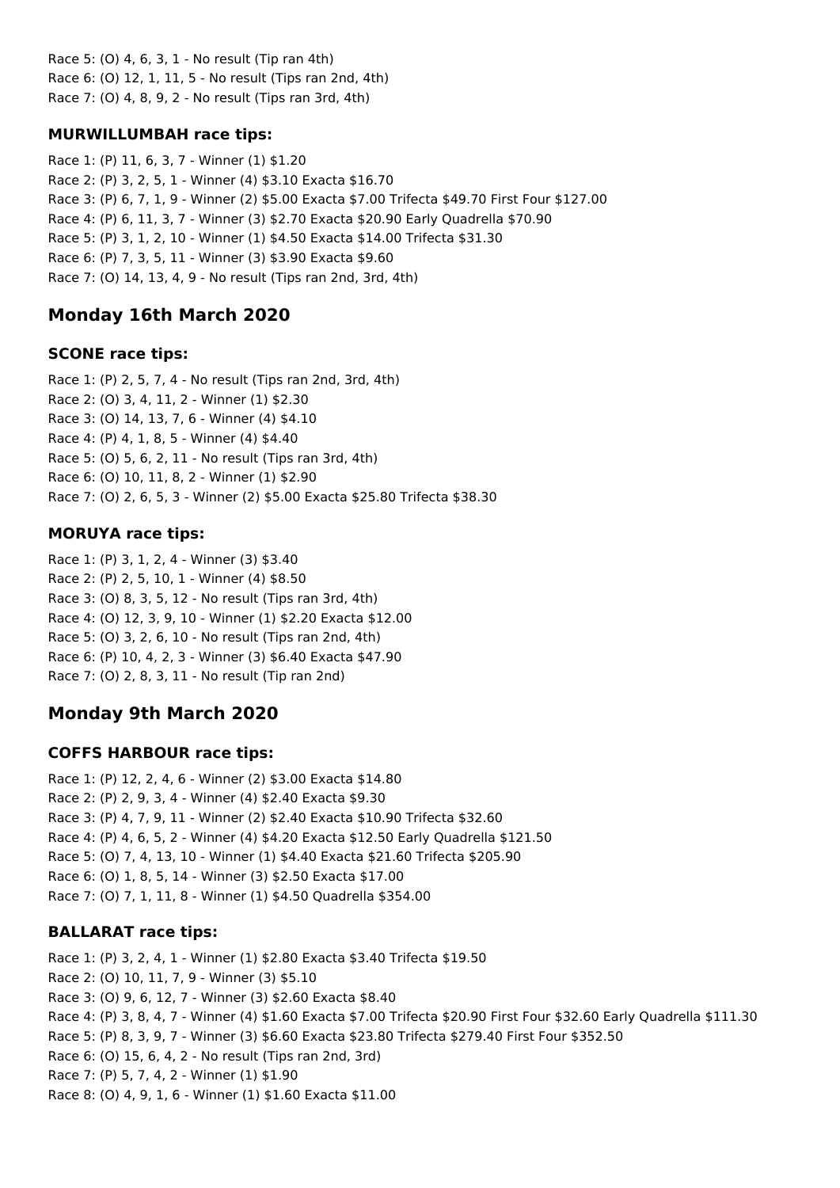Race 5: (O) 4, 6, 3, 1 - No result (Tip ran 4th) Race 6: (O) 12, 1, 11, 5 - No result (Tips ran 2nd, 4th) Race 7: (O) 4, 8, 9, 2 - No result (Tips ran 3rd, 4th)

## **MURWILLUMBAH race tips:**

Race 1: (P) 11, 6, 3, 7 - Winner (1) \$1.20 Race 2: (P) 3, 2, 5, 1 - Winner (4) \$3.10 Exacta \$16.70 Race 3: (P) 6, 7, 1, 9 - Winner (2) \$5.00 Exacta \$7.00 Trifecta \$49.70 First Four \$127.00 Race 4: (P) 6, 11, 3, 7 - Winner (3) \$2.70 Exacta \$20.90 Early Quadrella \$70.90 Race 5: (P) 3, 1, 2, 10 - Winner (1) \$4.50 Exacta \$14.00 Trifecta \$31.30 Race 6: (P) 7, 3, 5, 11 - Winner (3) \$3.90 Exacta \$9.60 Race 7: (O) 14, 13, 4, 9 - No result (Tips ran 2nd, 3rd, 4th)

# **Monday 16th March 2020**

## **SCONE race tips:**

Race 1: (P) 2, 5, 7, 4 - No result (Tips ran 2nd, 3rd, 4th) Race 2: (O) 3, 4, 11, 2 - Winner (1) \$2.30 Race 3: (O) 14, 13, 7, 6 - Winner (4) \$4.10 Race 4: (P) 4, 1, 8, 5 - Winner (4) \$4.40 Race 5: (O) 5, 6, 2, 11 - No result (Tips ran 3rd, 4th) Race 6: (O) 10, 11, 8, 2 - Winner (1) \$2.90 Race 7: (O) 2, 6, 5, 3 - Winner (2) \$5.00 Exacta \$25.80 Trifecta \$38.30

# **MORUYA race tips:**

Race 1: (P) 3, 1, 2, 4 - Winner (3) \$3.40 Race 2: (P) 2, 5, 10, 1 - Winner (4) \$8.50 Race 3: (O) 8, 3, 5, 12 - No result (Tips ran 3rd, 4th) Race 4: (O) 12, 3, 9, 10 - Winner (1) \$2.20 Exacta \$12.00 Race 5: (O) 3, 2, 6, 10 - No result (Tips ran 2nd, 4th) Race 6: (P) 10, 4, 2, 3 - Winner (3) \$6.40 Exacta \$47.90 Race 7: (O) 2, 8, 3, 11 - No result (Tip ran 2nd)

# **Monday 9th March 2020**

# **COFFS HARBOUR race tips:**

Race 1: (P) 12, 2, 4, 6 - Winner (2) \$3.00 Exacta \$14.80 Race 2: (P) 2, 9, 3, 4 - Winner (4) \$2.40 Exacta \$9.30 Race 3: (P) 4, 7, 9, 11 - Winner (2) \$2.40 Exacta \$10.90 Trifecta \$32.60 Race 4: (P) 4, 6, 5, 2 - Winner (4) \$4.20 Exacta \$12.50 Early Quadrella \$121.50 Race 5: (O) 7, 4, 13, 10 - Winner (1) \$4.40 Exacta \$21.60 Trifecta \$205.90 Race 6: (O) 1, 8, 5, 14 - Winner (3) \$2.50 Exacta \$17.00 Race 7: (O) 7, 1, 11, 8 - Winner (1) \$4.50 Quadrella \$354.00

# **BALLARAT race tips:**

Race 1: (P) 3, 2, 4, 1 - Winner (1) \$2.80 Exacta \$3.40 Trifecta \$19.50 Race 2: (O) 10, 11, 7, 9 - Winner (3) \$5.10 Race 3: (O) 9, 6, 12, 7 - Winner (3) \$2.60 Exacta \$8.40 Race 4: (P) 3, 8, 4, 7 - Winner (4) \$1.60 Exacta \$7.00 Trifecta \$20.90 First Four \$32.60 Early Quadrella \$111.30 Race 5: (P) 8, 3, 9, 7 - Winner (3) \$6.60 Exacta \$23.80 Trifecta \$279.40 First Four \$352.50 Race 6: (O) 15, 6, 4, 2 - No result (Tips ran 2nd, 3rd) Race 7: (P) 5, 7, 4, 2 - Winner (1) \$1.90 Race 8: (O) 4, 9, 1, 6 - Winner (1) \$1.60 Exacta \$11.00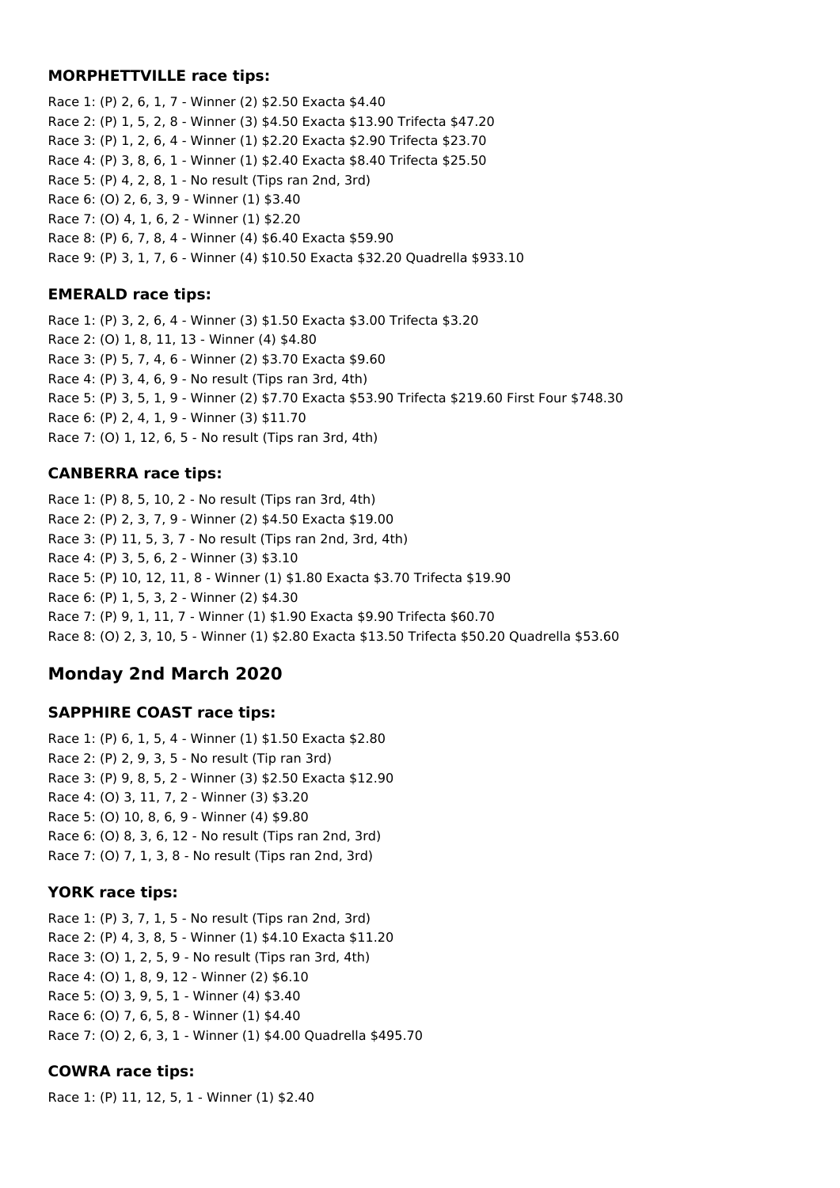#### **MORPHETTVILLE race tips:**

Race 1: (P) 2, 6, 1, 7 - Winner (2) \$2.50 Exacta \$4.40 Race 2: (P) 1, 5, 2, 8 - Winner (3) \$4.50 Exacta \$13.90 Trifecta \$47.20 Race 3: (P) 1, 2, 6, 4 - Winner (1) \$2.20 Exacta \$2.90 Trifecta \$23.70 Race 4: (P) 3, 8, 6, 1 - Winner (1) \$2.40 Exacta \$8.40 Trifecta \$25.50 Race 5: (P) 4, 2, 8, 1 - No result (Tips ran 2nd, 3rd) Race 6: (O) 2, 6, 3, 9 - Winner (1) \$3.40 Race 7: (O) 4, 1, 6, 2 - Winner (1) \$2.20 Race 8: (P) 6, 7, 8, 4 - Winner (4) \$6.40 Exacta \$59.90 Race 9: (P) 3, 1, 7, 6 - Winner (4) \$10.50 Exacta \$32.20 Quadrella \$933.10

#### **EMERALD race tips:**

Race 1: (P) 3, 2, 6, 4 - Winner (3) \$1.50 Exacta \$3.00 Trifecta \$3.20 Race 2: (O) 1, 8, 11, 13 - Winner (4) \$4.80 Race 3: (P) 5, 7, 4, 6 - Winner (2) \$3.70 Exacta \$9.60 Race 4: (P) 3, 4, 6, 9 - No result (Tips ran 3rd, 4th) Race 5: (P) 3, 5, 1, 9 - Winner (2) \$7.70 Exacta \$53.90 Trifecta \$219.60 First Four \$748.30 Race 6: (P) 2, 4, 1, 9 - Winner (3) \$11.70 Race 7: (O) 1, 12, 6, 5 - No result (Tips ran 3rd, 4th)

## **CANBERRA race tips:**

Race 1: (P) 8, 5, 10, 2 - No result (Tips ran 3rd, 4th) Race 2: (P) 2, 3, 7, 9 - Winner (2) \$4.50 Exacta \$19.00 Race 3: (P) 11, 5, 3, 7 - No result (Tips ran 2nd, 3rd, 4th) Race 4: (P) 3, 5, 6, 2 - Winner (3) \$3.10 Race 5: (P) 10, 12, 11, 8 - Winner (1) \$1.80 Exacta \$3.70 Trifecta \$19.90 Race 6: (P) 1, 5, 3, 2 - Winner (2) \$4.30 Race 7: (P) 9, 1, 11, 7 - Winner (1) \$1.90 Exacta \$9.90 Trifecta \$60.70 Race 8: (O) 2, 3, 10, 5 - Winner (1) \$2.80 Exacta \$13.50 Trifecta \$50.20 Quadrella \$53.60

# **Monday 2nd March 2020**

## **SAPPHIRE COAST race tips:**

Race 1: (P) 6, 1, 5, 4 - Winner (1) \$1.50 Exacta \$2.80 Race 2: (P) 2, 9, 3, 5 - No result (Tip ran 3rd) Race 3: (P) 9, 8, 5, 2 - Winner (3) \$2.50 Exacta \$12.90 Race 4: (O) 3, 11, 7, 2 - Winner (3) \$3.20 Race 5: (O) 10, 8, 6, 9 - Winner (4) \$9.80 Race 6: (O) 8, 3, 6, 12 - No result (Tips ran 2nd, 3rd) Race 7: (O) 7, 1, 3, 8 - No result (Tips ran 2nd, 3rd)

# **YORK race tips:**

Race 1: (P) 3, 7, 1, 5 - No result (Tips ran 2nd, 3rd) Race 2: (P) 4, 3, 8, 5 - Winner (1) \$4.10 Exacta \$11.20 Race 3: (O) 1, 2, 5, 9 - No result (Tips ran 3rd, 4th) Race 4: (O) 1, 8, 9, 12 - Winner (2) \$6.10 Race 5: (O) 3, 9, 5, 1 - Winner (4) \$3.40 Race 6: (O) 7, 6, 5, 8 - Winner (1) \$4.40 Race 7: (O) 2, 6, 3, 1 - Winner (1) \$4.00 Quadrella \$495.70

# **COWRA race tips:**

Race 1: (P) 11, 12, 5, 1 - Winner (1) \$2.40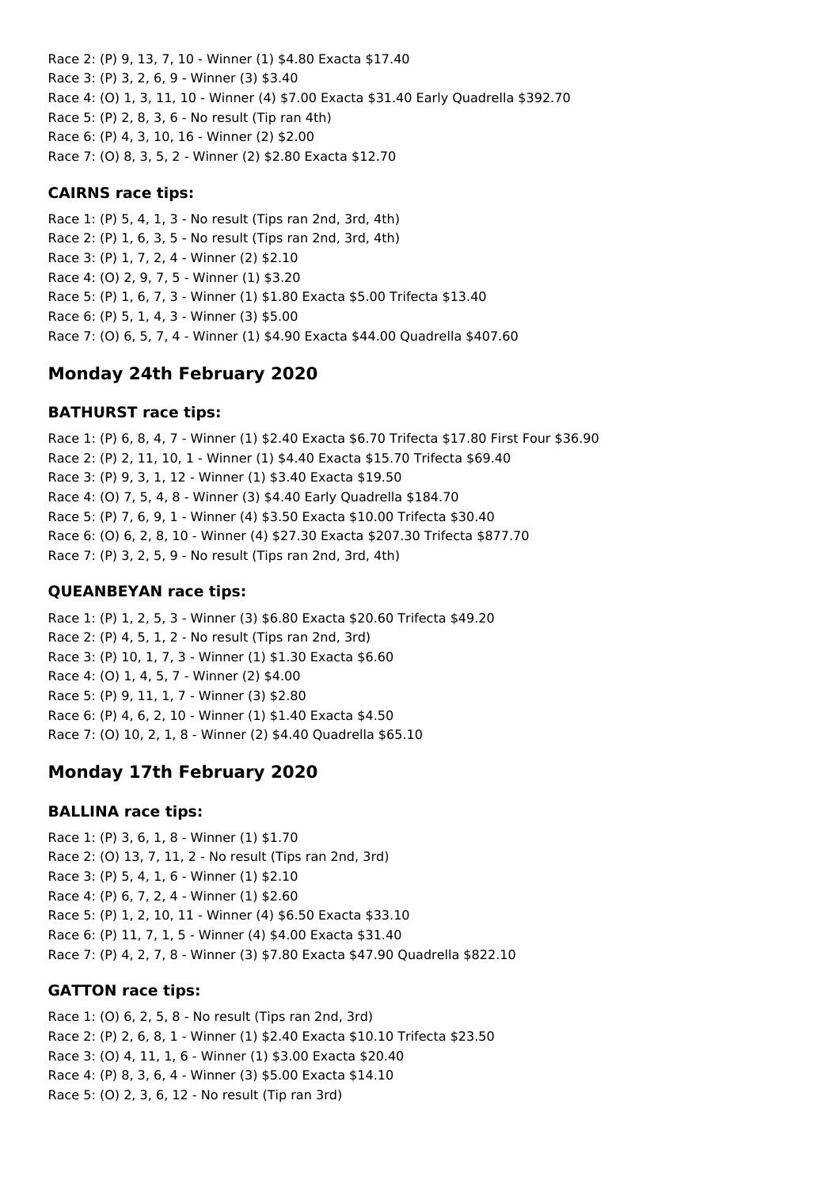Race 2: (P) 9, 13, 7, 10 - Winner (1) \$4.80 Exacta \$17.40 Race 3: (P) 3, 2, 6, 9 - Winner (3) \$3.40 Race 4: (O) 1, 3, 11, 10 - Winner (4) \$7.00 Exacta \$31.40 Early Quadrella \$392.70 Race 5: (P) 2, 8, 3, 6 - No result (Tip ran 4th) Race 6: (P) 4, 3, 10, 16 - Winner (2) \$2.00 Race 7: (O) 8, 3, 5, 2 - Winner (2) \$2.80 Exacta \$12.70

## **CAIRNS race tips:**

Race 1: (P) 5, 4, 1, 3 - No result (Tips ran 2nd, 3rd, 4th) Race 2: (P) 1, 6, 3, 5 - No result (Tips ran 2nd, 3rd, 4th) Race 3: (P) 1, 7, 2, 4 - Winner (2) \$2.10 Race 4: (O) 2, 9, 7, 5 - Winner (1) \$3.20 Race 5: (P) 1, 6, 7, 3 - Winner (1) \$1.80 Exacta \$5.00 Trifecta \$13.40 Race 6: (P) 5, 1, 4, 3 - Winner (3) \$5.00 Race 7: (O) 6, 5, 7, 4 - Winner (1) \$4.90 Exacta \$44.00 Quadrella \$407.60

# **Monday 24th February 2020**

## **BATHURST race tips:**

Race 1: (P) 6, 8, 4, 7 - Winner (1) \$2.40 Exacta \$6.70 Trifecta \$17.80 First Four \$36.90 Race 2: (P) 2, 11, 10, 1 - Winner (1) \$4.40 Exacta \$15.70 Trifecta \$69.40 Race 3: (P) 9, 3, 1, 12 - Winner (1) \$3.40 Exacta \$19.50 Race 4: (O) 7, 5, 4, 8 - Winner (3) \$4.40 Early Quadrella \$184.70 Race 5: (P) 7, 6, 9, 1 - Winner (4) \$3.50 Exacta \$10.00 Trifecta \$30.40 Race 6: (O) 6, 2, 8, 10 - Winner (4) \$27.30 Exacta \$207.30 Trifecta \$877.70 Race 7: (P) 3, 2, 5, 9 - No result (Tips ran 2nd, 3rd, 4th)

## **QUEANBEYAN race tips:**

Race 1: (P) 1, 2, 5, 3 - Winner (3) \$6.80 Exacta \$20.60 Trifecta \$49.20 Race 2: (P) 4, 5, 1, 2 - No result (Tips ran 2nd, 3rd) Race 3: (P) 10, 1, 7, 3 - Winner (1) \$1.30 Exacta \$6.60 Race 4: (O) 1, 4, 5, 7 - Winner (2) \$4.00 Race 5: (P) 9, 11, 1, 7 - Winner (3) \$2.80 Race 6: (P) 4, 6, 2, 10 - Winner (1) \$1.40 Exacta \$4.50 Race 7: (O) 10, 2, 1, 8 - Winner (2) \$4.40 Quadrella \$65.10

# **Monday 17th February 2020**

## **BALLINA race tips:**

Race 1: (P) 3, 6, 1, 8 - Winner (1) \$1.70 Race 2: (O) 13, 7, 11, 2 - No result (Tips ran 2nd, 3rd) Race 3: (P) 5, 4, 1, 6 - Winner (1) \$2.10 Race 4: (P) 6, 7, 2, 4 - Winner (1) \$2.60 Race 5: (P) 1, 2, 10, 11 - Winner (4) \$6.50 Exacta \$33.10 Race 6: (P) 11, 7, 1, 5 - Winner (4) \$4.00 Exacta \$31.40 Race 7: (P) 4, 2, 7, 8 - Winner (3) \$7.80 Exacta \$47.90 Quadrella \$822.10

# **GATTON race tips:**

Race 1: (O) 6, 2, 5, 8 - No result (Tips ran 2nd, 3rd) Race 2: (P) 2, 6, 8, 1 - Winner (1) \$2.40 Exacta \$10.10 Trifecta \$23.50 Race 3: (O) 4, 11, 1, 6 - Winner (1) \$3.00 Exacta \$20.40 Race 4: (P) 8, 3, 6, 4 - Winner (3) \$5.00 Exacta \$14.10 Race 5: (O) 2, 3, 6, 12 - No result (Tip ran 3rd)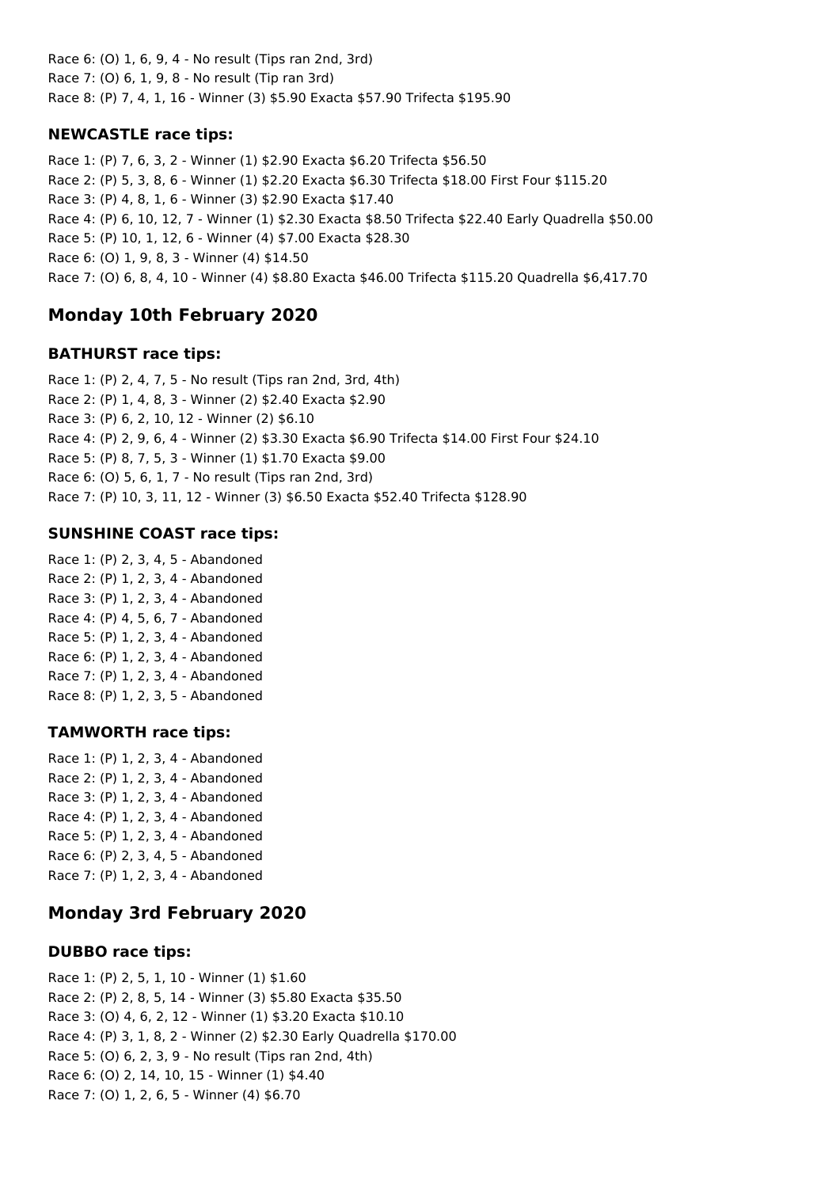Race 6: (O) 1, 6, 9, 4 - No result (Tips ran 2nd, 3rd) Race 7: (O) 6, 1, 9, 8 - No result (Tip ran 3rd) Race 8: (P) 7, 4, 1, 16 - Winner (3) \$5.90 Exacta \$57.90 Trifecta \$195.90

# **NEWCASTLE race tips:**

Race 1: (P) 7, 6, 3, 2 - Winner (1) \$2.90 Exacta \$6.20 Trifecta \$56.50 Race 2: (P) 5, 3, 8, 6 - Winner (1) \$2.20 Exacta \$6.30 Trifecta \$18.00 First Four \$115.20 Race 3: (P) 4, 8, 1, 6 - Winner (3) \$2.90 Exacta \$17.40 Race 4: (P) 6, 10, 12, 7 - Winner (1) \$2.30 Exacta \$8.50 Trifecta \$22.40 Early Quadrella \$50.00 Race 5: (P) 10, 1, 12, 6 - Winner (4) \$7.00 Exacta \$28.30 Race 6: (O) 1, 9, 8, 3 - Winner (4) \$14.50 Race 7: (O) 6, 8, 4, 10 - Winner (4) \$8.80 Exacta \$46.00 Trifecta \$115.20 Quadrella \$6,417.70

# **Monday 10th February 2020**

# **BATHURST race tips:**

Race 1: (P) 2, 4, 7, 5 - No result (Tips ran 2nd, 3rd, 4th) Race 2: (P) 1, 4, 8, 3 - Winner (2) \$2.40 Exacta \$2.90 Race 3: (P) 6, 2, 10, 12 - Winner (2) \$6.10 Race 4: (P) 2, 9, 6, 4 - Winner (2) \$3.30 Exacta \$6.90 Trifecta \$14.00 First Four \$24.10 Race 5: (P) 8, 7, 5, 3 - Winner (1) \$1.70 Exacta \$9.00 Race 6: (O) 5, 6, 1, 7 - No result (Tips ran 2nd, 3rd) Race 7: (P) 10, 3, 11, 12 - Winner (3) \$6.50 Exacta \$52.40 Trifecta \$128.90

# **SUNSHINE COAST race tips:**

Race 1: (P) 2, 3, 4, 5 - Abandoned Race 2: (P) 1, 2, 3, 4 - Abandoned Race 3: (P) 1, 2, 3, 4 - Abandoned Race 4: (P) 4, 5, 6, 7 - Abandoned Race 5: (P) 1, 2, 3, 4 - Abandoned Race 6: (P) 1, 2, 3, 4 - Abandoned Race 7: (P) 1, 2, 3, 4 - Abandoned Race 8: (P) 1, 2, 3, 5 - Abandoned

## **TAMWORTH race tips:**

Race 1: (P) 1, 2, 3, 4 - Abandoned Race 2: (P) 1, 2, 3, 4 - Abandoned Race 3: (P) 1, 2, 3, 4 - Abandoned Race 4: (P) 1, 2, 3, 4 - Abandoned Race 5: (P) 1, 2, 3, 4 - Abandoned Race 6: (P) 2, 3, 4, 5 - Abandoned Race 7: (P) 1, 2, 3, 4 - Abandoned

# **Monday 3rd February 2020**

## **DUBBO race tips:**

Race 1: (P) 2, 5, 1, 10 - Winner (1) \$1.60 Race 2: (P) 2, 8, 5, 14 - Winner (3) \$5.80 Exacta \$35.50 Race 3: (O) 4, 6, 2, 12 - Winner (1) \$3.20 Exacta \$10.10 Race 4: (P) 3, 1, 8, 2 - Winner (2) \$2.30 Early Quadrella \$170.00 Race 5: (O) 6, 2, 3, 9 - No result (Tips ran 2nd, 4th) Race 6: (O) 2, 14, 10, 15 - Winner (1) \$4.40 Race 7: (O) 1, 2, 6, 5 - Winner (4) \$6.70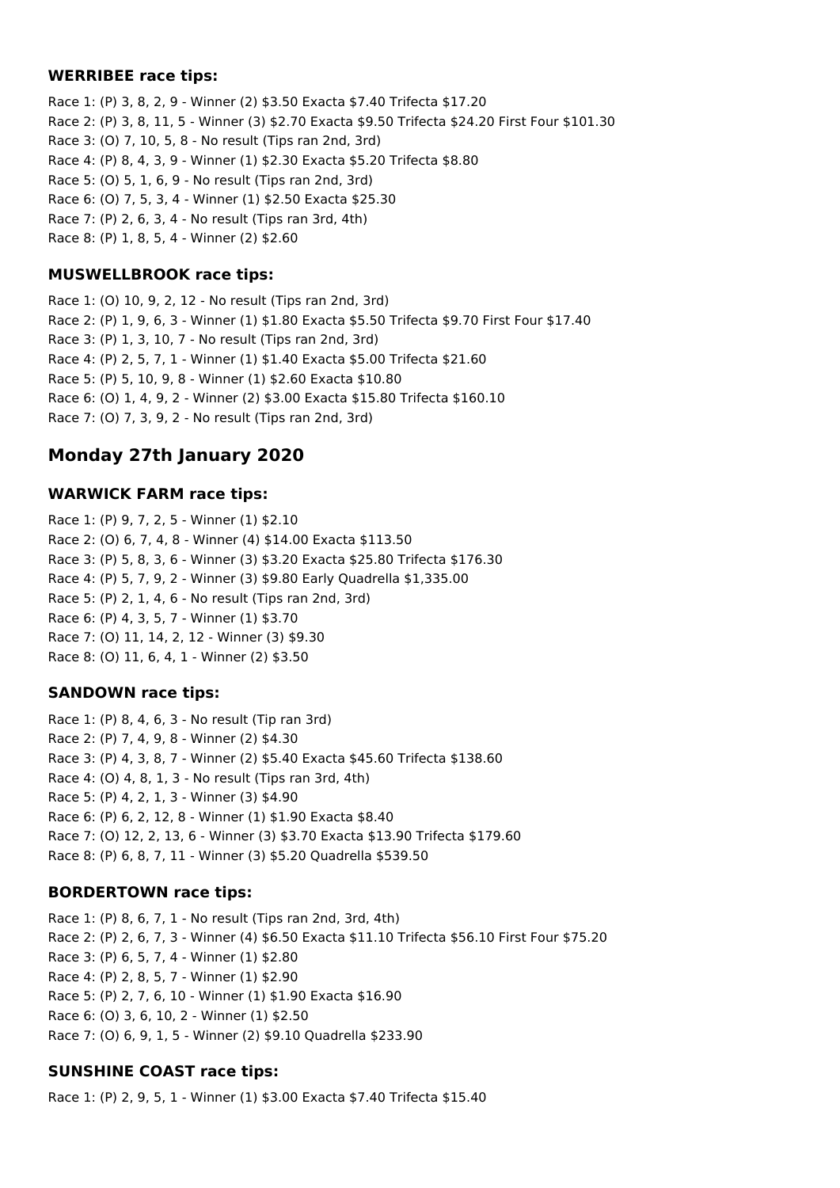#### **WERRIBEE race tips:**

Race 1: (P) 3, 8, 2, 9 - Winner (2) \$3.50 Exacta \$7.40 Trifecta \$17.20 Race 2: (P) 3, 8, 11, 5 - Winner (3) \$2.70 Exacta \$9.50 Trifecta \$24.20 First Four \$101.30 Race 3: (O) 7, 10, 5, 8 - No result (Tips ran 2nd, 3rd) Race 4: (P) 8, 4, 3, 9 - Winner (1) \$2.30 Exacta \$5.20 Trifecta \$8.80 Race 5: (O) 5, 1, 6, 9 - No result (Tips ran 2nd, 3rd) Race 6: (O) 7, 5, 3, 4 - Winner (1) \$2.50 Exacta \$25.30 Race 7: (P) 2, 6, 3, 4 - No result (Tips ran 3rd, 4th) Race 8: (P) 1, 8, 5, 4 - Winner (2) \$2.60

## **MUSWELLBROOK race tips:**

Race 1: (O) 10, 9, 2, 12 - No result (Tips ran 2nd, 3rd) Race 2: (P) 1, 9, 6, 3 - Winner (1) \$1.80 Exacta \$5.50 Trifecta \$9.70 First Four \$17.40 Race 3: (P) 1, 3, 10, 7 - No result (Tips ran 2nd, 3rd) Race 4: (P) 2, 5, 7, 1 - Winner (1) \$1.40 Exacta \$5.00 Trifecta \$21.60 Race 5: (P) 5, 10, 9, 8 - Winner (1) \$2.60 Exacta \$10.80 Race 6: (O) 1, 4, 9, 2 - Winner (2) \$3.00 Exacta \$15.80 Trifecta \$160.10 Race 7: (O) 7, 3, 9, 2 - No result (Tips ran 2nd, 3rd)

# **Monday 27th January 2020**

## **WARWICK FARM race tips:**

Race 1: (P) 9, 7, 2, 5 - Winner (1) \$2.10 Race 2: (O) 6, 7, 4, 8 - Winner (4) \$14.00 Exacta \$113.50 Race 3: (P) 5, 8, 3, 6 - Winner (3) \$3.20 Exacta \$25.80 Trifecta \$176.30 Race 4: (P) 5, 7, 9, 2 - Winner (3) \$9.80 Early Quadrella \$1,335.00 Race 5: (P) 2, 1, 4, 6 - No result (Tips ran 2nd, 3rd) Race 6: (P) 4, 3, 5, 7 - Winner (1) \$3.70 Race 7: (O) 11, 14, 2, 12 - Winner (3) \$9.30 Race 8: (O) 11, 6, 4, 1 - Winner (2) \$3.50

## **SANDOWN race tips:**

Race 1: (P) 8, 4, 6, 3 - No result (Tip ran 3rd) Race 2: (P) 7, 4, 9, 8 - Winner (2) \$4.30 Race 3: (P) 4, 3, 8, 7 - Winner (2) \$5.40 Exacta \$45.60 Trifecta \$138.60 Race 4: (O) 4, 8, 1, 3 - No result (Tips ran 3rd, 4th) Race 5: (P) 4, 2, 1, 3 - Winner (3) \$4.90 Race 6: (P) 6, 2, 12, 8 - Winner (1) \$1.90 Exacta \$8.40 Race 7: (O) 12, 2, 13, 6 - Winner (3) \$3.70 Exacta \$13.90 Trifecta \$179.60 Race 8: (P) 6, 8, 7, 11 - Winner (3) \$5.20 Quadrella \$539.50

# **BORDERTOWN race tips:**

Race 1: (P) 8, 6, 7, 1 - No result (Tips ran 2nd, 3rd, 4th) Race 2: (P) 2, 6, 7, 3 - Winner (4) \$6.50 Exacta \$11.10 Trifecta \$56.10 First Four \$75.20 Race 3: (P) 6, 5, 7, 4 - Winner (1) \$2.80 Race 4: (P) 2, 8, 5, 7 - Winner (1) \$2.90 Race 5: (P) 2, 7, 6, 10 - Winner (1) \$1.90 Exacta \$16.90 Race 6: (O) 3, 6, 10, 2 - Winner (1) \$2.50 Race 7: (O) 6, 9, 1, 5 - Winner (2) \$9.10 Quadrella \$233.90

# **SUNSHINE COAST race tips:**

Race 1: (P) 2, 9, 5, 1 - Winner (1) \$3.00 Exacta \$7.40 Trifecta \$15.40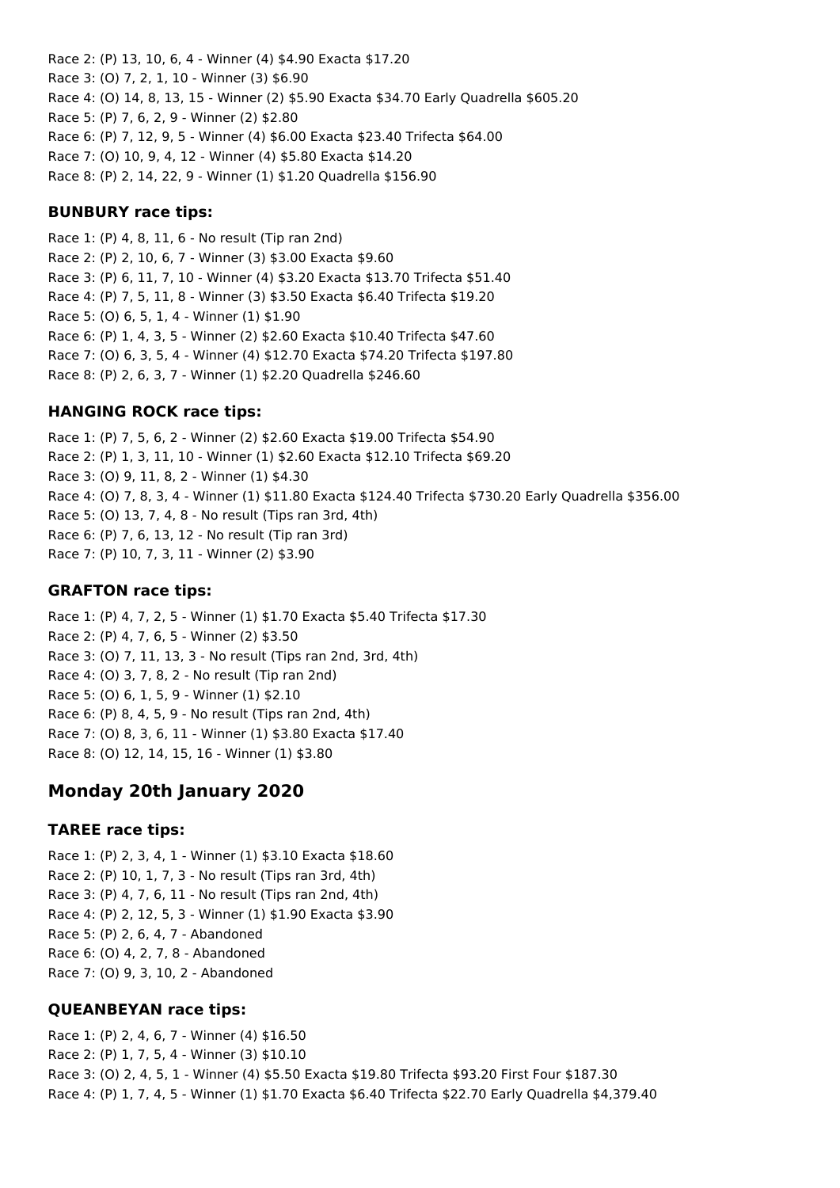Race 2: (P) 13, 10, 6, 4 - Winner (4) \$4.90 Exacta \$17.20 Race 3: (O) 7, 2, 1, 10 - Winner (3) \$6.90 Race 4: (O) 14, 8, 13, 15 - Winner (2) \$5.90 Exacta \$34.70 Early Quadrella \$605.20 Race 5: (P) 7, 6, 2, 9 - Winner (2) \$2.80 Race 6: (P) 7, 12, 9, 5 - Winner (4) \$6.00 Exacta \$23.40 Trifecta \$64.00 Race 7: (O) 10, 9, 4, 12 - Winner (4) \$5.80 Exacta \$14.20 Race 8: (P) 2, 14, 22, 9 - Winner (1) \$1.20 Quadrella \$156.90

#### **BUNBURY race tips:**

Race 1: (P) 4, 8, 11, 6 - No result (Tip ran 2nd) Race 2: (P) 2, 10, 6, 7 - Winner (3) \$3.00 Exacta \$9.60 Race 3: (P) 6, 11, 7, 10 - Winner (4) \$3.20 Exacta \$13.70 Trifecta \$51.40 Race 4: (P) 7, 5, 11, 8 - Winner (3) \$3.50 Exacta \$6.40 Trifecta \$19.20 Race 5: (O) 6, 5, 1, 4 - Winner (1) \$1.90 Race 6: (P) 1, 4, 3, 5 - Winner (2) \$2.60 Exacta \$10.40 Trifecta \$47.60 Race 7: (O) 6, 3, 5, 4 - Winner (4) \$12.70 Exacta \$74.20 Trifecta \$197.80 Race 8: (P) 2, 6, 3, 7 - Winner (1) \$2.20 Quadrella \$246.60

#### **HANGING ROCK race tips:**

Race 1: (P) 7, 5, 6, 2 - Winner (2) \$2.60 Exacta \$19.00 Trifecta \$54.90 Race 2: (P) 1, 3, 11, 10 - Winner (1) \$2.60 Exacta \$12.10 Trifecta \$69.20 Race 3: (O) 9, 11, 8, 2 - Winner (1) \$4.30 Race 4: (O) 7, 8, 3, 4 - Winner (1) \$11.80 Exacta \$124.40 Trifecta \$730.20 Early Quadrella \$356.00 Race 5: (O) 13, 7, 4, 8 - No result (Tips ran 3rd, 4th) Race 6: (P) 7, 6, 13, 12 - No result (Tip ran 3rd) Race 7: (P) 10, 7, 3, 11 - Winner (2) \$3.90

#### **GRAFTON race tips:**

Race 1: (P) 4, 7, 2, 5 - Winner (1) \$1.70 Exacta \$5.40 Trifecta \$17.30 Race 2: (P) 4, 7, 6, 5 - Winner (2) \$3.50 Race 3: (O) 7, 11, 13, 3 - No result (Tips ran 2nd, 3rd, 4th) Race 4: (O) 3, 7, 8, 2 - No result (Tip ran 2nd) Race 5: (O) 6, 1, 5, 9 - Winner (1) \$2.10 Race 6: (P) 8, 4, 5, 9 - No result (Tips ran 2nd, 4th) Race 7: (O) 8, 3, 6, 11 - Winner (1) \$3.80 Exacta \$17.40 Race 8: (O) 12, 14, 15, 16 - Winner (1) \$3.80

# **Monday 20th January 2020**

#### **TAREE race tips:**

Race 1: (P) 2, 3, 4, 1 - Winner (1) \$3.10 Exacta \$18.60 Race 2: (P) 10, 1, 7, 3 - No result (Tips ran 3rd, 4th) Race 3: (P) 4, 7, 6, 11 - No result (Tips ran 2nd, 4th) Race 4: (P) 2, 12, 5, 3 - Winner (1) \$1.90 Exacta \$3.90 Race 5: (P) 2, 6, 4, 7 - Abandoned Race 6: (O) 4, 2, 7, 8 - Abandoned Race 7: (O) 9, 3, 10, 2 - Abandoned

#### **QUEANBEYAN race tips:**

Race 1: (P) 2, 4, 6, 7 - Winner (4) \$16.50 Race 2: (P) 1, 7, 5, 4 - Winner (3) \$10.10 Race 3: (O) 2, 4, 5, 1 - Winner (4) \$5.50 Exacta \$19.80 Trifecta \$93.20 First Four \$187.30 Race 4: (P) 1, 7, 4, 5 - Winner (1) \$1.70 Exacta \$6.40 Trifecta \$22.70 Early Quadrella \$4,379.40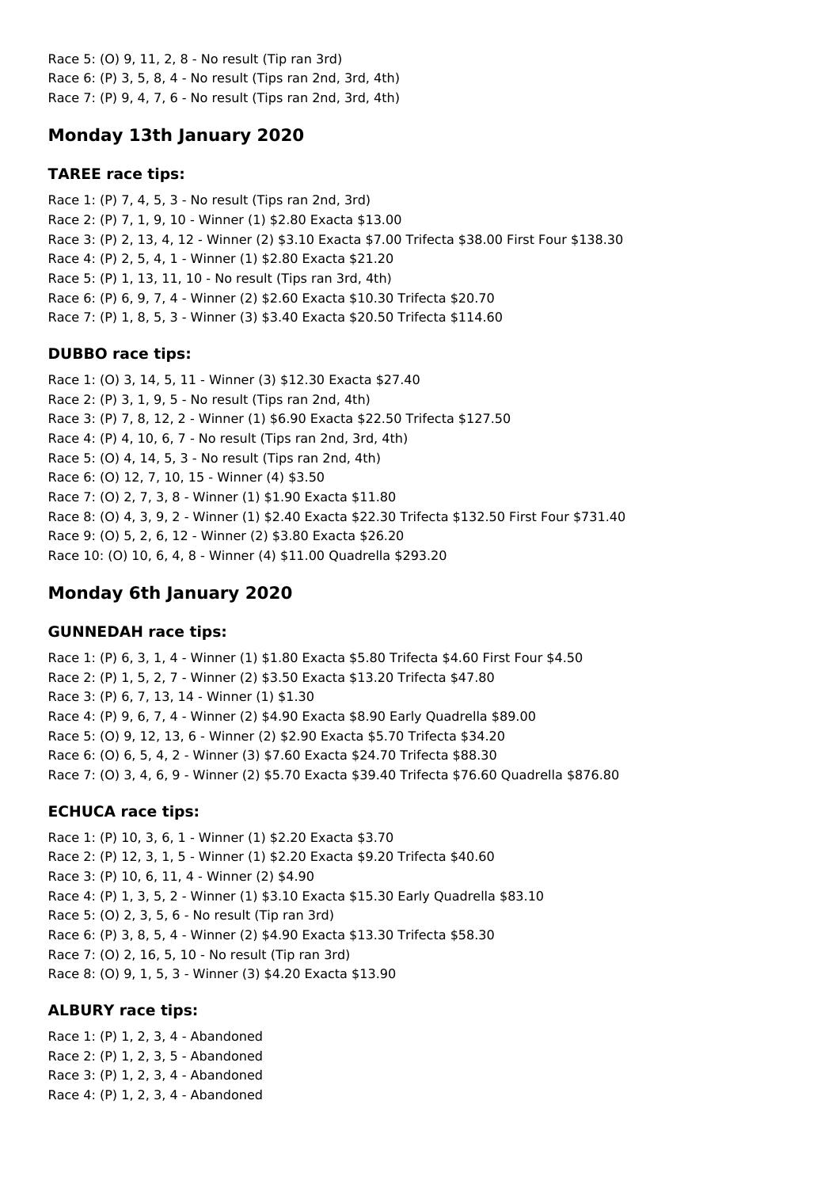Race 5: (O) 9, 11, 2, 8 - No result (Tip ran 3rd) Race 6: (P) 3, 5, 8, 4 - No result (Tips ran 2nd, 3rd, 4th) Race 7: (P) 9, 4, 7, 6 - No result (Tips ran 2nd, 3rd, 4th)

# **Monday 13th January 2020**

## **TAREE race tips:**

Race 1: (P) 7, 4, 5, 3 - No result (Tips ran 2nd, 3rd) Race 2: (P) 7, 1, 9, 10 - Winner (1) \$2.80 Exacta \$13.00 Race 3: (P) 2, 13, 4, 12 - Winner (2) \$3.10 Exacta \$7.00 Trifecta \$38.00 First Four \$138.30 Race 4: (P) 2, 5, 4, 1 - Winner (1) \$2.80 Exacta \$21.20 Race 5: (P) 1, 13, 11, 10 - No result (Tips ran 3rd, 4th) Race 6: (P) 6, 9, 7, 4 - Winner (2) \$2.60 Exacta \$10.30 Trifecta \$20.70 Race 7: (P) 1, 8, 5, 3 - Winner (3) \$3.40 Exacta \$20.50 Trifecta \$114.60

# **DUBBO race tips:**

Race 1: (O) 3, 14, 5, 11 - Winner (3) \$12.30 Exacta \$27.40 Race 2: (P) 3, 1, 9, 5 - No result (Tips ran 2nd, 4th) Race 3: (P) 7, 8, 12, 2 - Winner (1) \$6.90 Exacta \$22.50 Trifecta \$127.50 Race 4: (P) 4, 10, 6, 7 - No result (Tips ran 2nd, 3rd, 4th) Race 5: (O) 4, 14, 5, 3 - No result (Tips ran 2nd, 4th) Race 6: (O) 12, 7, 10, 15 - Winner (4) \$3.50 Race 7: (O) 2, 7, 3, 8 - Winner (1) \$1.90 Exacta \$11.80 Race 8: (O) 4, 3, 9, 2 - Winner (1) \$2.40 Exacta \$22.30 Trifecta \$132.50 First Four \$731.40 Race 9: (O) 5, 2, 6, 12 - Winner (2) \$3.80 Exacta \$26.20 Race 10: (O) 10, 6, 4, 8 - Winner (4) \$11.00 Quadrella \$293.20

# **Monday 6th January 2020**

## **GUNNEDAH race tips:**

Race 1: (P) 6, 3, 1, 4 - Winner (1) \$1.80 Exacta \$5.80 Trifecta \$4.60 First Four \$4.50 Race 2: (P) 1, 5, 2, 7 - Winner (2) \$3.50 Exacta \$13.20 Trifecta \$47.80 Race 3: (P) 6, 7, 13, 14 - Winner (1) \$1.30 Race 4: (P) 9, 6, 7, 4 - Winner (2) \$4.90 Exacta \$8.90 Early Quadrella \$89.00 Race 5: (O) 9, 12, 13, 6 - Winner (2) \$2.90 Exacta \$5.70 Trifecta \$34.20 Race 6: (O) 6, 5, 4, 2 - Winner (3) \$7.60 Exacta \$24.70 Trifecta \$88.30 Race 7: (O) 3, 4, 6, 9 - Winner (2) \$5.70 Exacta \$39.40 Trifecta \$76.60 Quadrella \$876.80

# **ECHUCA race tips:**

Race 1: (P) 10, 3, 6, 1 - Winner (1) \$2.20 Exacta \$3.70 Race 2: (P) 12, 3, 1, 5 - Winner (1) \$2.20 Exacta \$9.20 Trifecta \$40.60 Race 3: (P) 10, 6, 11, 4 - Winner (2) \$4.90 Race 4: (P) 1, 3, 5, 2 - Winner (1) \$3.10 Exacta \$15.30 Early Quadrella \$83.10 Race 5: (O) 2, 3, 5, 6 - No result (Tip ran 3rd) Race 6: (P) 3, 8, 5, 4 - Winner (2) \$4.90 Exacta \$13.30 Trifecta \$58.30 Race 7: (O) 2, 16, 5, 10 - No result (Tip ran 3rd) Race 8: (O) 9, 1, 5, 3 - Winner (3) \$4.20 Exacta \$13.90

## **ALBURY race tips:**

Race 1: (P) 1, 2, 3, 4 - Abandoned Race 2: (P) 1, 2, 3, 5 - Abandoned Race 3: (P) 1, 2, 3, 4 - Abandoned Race 4: (P) 1, 2, 3, 4 - Abandoned